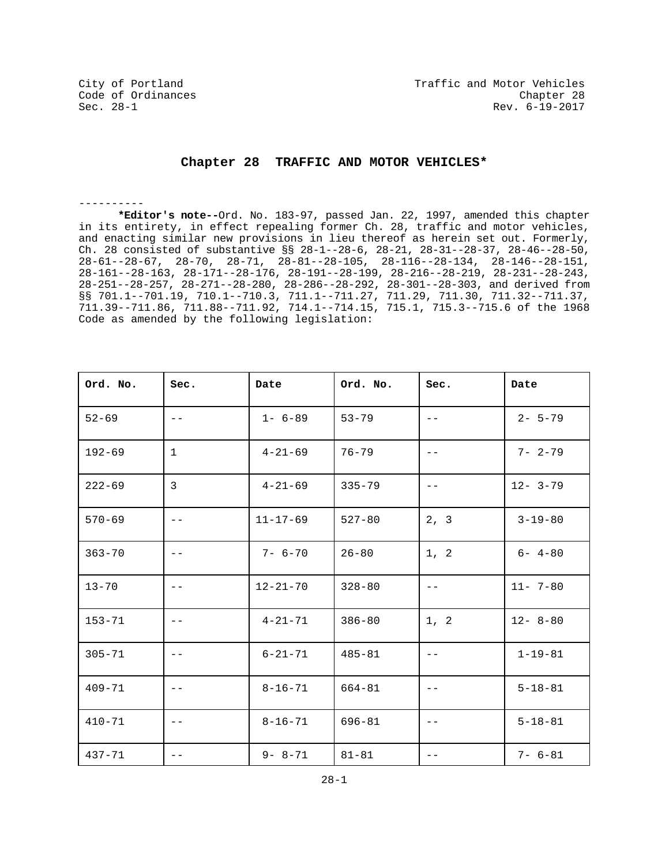----------

## **Chapter 28 TRAFFIC AND MOTOR VEHICLES\***

**\*Editor's note--**Ord. No. 183-97, passed Jan. 22, 1997, amended this chapter in its entirety, in effect repealing former Ch. 28, traffic and motor vehicles, and enacting similar new provisions in lieu thereof as herein set out. Formerly, Ch. 28 consisted of substantive §§ 28-1--28-6, 28-21, 28-31--28-37, 28-46--28-50, 28-61--28-67, 28-70, 28-71, 28-81--28-105, 28-116--28-134, 28-146--28-151, 28-161--28-163, 28-171--28-176, 28-191--28-199, 28-216--28-219, 28-231--28-243, 28-251--28-257, 28-271--28-280, 28-286--28-292, 28-301--28-303, and derived from §§ 701.1--701.19, 710.1--710.3, 711.1--711.27, 711.29, 711.30, 711.32--711.37, 711.39--711.86, 711.88--711.92, 714.1--714.15, 715.1, 715.3--715.6 of the 1968 Code as amended by the following legislation:

| Ord. No.   | Sec.              | Date           | Ord. No.   | Sec.              | Date          |
|------------|-------------------|----------------|------------|-------------------|---------------|
| $52 - 69$  | $- -$             | $1 - 6 - 89$   | $53 - 79$  | $- -$             | $2 - 5 - 79$  |
| $192 - 69$ | $\mathbf{1}$      | $4 - 21 - 69$  | $76 - 79$  | $\qquad \qquad -$ | $7 - 2 - 79$  |
| $222 - 69$ | 3                 | $4 - 21 - 69$  | $335 - 79$ |                   | $12 - 3 - 79$ |
| $570 - 69$ | $- -$             | $11 - 17 - 69$ | $527 - 80$ | 2, 3              | $3 - 19 - 80$ |
| $363 - 70$ | $- -$             | $7 - 6 - 70$   | $26 - 80$  | 1, 2              | $6 - 4 - 80$  |
| $13 - 70$  | $- -$             | $12 - 21 - 70$ | $328 - 80$ | $ -$              | $11 - 7 - 80$ |
| $153 - 71$ | $- -$             | $4 - 21 - 71$  | $386 - 80$ | 1, 2              | $12 - 8 - 80$ |
| $305 - 71$ | $- -$             | $6 - 21 - 71$  | $485 - 81$ | $- -$             | $1 - 19 - 81$ |
| $409 - 71$ | $\qquad \qquad -$ | $8 - 16 - 71$  | $664 - 81$ | $- -$             | $5 - 18 - 81$ |
| $410 - 71$ | $\qquad \qquad -$ | $8 - 16 - 71$  | $696 - 81$ | $\qquad \qquad -$ | $5 - 18 - 81$ |
| $437 - 71$ | $\qquad \qquad -$ | $9 - 8 - 71$   | $81 - 81$  | $- -$             | $7 - 6 - 81$  |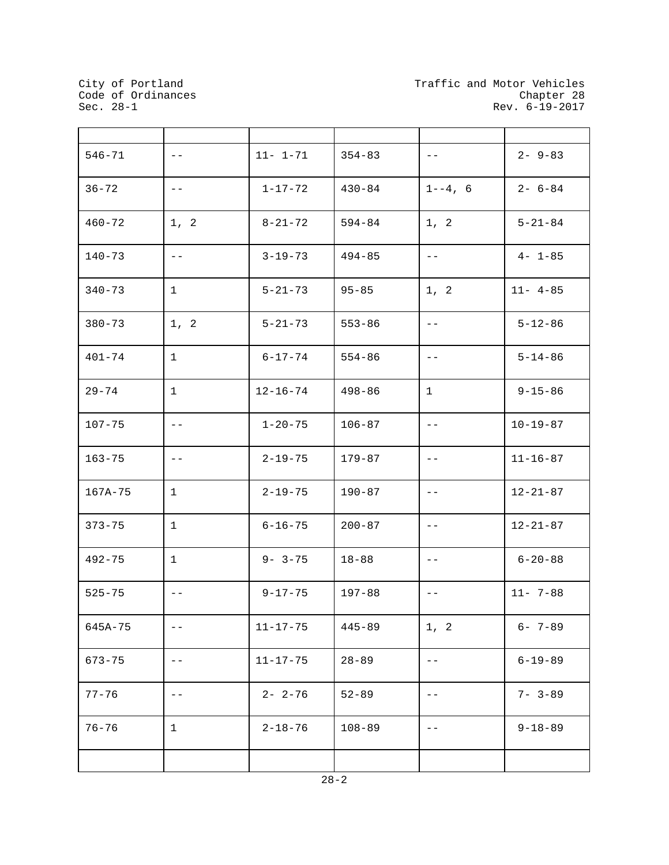City of Portland<br>Code of Ordinances<br>Sec. 28-1

 $\mathbf{r}$ 

 $\blacksquare$ 

| $546 - 71$  | $- \, -$     | $11 - 1 - 71$  | $354 - 83$ | $- -$        | $2 - 9 - 83$   |
|-------------|--------------|----------------|------------|--------------|----------------|
| $36 - 72$   | $- \, -$     | $1 - 17 - 72$  | $430 - 84$ | $1 - -4$ , 6 | $2 - 6 - 84$   |
| $460 - 72$  | 1, 2         | $8 - 21 - 72$  | $594 - 84$ | 1, 2         | $5 - 21 - 84$  |
| $140 - 73$  | $- \, -$     | $3 - 19 - 73$  | $494 - 85$ | $- -$        | $4 - 1 - 85$   |
| $340 - 73$  | $\mathbf{1}$ | $5 - 21 - 73$  | $95 - 85$  | 1, 2         | $11 - 4 - 85$  |
| $380 - 73$  | 1, 2         | $5 - 21 - 73$  | $553 - 86$ | $- -$        | $5 - 12 - 86$  |
| $401 - 74$  | $\mathbf{1}$ | $6 - 17 - 74$  | $554 - 86$ | $ -$         | $5 - 14 - 86$  |
| $29 - 74$   | $\mathbf{1}$ | $12 - 16 - 74$ | $498 - 86$ | $\mathbf{1}$ | $9 - 15 - 86$  |
| $107 - 75$  | $ -$         | $1 - 20 - 75$  | $106 - 87$ | $- \, -$     | $10 - 19 - 87$ |
| $163 - 75$  | $ -$         | $2 - 19 - 75$  | $179 - 87$ | $- -$        | $11 - 16 - 87$ |
| $167A - 75$ | $\mathbf{1}$ | $2 - 19 - 75$  | $190 - 87$ | $- -$        | $12 - 21 - 87$ |
| $373 - 75$  | $\mathbf{1}$ | $6 - 16 - 75$  | $200 - 87$ | $- \ -$      | $12 - 21 - 87$ |
| $492 - 75$  | $\mathbf{1}$ | $9 - 3 - 75$   | $18 - 88$  | $- -$        | $6 - 20 - 88$  |
| $525 - 75$  | $- \, -$     | $9 - 17 - 75$  | $197 - 88$ | $- \, -$     | $11 - 7 - 88$  |
| 645A-75     | $-\,-$       | $11 - 17 - 75$ | $445 - 89$ | 1, 2         | $6 - 7 - 89$   |
| $673 - 75$  | $ -$         | $11 - 17 - 75$ | $28 - 89$  | $- -$        | $6 - 19 - 89$  |
| $77 - 76$   | $ -$         | $2 - 2 - 76$   | $52 - 89$  | $ -$         | $7 - 3 - 89$   |
| $76 - 76$   | $\mathbf{1}$ | $2 - 18 - 76$  | $108 - 89$ | $- -$        | $9 - 18 - 89$  |
|             |              |                |            |              |                |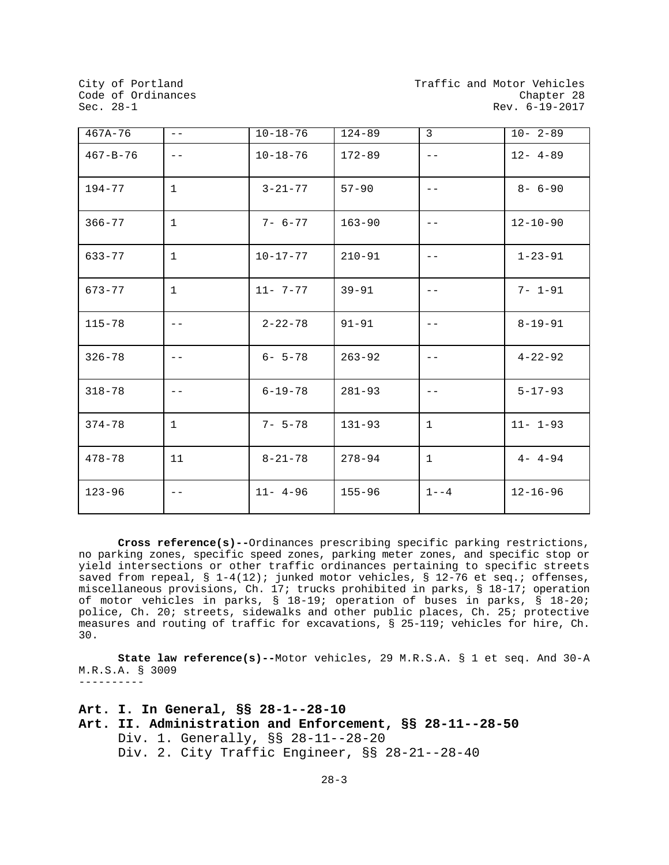| $467A - 76$    | $- -$             | $10 - 18 - 76$ | $124 - 89$ | 3            | $10 - 2 - 89$  |
|----------------|-------------------|----------------|------------|--------------|----------------|
| $467 - B - 76$ | $- -$             | $10 - 18 - 76$ | $172 - 89$ | $- -$        | $12 - 4 - 89$  |
| $194 - 77$     | $\mathbf{1}$      | $3 - 21 - 77$  | $57 - 90$  |              | $8 - 6 - 90$   |
| $366 - 77$     | $\mathbf{1}$      | $7 - 6 - 77$   | $163 - 90$ | $- -$        | $12 - 10 - 90$ |
| $633 - 77$     | $\mathbf{1}$      | $10 - 17 - 77$ | $210 - 91$ | $- -$        | $1 - 23 - 91$  |
| $673 - 77$     | $\mathbf{1}$      | $11 - 7 - 77$  | $39 - 91$  | $- -$        | $7 - 1 - 91$   |
| $115 - 78$     | $\qquad \qquad -$ | $2 - 22 - 78$  | $91 - 91$  | $- -$        | $8 - 19 - 91$  |
| $326 - 78$     | $ -$              | $6 - 5 - 78$   | $263 - 92$ | $- -$        | $4 - 22 - 92$  |
| $318 - 78$     | $- -$             | $6 - 19 - 78$  | $281 - 93$ | $- -$        | $5 - 17 - 93$  |
| $374 - 78$     | $\mathbf{1}$      | $7 - 5 - 78$   | $131 - 93$ | $\mathbf{1}$ | $11 - 1 - 93$  |
| $478 - 78$     | 11                | $8 - 21 - 78$  | $278 - 94$ | $\mathbf{1}$ | $4 - 4 - 94$   |
| $123 - 96$     | $- -$             | $11 - 4 - 96$  | $155 - 96$ | $1 - -4$     | $12 - 16 - 96$ |

**Cross reference(s)--**Ordinances prescribing specific parking restrictions, no parking zones, specific speed zones, parking meter zones, and specific stop or yield intersections or other traffic ordinances pertaining to specific streets saved from repeal, § 1-4(12); junked motor vehicles, § 12-76 et seq.; offenses, miscellaneous provisions, Ch. 17; trucks prohibited in parks, § 18-17; operation of motor vehicles in parks, § 18-19; operation of buses in parks, § 18-20; police, Ch. 20; streets, sidewalks and other public places, Ch. 25; protective measures and routing of traffic for excavations, § 25-119; vehicles for hire, Ch. 30.

**State law reference(s)--**Motor vehicles, 29 M.R.S.A. § 1 et seq. And 30-A M.R.S.A. § 3009 ----------

**Art. I. In General, §§ 28-1--28-10 Art. II. Administration and Enforcement, §§ 28-11--28-50** Div. 1. Generally, §§ 28-11--28-20 Div. 2. City Traffic Engineer, §§ 28-21--28-40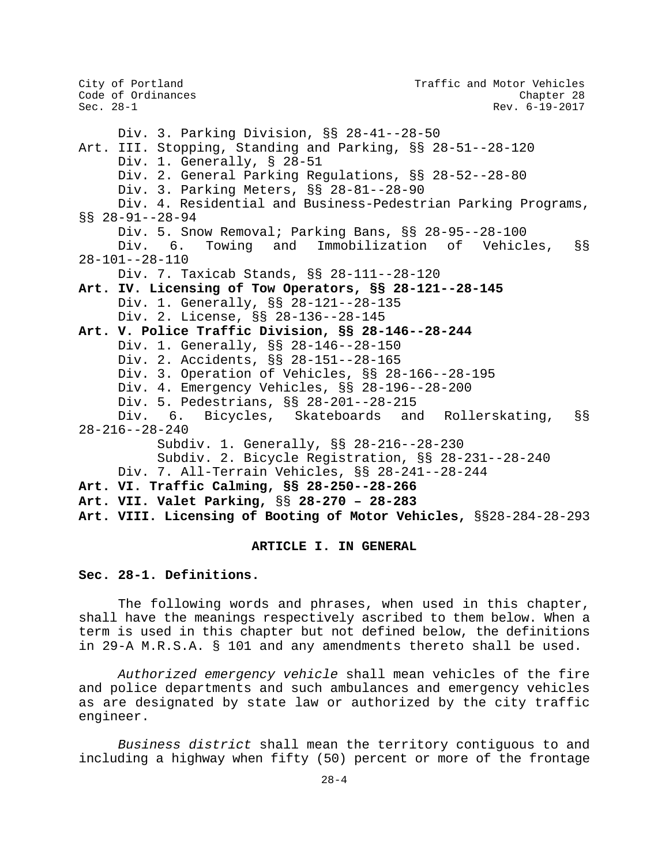City of Portland City of Portland Code of Ordinances<br>
Code of Ordinances Code Chapter 28 Code of Ordinances<br>Sec. 28-1 Rev. 6-19-2017 Div. 3. Parking Division, §§ 28-41--28-50 Art. III. Stopping, Standing and Parking, §§ 28-51--28-120 Div. 1. Generally, § 28-51 Div. 2. General Parking Regulations, §§ 28-52--28-80 Div. 3. Parking Meters, §§ 28-81--28-90 Div. 4. Residential and Business-Pedestrian Parking Programs, §§ 28-91--28-94 Div. 5. Snow Removal; Parking Bans, §§ 28-95--28-100<br>Div. 6. Towing and Immobilization of Vehicl Immobilization of Vehicles, §§ 28-101--28-110 Div. 7. Taxicab Stands, §§ 28-111--28-120 **Art. IV. Licensing of Tow Operators, §§ 28-121--28-145** Div. 1. Generally, §§ 28-121--28-135 Div. 2. License, §§ 28-136--28-145 **Art. V. Police Traffic Division, §§ 28-146--28-244** Div. 1. Generally, §§ 28-146--28-150 Div. 2. Accidents, §§ 28-151--28-165 Div. 3. Operation of Vehicles, §§ 28-166--28-195 Div. 4. Emergency Vehicles, §§ 28-196--28-200 Div. 5. Pedestrians, §§ 28-201--28-215<br>Div. 6. Bicycles, Skateboards an Bicycles, Skateboards and Rollerskating, §§ 28-216--28-240 Subdiv. 1. Generally, §§ 28-216--28-230 Subdiv. 2. Bicycle Registration, §§ 28-231--28-240 Div. 7. All-Terrain Vehicles, §§ 28-241--28-244 **Art. VI. Traffic Calming, §§ 28-250--28-266 Art. VII. Valet Parking,** §§ **28-270 – 28-283 Art. VIII. Licensing of Booting of Motor Vehicles,** §§28-284-28-293

# **ARTICLE I. IN GENERAL**

## **Sec. 28-1. Definitions.**

The following words and phrases, when used in this chapter, shall have the meanings respectively ascribed to them below. When a term is used in this chapter but not defined below, the definitions in 29-A M.R.S.A. § 101 and any amendments thereto shall be used.

*Authorized emergency vehicle* shall mean vehicles of the fire and police departments and such ambulances and emergency vehicles as are designated by state law or authorized by the city traffic engineer.

*Business district* shall mean the territory contiguous to and including a highway when fifty (50) percent or more of the frontage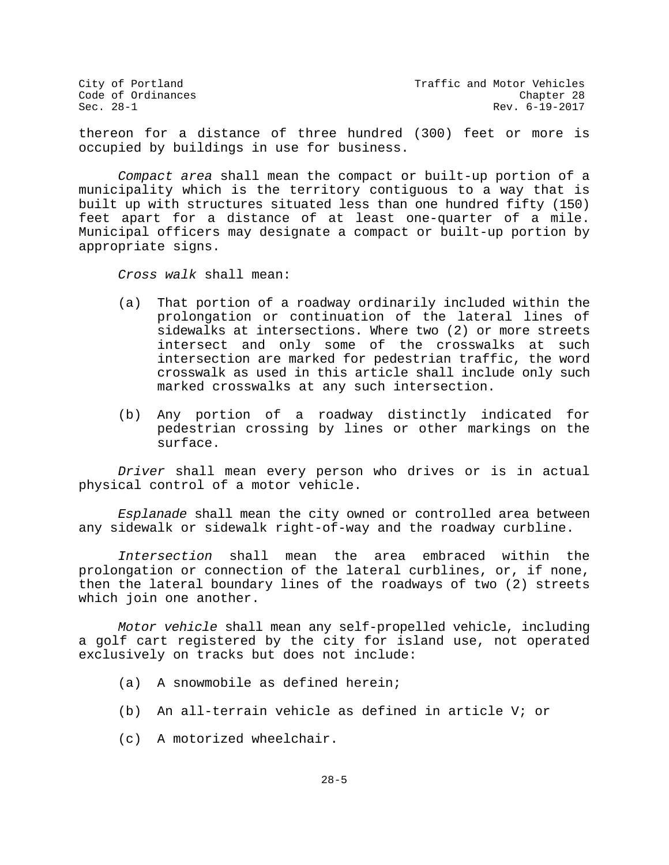City of Portland City of Portland Code of Ordinances<br>Code of Ordinances Code of Ordinances Rev. 6-19-2017

thereon for a distance of three hundred (300) feet or more is occupied by buildings in use for business.

*Compact area* shall mean the compact or built-up portion of a municipality which is the territory contiguous to a way that is built up with structures situated less than one hundred fifty (150) feet apart for a distance of at least one-quarter of a mile. Municipal officers may designate a compact or built-up portion by appropriate signs.

*Cross walk* shall mean:

- (a) That portion of a roadway ordinarily included within the prolongation or continuation of the lateral lines of sidewalks at intersections. Where two (2) or more streets intersect and only some of the crosswalks at such intersection are marked for pedestrian traffic, the word crosswalk as used in this article shall include only such marked crosswalks at any such intersection.
- (b) Any portion of a roadway distinctly indicated for pedestrian crossing by lines or other markings on the surface.

*Driver* shall mean every person who drives or is in actual physical control of a motor vehicle.

*Esplanade* shall mean the city owned or controlled area between any sidewalk or sidewalk right-of-way and the roadway curbline.

*Intersection* shall mean the area embraced within the prolongation or connection of the lateral curblines, or, if none, then the lateral boundary lines of the roadways of two (2) streets which join one another.

*Motor vehicle* shall mean any self-propelled vehicle, including a golf cart registered by the city for island use, not operated exclusively on tracks but does not include:

- (a) A snowmobile as defined herein;
- (b) An all-terrain vehicle as defined in article V; or
- (c) A motorized wheelchair.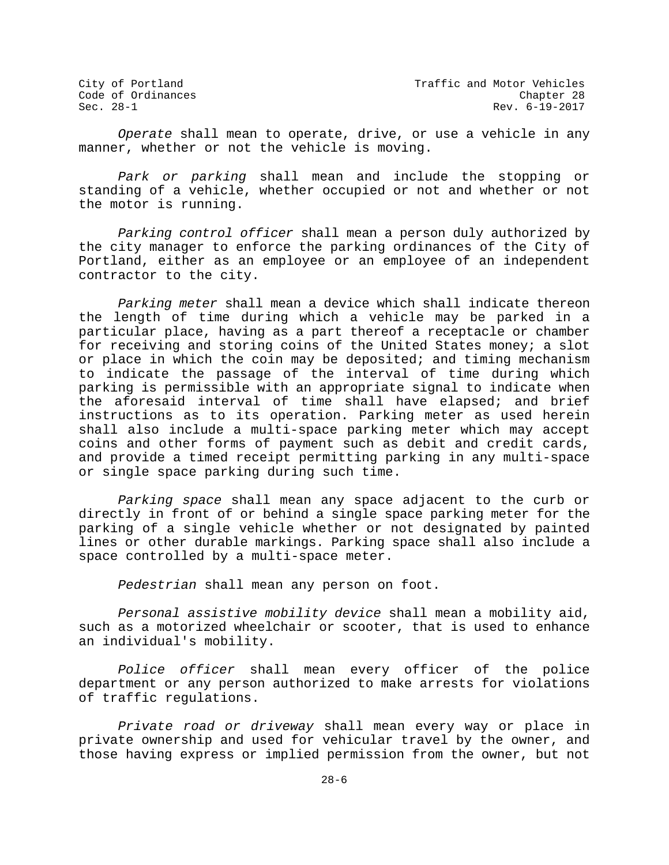City of Portland City of Portland Code of Ordinances<br>Code of Ordinances Code of Ordinances Rev. 6-19-2017

*Operate* shall mean to operate, drive, or use a vehicle in any manner, whether or not the vehicle is moving.

*Park or parking* shall mean and include the stopping or standing of a vehicle, whether occupied or not and whether or not the motor is running.

*Parking control officer* shall mean a person duly authorized by the city manager to enforce the parking ordinances of the City of Portland, either as an employee or an employee of an independent contractor to the city.

*Parking meter* shall mean a device which shall indicate thereon the length of time during which a vehicle may be parked in a particular place, having as a part thereof a receptacle or chamber for receiving and storing coins of the United States money; a slot or place in which the coin may be deposited; and timing mechanism to indicate the passage of the interval of time during which parking is permissible with an appropriate signal to indicate when the aforesaid interval of time shall have elapsed; and brief instructions as to its operation. Parking meter as used herein shall also include a multi-space parking meter which may accept coins and other forms of payment such as debit and credit cards, and provide a timed receipt permitting parking in any multi-space or single space parking during such time.

*Parking space* shall mean any space adjacent to the curb or directly in front of or behind a single space parking meter for the parking of a single vehicle whether or not designated by painted lines or other durable markings. Parking space shall also include a space controlled by a multi-space meter.

*Pedestrian* shall mean any person on foot.

*Personal assistive mobility device* shall mean a mobility aid, such as a motorized wheelchair or scooter, that is used to enhance an individual's mobility.

*Police officer* shall mean every officer of the police department or any person authorized to make arrests for violations of traffic regulations.

*Private road or driveway* shall mean every way or place in private ownership and used for vehicular travel by the owner, and those having express or implied permission from the owner, but not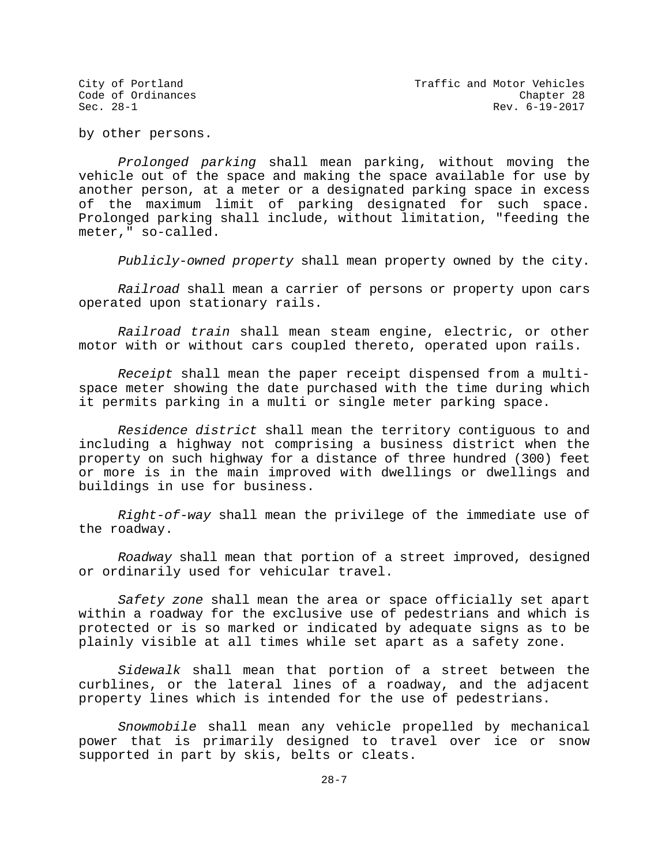by other persons.

*Prolonged parking* shall mean parking, without moving the vehicle out of the space and making the space available for use by another person, at a meter or a designated parking space in excess of the maximum limit of parking designated for such space. Prolonged parking shall include, without limitation, "feeding the meter," so-called.

*Publicly-owned property* shall mean property owned by the city.

*Railroad* shall mean a carrier of persons or property upon cars operated upon stationary rails.

*Railroad train* shall mean steam engine, electric, or other motor with or without cars coupled thereto, operated upon rails.

*Receipt* shall mean the paper receipt dispensed from a multispace meter showing the date purchased with the time during which it permits parking in a multi or single meter parking space.

*Residence district* shall mean the territory contiguous to and including a highway not comprising a business district when the property on such highway for a distance of three hundred (300) feet or more is in the main improved with dwellings or dwellings and buildings in use for business.

*Right-of-way* shall mean the privilege of the immediate use of the roadway.

*Roadway* shall mean that portion of a street improved, designed or ordinarily used for vehicular travel.

*Safety zone* shall mean the area or space officially set apart within a roadway for the exclusive use of pedestrians and which is protected or is so marked or indicated by adequate signs as to be plainly visible at all times while set apart as a safety zone.

*Sidewalk* shall mean that portion of a street between the curblines, or the lateral lines of a roadway, and the adjacent property lines which is intended for the use of pedestrians.

*Snowmobile* shall mean any vehicle propelled by mechanical power that is primarily designed to travel over ice or snow supported in part by skis, belts or cleats.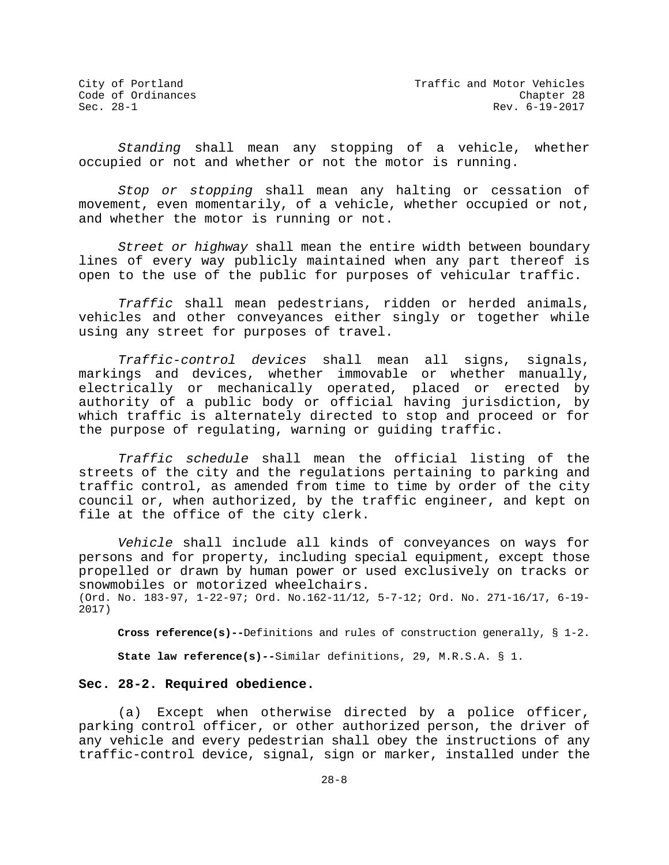*Standing* shall mean any stopping of a vehicle, whether occupied or not and whether or not the motor is running.

*Stop or stopping* shall mean any halting or cessation of movement, even momentarily, of a vehicle, whether occupied or not, and whether the motor is running or not.

*Street or highway* shall mean the entire width between boundary lines of every way publicly maintained when any part thereof is open to the use of the public for purposes of vehicular traffic.

*Traffic* shall mean pedestrians, ridden or herded animals, vehicles and other conveyances either singly or together while using any street for purposes of travel.

*Traffic-control devices* shall mean all signs, signals, markings and devices, whether immovable or whether manually, electrically or mechanically operated, placed or erected by authority of a public body or official having jurisdiction, by which traffic is alternately directed to stop and proceed or for the purpose of regulating, warning or guiding traffic.

*Traffic schedule* shall mean the official listing of the streets of the city and the regulations pertaining to parking and traffic control, as amended from time to time by order of the city council or, when authorized, by the traffic engineer, and kept on file at the office of the city clerk.

*Vehicle* shall include all kinds of conveyances on ways for persons and for property, including special equipment, except those propelled or drawn by human power or used exclusively on tracks or snowmobiles or motorized wheelchairs. (Ord. No. 183-97, 1-22-97; Ord. No.162-11/12, 5-7-12; Ord. No. 271-16/17, 6-19-

2017)

**Cross reference(s)--**Definitions and rules of construction generally, § 1-2. **State law reference(s)--**Similar definitions, 29, M.R.S.A. § 1.

# **Sec. 28-2. Required obedience.**

(a) Except when otherwise directed by a police officer, parking control officer, or other authorized person, the driver of any vehicle and every pedestrian shall obey the instructions of any traffic-control device, signal, sign or marker, installed under the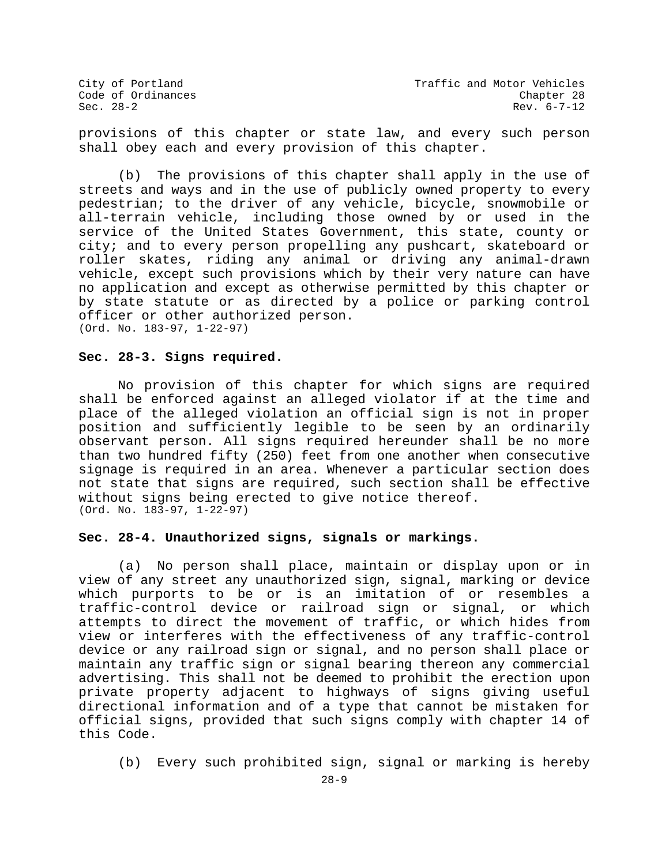provisions of this chapter or state law, and every such person shall obey each and every provision of this chapter.

(b) The provisions of this chapter shall apply in the use of streets and ways and in the use of publicly owned property to every pedestrian; to the driver of any vehicle, bicycle, snowmobile or all-terrain vehicle, including those owned by or used in the service of the United States Government, this state, county or city; and to every person propelling any pushcart, skateboard or roller skates, riding any animal or driving any animal-drawn vehicle, except such provisions which by their very nature can have no application and except as otherwise permitted by this chapter or by state statute or as directed by a police or parking control officer or other authorized person. (Ord. No. 183-97, 1-22-97)

## **Sec. 28-3. Signs required.**

No provision of this chapter for which signs are required shall be enforced against an alleged violator if at the time and place of the alleged violation an official sign is not in proper position and sufficiently legible to be seen by an ordinarily observant person. All signs required hereunder shall be no more than two hundred fifty (250) feet from one another when consecutive signage is required in an area. Whenever a particular section does not state that signs are required, such section shall be effective without signs being erected to give notice thereof. (Ord. No. 183-97, 1-22-97)

## **Sec. 28-4. Unauthorized signs, signals or markings.**

(a) No person shall place, maintain or display upon or in view of any street any unauthorized sign, signal, marking or device which purports to be or is an imitation of or resembles a traffic-control device or railroad sign or signal, or which attempts to direct the movement of traffic, or which hides from view or interferes with the effectiveness of any traffic-control device or any railroad sign or signal, and no person shall place or maintain any traffic sign or signal bearing thereon any commercial advertising. This shall not be deemed to prohibit the erection upon private property adjacent to highways of signs giving useful directional information and of a type that cannot be mistaken for official signs, provided that such signs comply with chapter 14 of this Code.

(b) Every such prohibited sign, signal or marking is hereby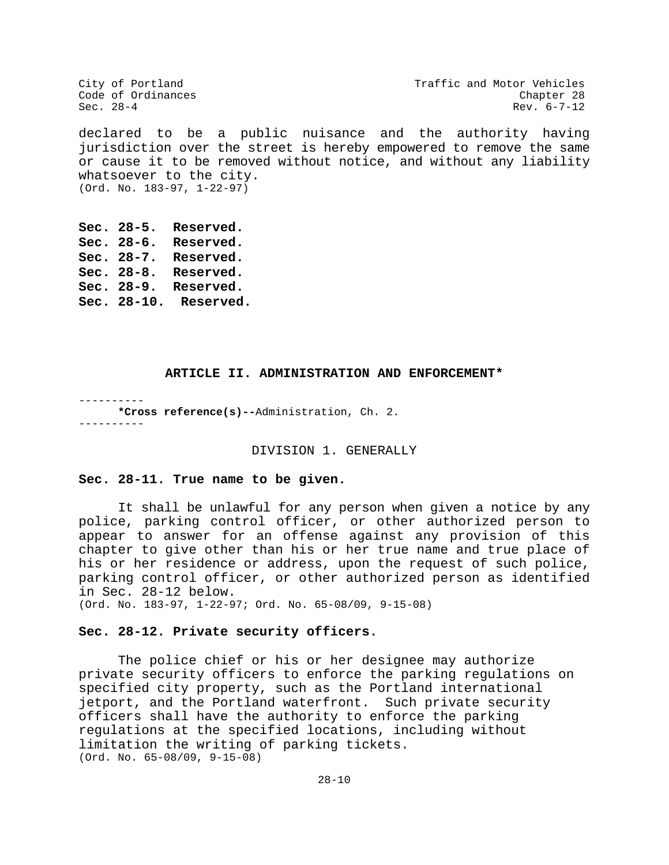City of Portland City of Portland Code of Ordinances<br>
Code of Ordinances Code Chapter 28 Code of Ordinances<br>
Sec. 28-4<br>
Sec. 28-4<br>
Rev. 6-7-12 Sec.  $28-4$  Rev. 6-7-12

declared to be a public nuisance and the authority having jurisdiction over the street is hereby empowered to remove the same or cause it to be removed without notice, and without any liability whatsoever to the city. (Ord. No. 183-97, 1-22-97)

**Sec. 28-5. Reserved. Sec. 28-6. Reserved. Sec. 28-7. Reserved. Sec. 28-8. Reserved. Sec. 28-9. Reserved. Sec. 28-10. Reserved.**

#### **ARTICLE II. ADMINISTRATION AND ENFORCEMENT\***

---------- **\*Cross reference(s)--**Administration, Ch. 2. ----------

#### DIVISION 1. GENERALLY

#### **Sec. 28-11. True name to be given.**

It shall be unlawful for any person when given a notice by any police, parking control officer, or other authorized person to appear to answer for an offense against any provision of this chapter to give other than his or her true name and true place of his or her residence or address, upon the request of such police, parking control officer, or other authorized person as identified in Sec. 28-12 below.

(Ord. No. 183-97, 1-22-97; Ord. No. 65-08/09, 9-15-08)

## **Sec. 28-12. Private security officers.**

The police chief or his or her designee may authorize private security officers to enforce the parking regulations on specified city property, such as the Portland international jetport, and the Portland waterfront. Such private security officers shall have the authority to enforce the parking regulations at the specified locations, including without limitation the writing of parking tickets. (Ord. No. 65-08/09, 9-15-08)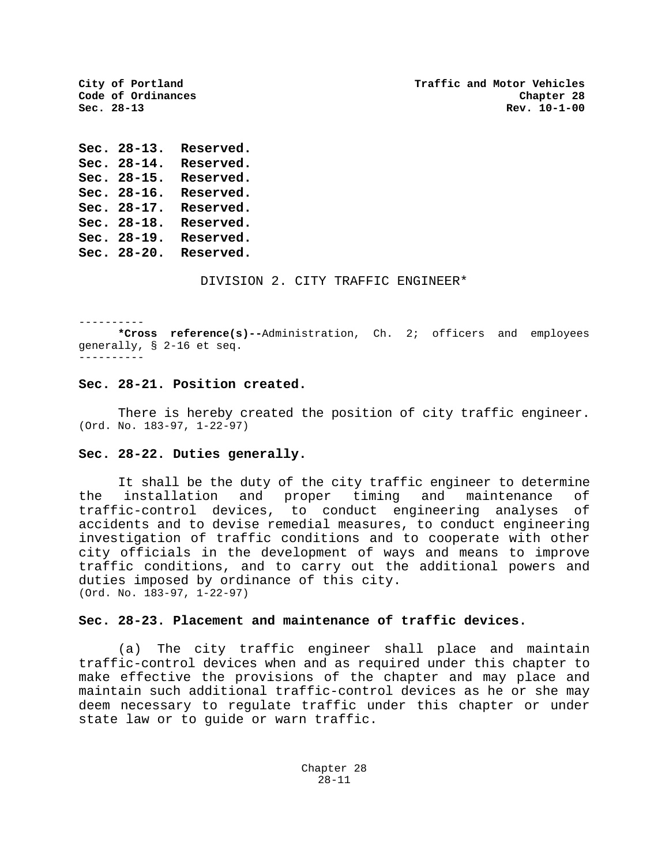**City of Portland Traffic and Motor Vehicles Sec. 28-13 Rev. 10-1-00**

**Sec. 28-13. Reserved. Sec. 28-14. Reserved. Sec. 28-15. Reserved. Sec. 28-16. Reserved. Sec. 28-17. Reserved. Sec. 28-18. Reserved. Sec. 28-19. Reserved. Sec. 28-20. Reserved.**

Code of Ordinances<br>Sec. 28-13

DIVISION 2. CITY TRAFFIC ENGINEER\*

----------

**\*Cross reference(s)--**Administration, Ch. 2; officers and employees generally, § 2-16 et seq. ----------

## **Sec. 28-21. Position created.**

There is hereby created the position of city traffic engineer. (Ord. No. 183-97, 1-22-97)

#### **Sec. 28-22. Duties generally.**

It shall be the duty of the city traffic engineer to determine the installation and proper timing and maintenance of traffic-control devices, to conduct engineering analyses of accidents and to devise remedial measures, to conduct engineering investigation of traffic conditions and to cooperate with other city officials in the development of ways and means to improve traffic conditions, and to carry out the additional powers and duties imposed by ordinance of this city. (Ord. No. 183-97, 1-22-97)

## **Sec. 28-23. Placement and maintenance of traffic devices.**

(a) The city traffic engineer shall place and maintain traffic-control devices when and as required under this chapter to make effective the provisions of the chapter and may place and maintain such additional traffic-control devices as he or she may deem necessary to regulate traffic under this chapter or under state law or to guide or warn traffic.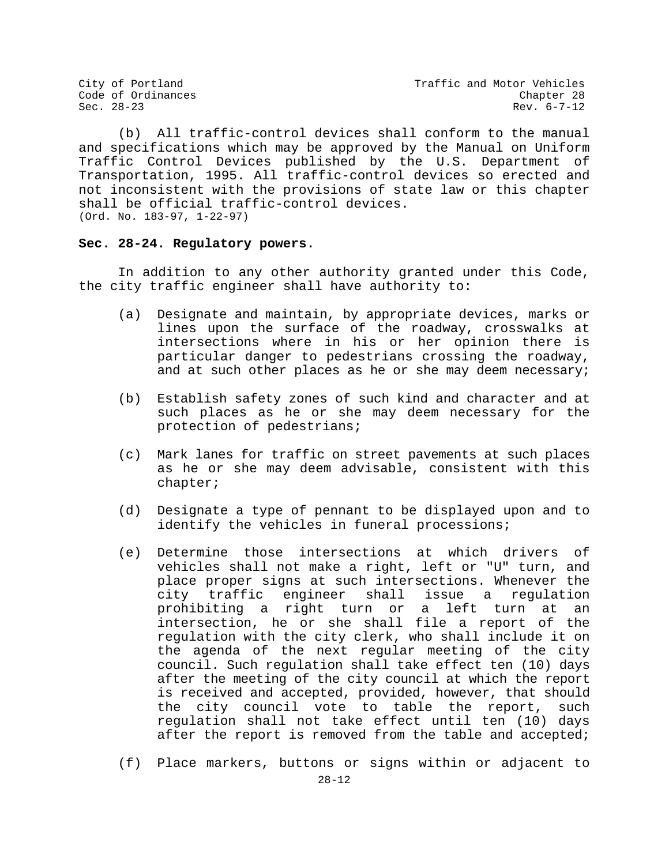(b) All traffic-control devices shall conform to the manual and specifications which may be approved by the Manual on Uniform Traffic Control Devices published by the U.S. Department of Transportation, 1995. All traffic-control devices so erected and not inconsistent with the provisions of state law or this chapter shall be official traffic-control devices. (Ord. No. 183-97, 1-22-97)

## **Sec. 28-24. Regulatory powers.**

In addition to any other authority granted under this Code, the city traffic engineer shall have authority to:

- (a) Designate and maintain, by appropriate devices, marks or lines upon the surface of the roadway, crosswalks at intersections where in his or her opinion there is particular danger to pedestrians crossing the roadway, and at such other places as he or she may deem necessary;
- (b) Establish safety zones of such kind and character and at such places as he or she may deem necessary for the protection of pedestrians;
- (c) Mark lanes for traffic on street pavements at such places as he or she may deem advisable, consistent with this chapter;
- (d) Designate a type of pennant to be displayed upon and to identify the vehicles in funeral processions;
- (e) Determine those intersections at which drivers of vehicles shall not make a right, left or "U" turn, and place proper signs at such intersections. Whenever the city traffic engineer shall issue a regulation prohibiting a right turn or a left turn at an intersection, he or she shall file a report of the regulation with the city clerk, who shall include it on the agenda of the next regular meeting of the city council. Such regulation shall take effect ten (10) days after the meeting of the city council at which the report is received and accepted, provided, however, that should the city council vote to table the report, such regulation shall not take effect until ten (10) days after the report is removed from the table and accepted;
- (f) Place markers, buttons or signs within or adjacent to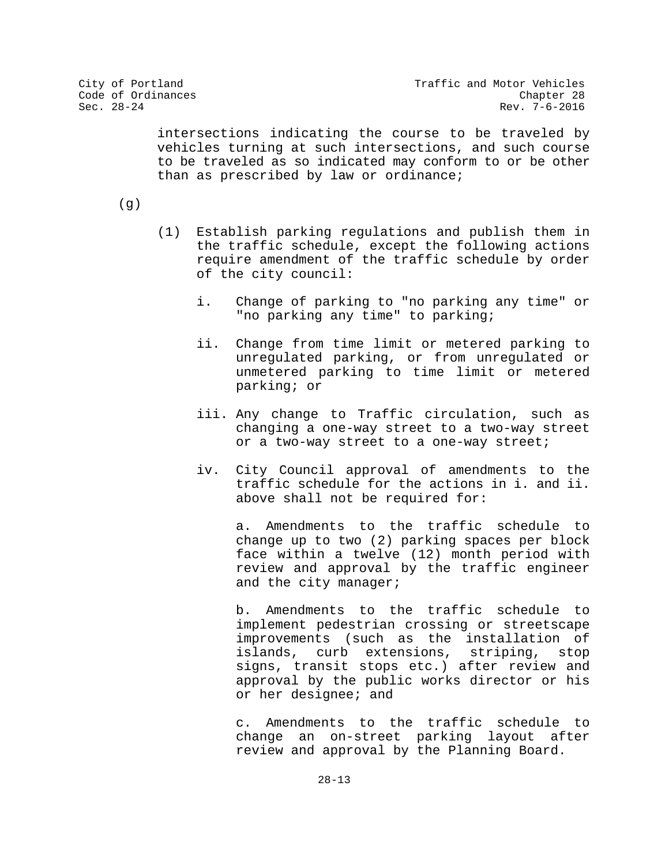intersections indicating the course to be traveled by vehicles turning at such intersections, and such course to be traveled as so indicated may conform to or be other than as prescribed by law or ordinance;

(g)

- (1) Establish parking regulations and publish them in the traffic schedule, except the following actions require amendment of the traffic schedule by order of the city council:
	- i. Change of parking to "no parking any time" or "no parking any time" to parking;
	- ii. Change from time limit or metered parking to unregulated parking, or from unregulated or unmetered parking to time limit or metered parking; or
	- iii. Any change to Traffic circulation, such as changing a one-way street to a two-way street or a two-way street to a one-way street;
	- iv. City Council approval of amendments to the traffic schedule for the actions in i. and ii. above shall not be required for:

a. Amendments to the traffic schedule to change up to two (2) parking spaces per block face within a twelve (12) month period with review and approval by the traffic engineer and the city manager;

b. Amendments to the traffic schedule to implement pedestrian crossing or streetscape improvements (such as the installation of islands, curb extensions, striping, stop signs, transit stops etc.) after review and approval by the public works director or his or her designee; and

c. Amendments to the traffic schedule to change an on-street parking layout after review and approval by the Planning Board.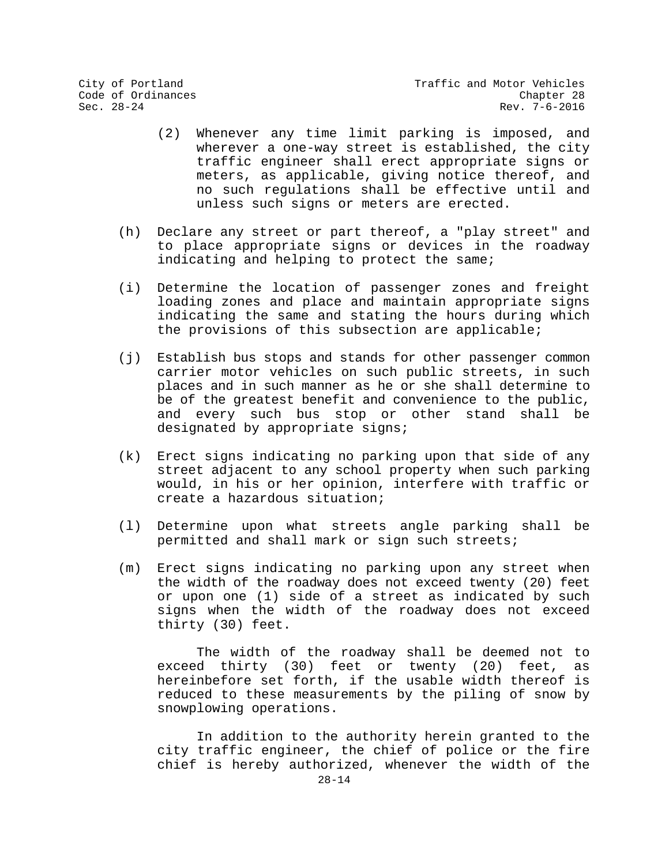- (2) Whenever any time limit parking is imposed, and wherever a one-way street is established, the city traffic engineer shall erect appropriate signs or meters, as applicable, giving notice thereof, and no such regulations shall be effective until and unless such signs or meters are erected.
- (h) Declare any street or part thereof, a "play street" and to place appropriate signs or devices in the roadway indicating and helping to protect the same;
- (i) Determine the location of passenger zones and freight loading zones and place and maintain appropriate signs indicating the same and stating the hours during which the provisions of this subsection are applicable;
- (j) Establish bus stops and stands for other passenger common carrier motor vehicles on such public streets, in such places and in such manner as he or she shall determine to be of the greatest benefit and convenience to the public, and every such bus stop or other stand shall be designated by appropriate signs;
- (k) Erect signs indicating no parking upon that side of any street adjacent to any school property when such parking would, in his or her opinion, interfere with traffic or create a hazardous situation;
- (l) Determine upon what streets angle parking shall be permitted and shall mark or sign such streets;
- (m) Erect signs indicating no parking upon any street when the width of the roadway does not exceed twenty (20) feet or upon one (1) side of a street as indicated by such signs when the width of the roadway does not exceed thirty (30) feet.

The width of the roadway shall be deemed not to exceed thirty (30) feet or twenty (20) feet, as hereinbefore set forth, if the usable width thereof is reduced to these measurements by the piling of snow by snowplowing operations.

In addition to the authority herein granted to the city traffic engineer, the chief of police or the fire chief is hereby authorized, whenever the width of the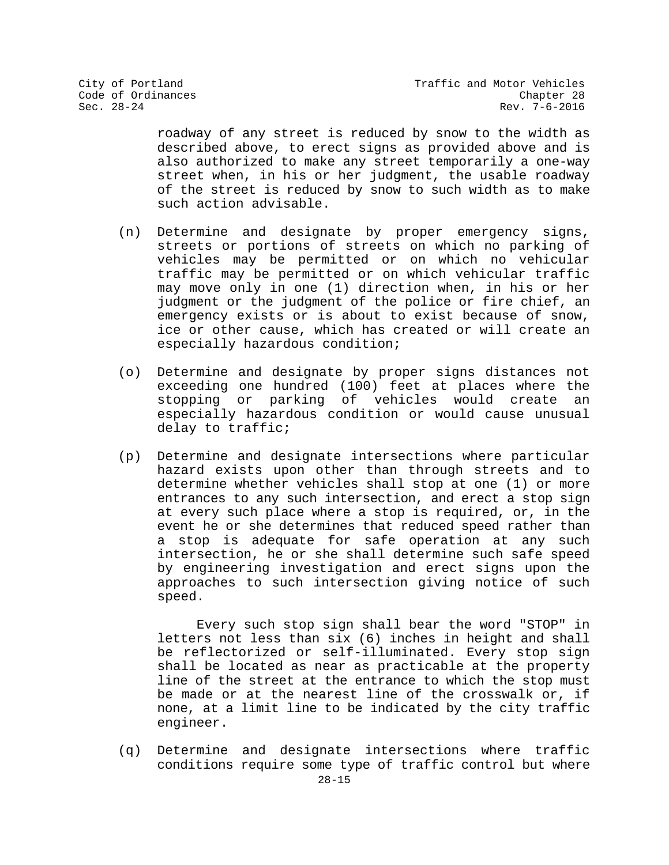roadway of any street is reduced by snow to the width as described above, to erect signs as provided above and is also authorized to make any street temporarily a one-way street when, in his or her judgment, the usable roadway of the street is reduced by snow to such width as to make such action advisable.

- (n) Determine and designate by proper emergency signs, streets or portions of streets on which no parking of vehicles may be permitted or on which no vehicular traffic may be permitted or on which vehicular traffic may move only in one (1) direction when, in his or her judgment or the judgment of the police or fire chief, an emergency exists or is about to exist because of snow, ice or other cause, which has created or will create an especially hazardous condition;
- (o) Determine and designate by proper signs distances not exceeding one hundred (100) feet at places where the stopping or parking of vehicles would create an especially hazardous condition or would cause unusual delay to traffic;
- (p) Determine and designate intersections where particular hazard exists upon other than through streets and to determine whether vehicles shall stop at one (1) or more entrances to any such intersection, and erect a stop sign at every such place where a stop is required, or, in the event he or she determines that reduced speed rather than a stop is adequate for safe operation at any such intersection, he or she shall determine such safe speed by engineering investigation and erect signs upon the approaches to such intersection giving notice of such speed.

Every such stop sign shall bear the word "STOP" in letters not less than six (6) inches in height and shall be reflectorized or self-illuminated. Every stop sign shall be located as near as practicable at the property line of the street at the entrance to which the stop must be made or at the nearest line of the crosswalk or, if none, at a limit line to be indicated by the city traffic engineer.

(q) Determine and designate intersections where traffic conditions require some type of traffic control but where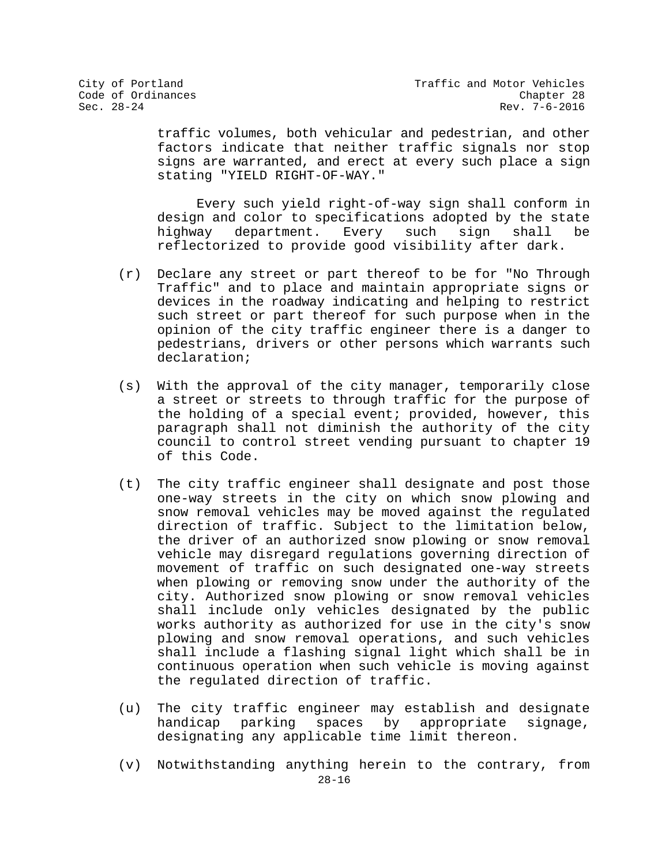traffic volumes, both vehicular and pedestrian, and other factors indicate that neither traffic signals nor stop signs are warranted, and erect at every such place a sign stating "YIELD RIGHT-OF-WAY."

Every such yield right-of-way sign shall conform in design and color to specifications adopted by the state<br>highway department. Every such sign shall be department. reflectorized to provide good visibility after dark.

- (r) Declare any street or part thereof to be for "No Through Traffic" and to place and maintain appropriate signs or devices in the roadway indicating and helping to restrict such street or part thereof for such purpose when in the opinion of the city traffic engineer there is a danger to pedestrians, drivers or other persons which warrants such declaration;
- (s) With the approval of the city manager, temporarily close a street or streets to through traffic for the purpose of the holding of a special event; provided, however, this paragraph shall not diminish the authority of the city council to control street vending pursuant to chapter 19 of this Code.
- (t) The city traffic engineer shall designate and post those one-way streets in the city on which snow plowing and snow removal vehicles may be moved against the regulated direction of traffic. Subject to the limitation below, the driver of an authorized snow plowing or snow removal vehicle may disregard regulations governing direction of movement of traffic on such designated one-way streets when plowing or removing snow under the authority of the city. Authorized snow plowing or snow removal vehicles shall include only vehicles designated by the public works authority as authorized for use in the city's snow plowing and snow removal operations, and such vehicles shall include a flashing signal light which shall be in continuous operation when such vehicle is moving against the regulated direction of traffic.
- (u) The city traffic engineer may establish and designate<br>handicap parking spaces by appropriate signage, handicap parking spaces by appropriate designating any applicable time limit thereon.
- 28-16 (v) Notwithstanding anything herein to the contrary, from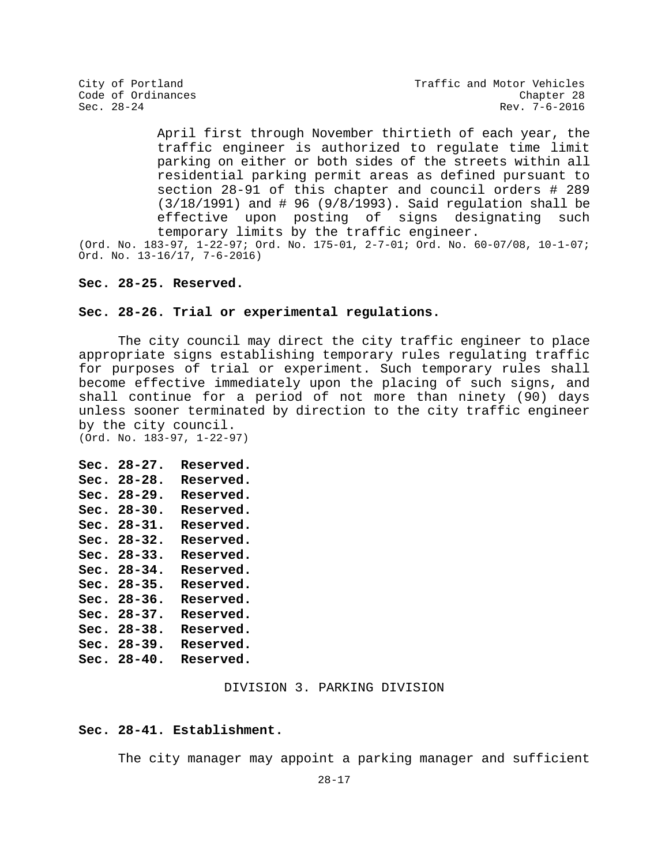City of Portland City of Portland Code of Ordinances<br>Code of Ordinances Code of Ordinances Rev. 7-6-2016

> April first through November thirtieth of each year, the traffic engineer is authorized to regulate time limit parking on either or both sides of the streets within all residential parking permit areas as defined pursuant to section 28-91 of this chapter and council orders # 289 (3/18/1991) and # 96 (9/8/1993). Said regulation shall be effective upon posting of signs designating such temporary limits by the traffic engineer.

(Ord. No. 183-97, 1-22-97; Ord. No. 175-01, 2-7-01; Ord. No. 60-07/08, 10-1-07; Ord. No. 13-16/17, 7-6-2016)

## **Sec. 28-25. Reserved.**

## **Sec. 28-26. Trial or experimental regulations.**

The city council may direct the city traffic engineer to place appropriate signs establishing temporary rules regulating traffic for purposes of trial or experiment. Such temporary rules shall become effective immediately upon the placing of such signs, and shall continue for a period of not more than ninety (90) days unless sooner terminated by direction to the city traffic engineer by the city council.

(Ord. No. 183-97, 1-22-97)

| Sec. | 28-27.      | <b>Reserved.</b> |
|------|-------------|------------------|
| Sec. | $28 - 28.$  | Reserved.        |
| Sec. | 28-29.      | Reserved.        |
| Sec. | 28-30.      | <b>Reserved.</b> |
| Sec. | $28 - 31$ . | Reserved.        |
| Sec. | $28 - 32$ . | Reserved.        |
| Sec. | 28-33.      | <b>Reserved.</b> |
| Sec. | 28-34.      | Reserved.        |
| Sec. | 28-35.      | <b>Reserved.</b> |
| Sec. | $28 - 36$ . | Reserved.        |
| Sec. | $28 - 37$ . | <b>Reserved.</b> |
| Sec. | $28 - 38.$  | <b>Reserved.</b> |
| Sec. | 28-39.      | Reserved.        |
| Sec. | 28-40.      | <b>Reserved.</b> |
|      |             |                  |

#### DIVISION 3. PARKING DIVISION

#### **Sec. 28-41. Establishment.**

The city manager may appoint a parking manager and sufficient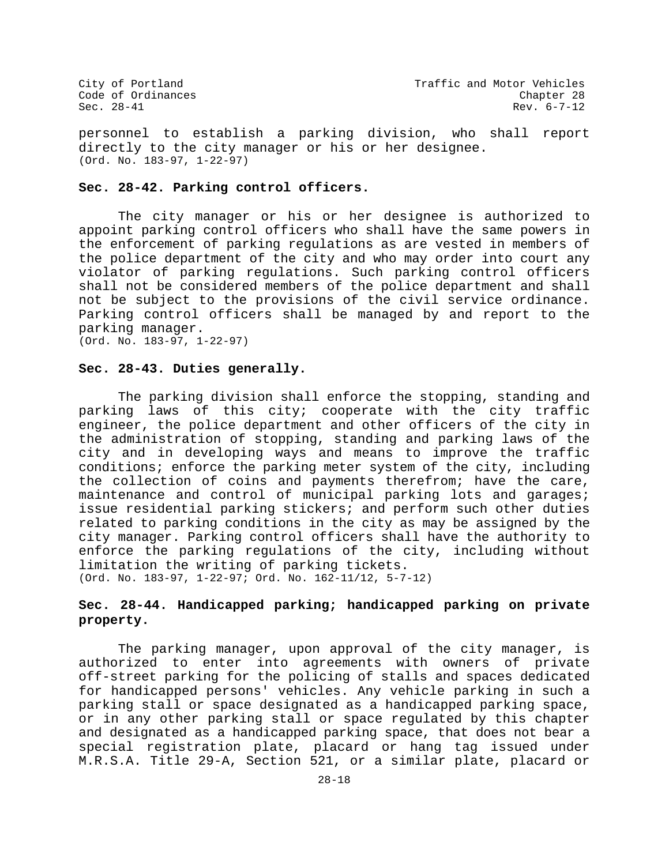personnel to establish a parking division, who shall report directly to the city manager or his or her designee. (Ord. No. 183-97, 1-22-97)

#### **Sec. 28-42. Parking control officers.**

The city manager or his or her designee is authorized to appoint parking control officers who shall have the same powers in the enforcement of parking regulations as are vested in members of the police department of the city and who may order into court any violator of parking regulations. Such parking control officers shall not be considered members of the police department and shall not be subject to the provisions of the civil service ordinance. Parking control officers shall be managed by and report to the parking manager. (Ord. No. 183-97, 1-22-97)

#### **Sec. 28-43. Duties generally.**

The parking division shall enforce the stopping, standing and parking laws of this city; cooperate with the city traffic engineer, the police department and other officers of the city in the administration of stopping, standing and parking laws of the city and in developing ways and means to improve the traffic conditions; enforce the parking meter system of the city, including the collection of coins and payments therefrom; have the care, maintenance and control of municipal parking lots and garages; issue residential parking stickers; and perform such other duties related to parking conditions in the city as may be assigned by the city manager. Parking control officers shall have the authority to enforce the parking regulations of the city, including without limitation the writing of parking tickets. (Ord. No. 183-97, 1-22-97; Ord. No. 162-11/12, 5-7-12)

# **Sec. 28-44. Handicapped parking; handicapped parking on private property.**

The parking manager, upon approval of the city manager, is authorized to enter into agreements with owners of private off-street parking for the policing of stalls and spaces dedicated for handicapped persons' vehicles. Any vehicle parking in such a parking stall or space designated as a handicapped parking space, or in any other parking stall or space regulated by this chapter and designated as a handicapped parking space, that does not bear a special registration plate, placard or hang tag issued under M.R.S.A. Title 29-A, Section 521, or a similar plate, placard or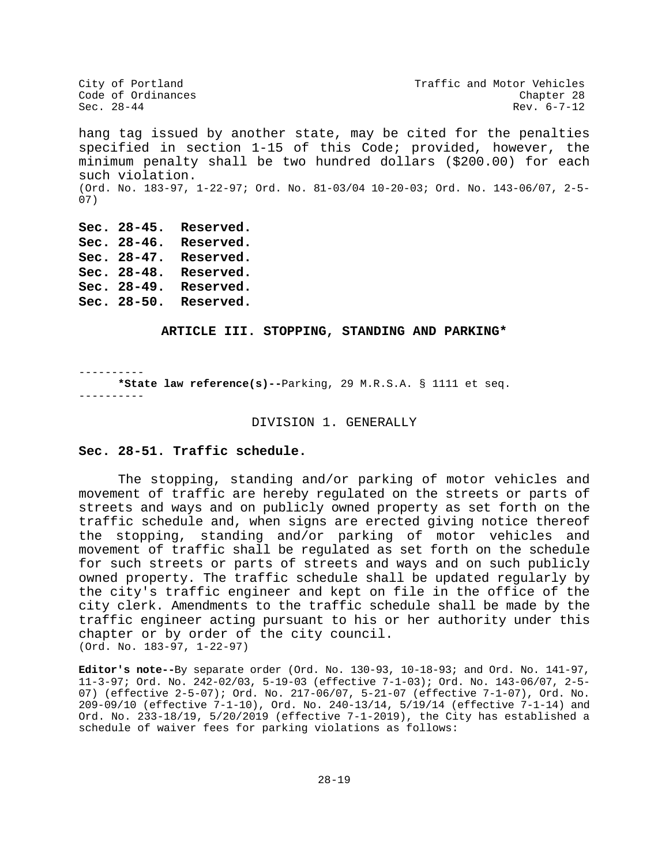City of Portland City of Portland Code of Ordinances<br>
Code of Ordinances Code Chapter 28 Code of Ordinances<br>Sec. 28-44  $Rev. 6-7-12$ hang tag issued by another state, may be cited for the penalties specified in section 1-15 of this Code; provided, however, the minimum penalty shall be two hundred dollars (\$200.00) for each such violation. (Ord. No. 183-97, 1-22-97; Ord. No. 81-03/04 10-20-03; Ord. No. 143-06/07, 2-5- 07) **Sec. 28-45. Reserved. Sec. 28-46. Reserved.**

**Sec. 28-47. Reserved. Sec. 28-48. Reserved. Sec. 28-49. Reserved. Sec. 28-50. Reserved.**

## **ARTICLE III. STOPPING, STANDING AND PARKING\***

---------- **\*State law reference(s)--**Parking, 29 M.R.S.A. § 1111 et seq. ----------

#### DIVISION 1. GENERALLY

#### **Sec. 28-51. Traffic schedule.**

The stopping, standing and/or parking of motor vehicles and movement of traffic are hereby regulated on the streets or parts of streets and ways and on publicly owned property as set forth on the traffic schedule and, when signs are erected giving notice thereof the stopping, standing and/or parking of motor vehicles and movement of traffic shall be regulated as set forth on the schedule for such streets or parts of streets and ways and on such publicly owned property. The traffic schedule shall be updated regularly by the city's traffic engineer and kept on file in the office of the city clerk. Amendments to the traffic schedule shall be made by the traffic engineer acting pursuant to his or her authority under this chapter or by order of the city council. (Ord. No. 183-97, 1-22-97)

**Editor's note--**By separate order (Ord. No. 130-93, 10-18-93; and Ord. No. 141-97, 11-3-97; Ord. No. 242-02/03, 5-19-03 (effective 7-1-03); Ord. No. 143-06/07, 2-5- 07) (effective 2-5-07); Ord. No. 217-06/07, 5-21-07 (effective 7-1-07), Ord. No. 209-09/10 (effective 7-1-10), Ord. No. 240-13/14, 5/19/14 (effective 7-1-14) and Ord. No. 233-18/19, 5/20/2019 (effective 7-1-2019), the City has established a schedule of waiver fees for parking violations as follows: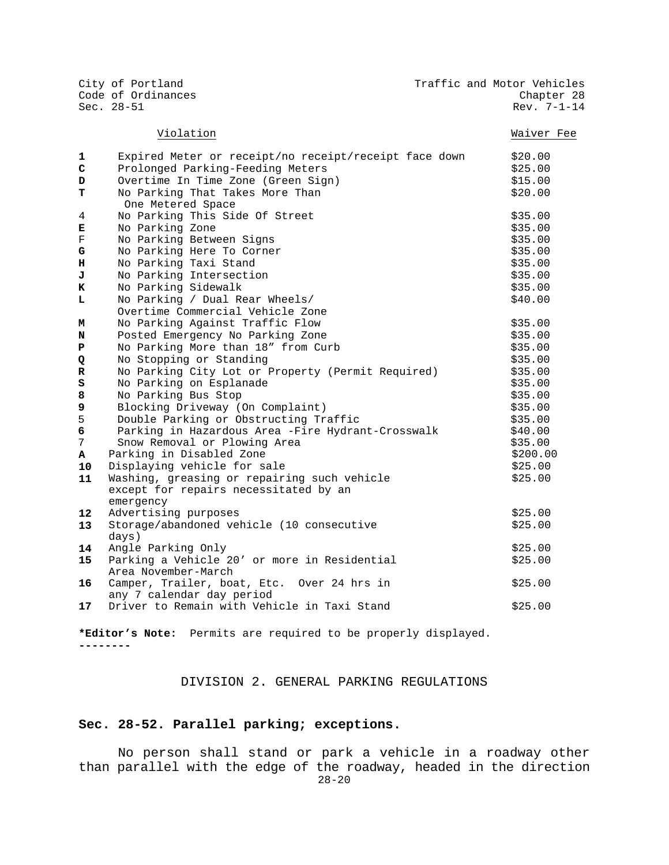City of Portland City of Portland Code of Ordinances<br>
Code of Ordinances Code Chapter 28 Code of Ordinances<br>Sec. 28-51 Rev. 7-1-14

## Violation Waiver Fee

| 1       | Expired Meter or receipt/no receipt/receipt face down | \$20.00  |
|---------|-------------------------------------------------------|----------|
| C       | Prolonged Parking-Feeding Meters                      | \$25.00  |
| D       | Overtime In Time Zone (Green Sign)                    | \$15.00  |
| т       | No Parking That Takes More Than                       | \$20.00  |
|         | One Metered Space                                     |          |
| 4       | No Parking This Side Of Street                        | \$35.00  |
| Е       | No Parking Zone                                       | \$35.00  |
| F       | No Parking Between Signs                              | \$35.00  |
| G       | No Parking Here To Corner                             | \$35.00  |
| н       | No Parking Taxi Stand                                 | \$35.00  |
| J       | No Parking Intersection                               | \$35.00  |
| к       | No Parking Sidewalk                                   | \$35.00  |
| L       | No Parking / Dual Rear Wheels/                        | \$40.00  |
|         | Overtime Commercial Vehicle Zone                      |          |
| М       | No Parking Against Traffic Flow                       | \$35.00  |
| N       | Posted Emergency No Parking Zone                      | \$35.00  |
| P       | No Parking More than 18" from Curb                    | \$35.00  |
| Q       | No Stopping or Standing                               | \$35.00  |
| R       | No Parking City Lot or Property (Permit Required)     | \$35.00  |
| S       | No Parking on Esplanade                               | \$35.00  |
| 8       | No Parking Bus Stop                                   | \$35.00  |
| 9       | Blocking Driveway (On Complaint)                      | \$35.00  |
| 5       | Double Parking or Obstructing Traffic                 | \$35.00  |
| 6       | Parking in Hazardous Area -Fire Hydrant-Crosswalk     | \$40.00  |
| 7       | Snow Removal or Plowing Area                          | \$35.00  |
| A       | Parking in Disabled Zone                              | \$200.00 |
| 10      | Displaying vehicle for sale                           | \$25.00  |
| 11      | Washing, greasing or repairing such vehicle           | \$25.00  |
|         | except for repairs necessitated by an                 |          |
|         | emergency                                             |          |
| $12 \,$ | Advertising purposes                                  | \$25.00  |
| 13      | Storage/abandoned vehicle (10 consecutive             | \$25.00  |
|         | days)                                                 |          |
| 14      | Angle Parking Only                                    | \$25.00  |

days)<br>Anqle **14** Angle Parking Only **Example 2018 12** Angle Parking Only **15** Parking a Vehicle 20' or more in Residential Area November-March \$25.00 **16** Camper, Trailer, boat, Etc. Over 24 hrs in any 7 calendar day period \$25.00 **17** Driver to Remain with Vehicle in Taxi Stand  $\frac{17}{25.00}$ 

**\*Editor's Note:** Permits are required to be properly displayed. **--------**

#### DIVISION 2. GENERAL PARKING REGULATIONS

#### **Sec. 28-52. Parallel parking; exceptions.**

28-20 No person shall stand or park a vehicle in a roadway other than parallel with the edge of the roadway, headed in the direction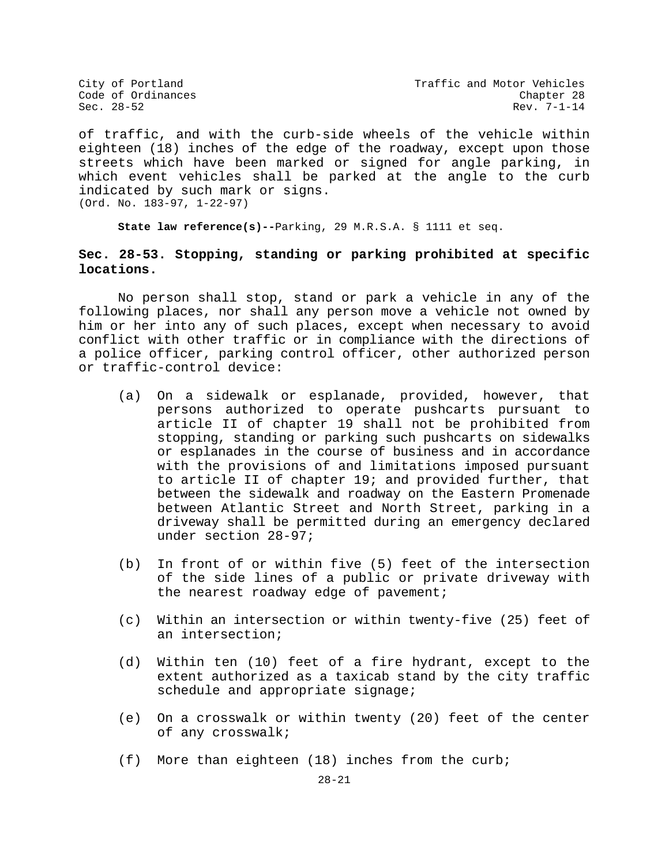City of Portland City of Portland Code of Ordinances<br>
Code of Ordinances Code Chapter 28 Rev. 7-1-14

of traffic, and with the curb-side wheels of the vehicle within eighteen (18) inches of the edge of the roadway, except upon those streets which have been marked or signed for angle parking, in which event vehicles shall be parked at the angle to the curb indicated by such mark or signs. (Ord. No. 183-97, 1-22-97)

**State law reference(s)--**Parking, 29 M.R.S.A. § 1111 et seq.

# **Sec. 28-53. Stopping, standing or parking prohibited at specific locations.**

No person shall stop, stand or park a vehicle in any of the following places, nor shall any person move a vehicle not owned by him or her into any of such places, except when necessary to avoid conflict with other traffic or in compliance with the directions of a police officer, parking control officer, other authorized person or traffic-control device:

- (a) On a sidewalk or esplanade, provided, however, that persons authorized to operate pushcarts pursuant to article II of chapter 19 shall not be prohibited from stopping, standing or parking such pushcarts on sidewalks or esplanades in the course of business and in accordance with the provisions of and limitations imposed pursuant to article II of chapter 19; and provided further, that between the sidewalk and roadway on the Eastern Promenade between Atlantic Street and North Street, parking in a driveway shall be permitted during an emergency declared under section 28-97;
- (b) In front of or within five (5) feet of the intersection of the side lines of a public or private driveway with the nearest roadway edge of pavement;
- (c) Within an intersection or within twenty-five (25) feet of an intersection;
- (d) Within ten (10) feet of a fire hydrant, except to the extent authorized as a taxicab stand by the city traffic schedule and appropriate signage;
- (e) On a crosswalk or within twenty (20) feet of the center of any crosswalk;
- (f) More than eighteen (18) inches from the curb;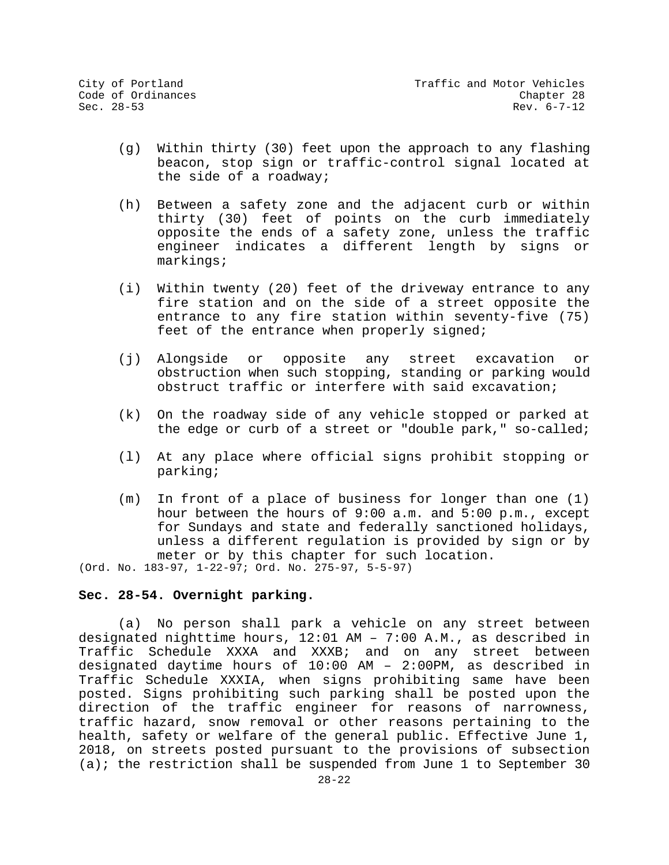- (g) Within thirty (30) feet upon the approach to any flashing beacon, stop sign or traffic-control signal located at the side of a roadway;
- (h) Between a safety zone and the adjacent curb or within thirty (30) feet of points on the curb immediately opposite the ends of a safety zone, unless the traffic engineer indicates a different length by signs or markings;
- (i) Within twenty (20) feet of the driveway entrance to any fire station and on the side of a street opposite the entrance to any fire station within seventy-five (75) feet of the entrance when properly signed;
- (j) Alongside or opposite any street excavation or obstruction when such stopping, standing or parking would obstruct traffic or interfere with said excavation;
- (k) On the roadway side of any vehicle stopped or parked at the edge or curb of a street or "double park," so-called;
- (l) At any place where official signs prohibit stopping or parking;
- (m) In front of a place of business for longer than one (1) hour between the hours of 9:00 a.m. and 5:00 p.m., except for Sundays and state and federally sanctioned holidays, unless a different regulation is provided by sign or by meter or by this chapter for such location.

(Ord. No. 183-97, 1-22-97; Ord. No. 275-97, 5-5-97)

## **Sec. 28-54. Overnight parking.**

(a) No person shall park a vehicle on any street between designated nighttime hours, 12:01 AM – 7:00 A.M., as described in Traffic Schedule XXXA and XXXB; and on any street between designated daytime hours of 10:00 AM – 2:00PM, as described in Traffic Schedule XXXIA, when signs prohibiting same have been posted. Signs prohibiting such parking shall be posted upon the direction of the traffic engineer for reasons of narrowness, traffic hazard, snow removal or other reasons pertaining to the health, safety or welfare of the general public. Effective June 1, 2018, on streets posted pursuant to the provisions of subsection (a); the restriction shall be suspended from June 1 to September 30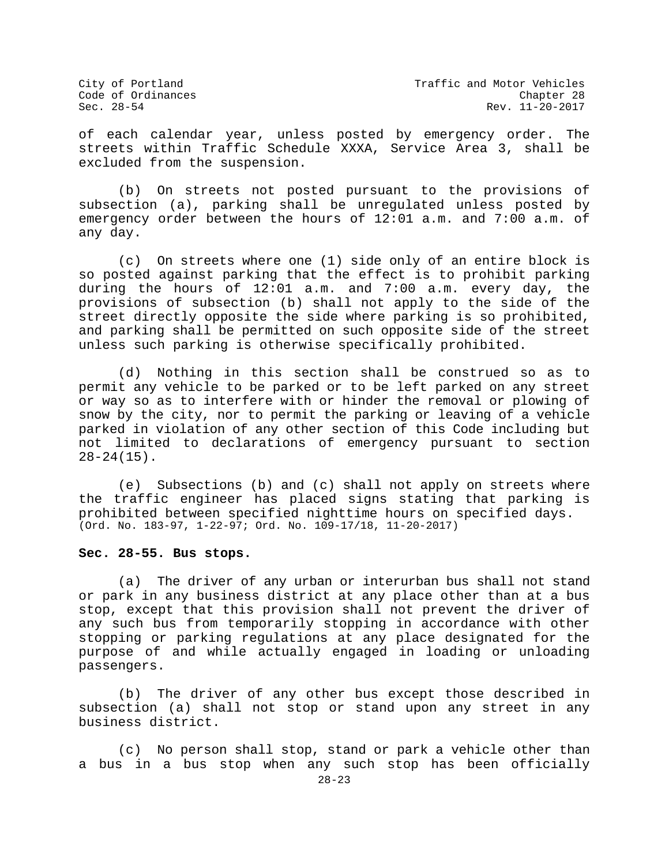City of Portland City of Portland Code of Ordinances<br>Code of Ordinances Code of Ordinances Rev. 11-20-2017

of each calendar year, unless posted by emergency order. The streets within Traffic Schedule XXXA, Service Area 3, shall be excluded from the suspension.

(b) On streets not posted pursuant to the provisions of subsection (a), parking shall be unregulated unless posted by emergency order between the hours of 12:01 a.m. and 7:00 a.m. of any day.

(c) On streets where one (1) side only of an entire block is so posted against parking that the effect is to prohibit parking during the hours of 12:01 a.m. and 7:00 a.m. every day, the provisions of subsection (b) shall not apply to the side of the street directly opposite the side where parking is so prohibited, and parking shall be permitted on such opposite side of the street unless such parking is otherwise specifically prohibited.

(d) Nothing in this section shall be construed so as to permit any vehicle to be parked or to be left parked on any street or way so as to interfere with or hinder the removal or plowing of snow by the city, nor to permit the parking or leaving of a vehicle parked in violation of any other section of this Code including but not limited to declarations of emergency pursuant to section 28-24(15).

(e) Subsections (b) and (c) shall not apply on streets where the traffic engineer has placed signs stating that parking is prohibited between specified nighttime hours on specified days. (Ord. No. 183-97, 1-22-97; Ord. No. 109-17/18, 11-20-2017)

#### **Sec. 28-55. Bus stops.**

(a) The driver of any urban or interurban bus shall not stand or park in any business district at any place other than at a bus stop, except that this provision shall not prevent the driver of any such bus from temporarily stopping in accordance with other stopping or parking regulations at any place designated for the purpose of and while actually engaged in loading or unloading passengers.

(b) The driver of any other bus except those described in subsection (a) shall not stop or stand upon any street in any business district.

(c) No person shall stop, stand or park a vehicle other than a bus in a bus stop when any such stop has been officially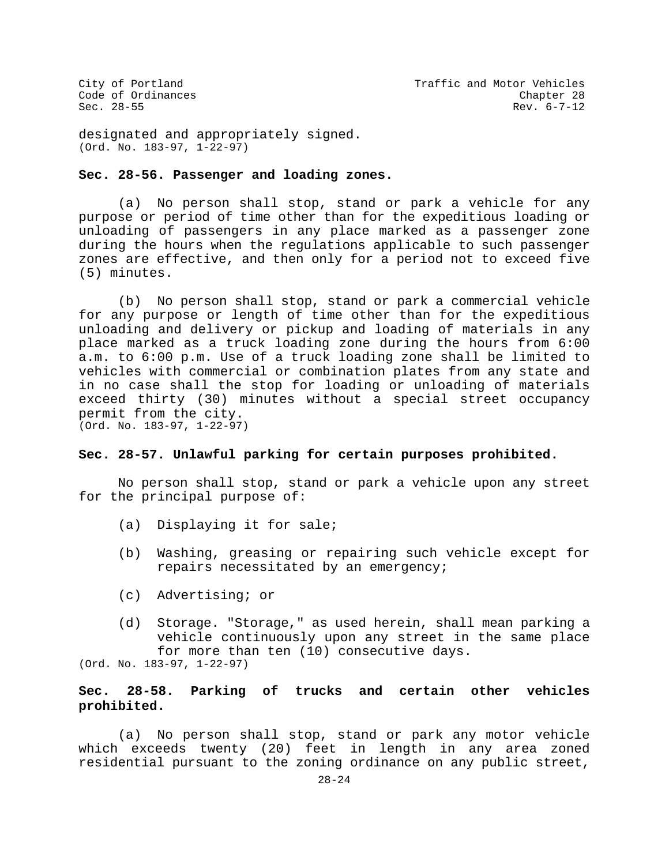designated and appropriately signed. (Ord. No. 183-97, 1-22-97)

## **Sec. 28-56. Passenger and loading zones.**

(a) No person shall stop, stand or park a vehicle for any purpose or period of time other than for the expeditious loading or unloading of passengers in any place marked as a passenger zone during the hours when the regulations applicable to such passenger zones are effective, and then only for a period not to exceed five (5) minutes.

(b) No person shall stop, stand or park a commercial vehicle for any purpose or length of time other than for the expeditious unloading and delivery or pickup and loading of materials in any place marked as a truck loading zone during the hours from 6:00 a.m. to 6:00 p.m. Use of a truck loading zone shall be limited to vehicles with commercial or combination plates from any state and in no case shall the stop for loading or unloading of materials exceed thirty (30) minutes without a special street occupancy permit from the city. (Ord. No. 183-97, 1-22-97)

## **Sec. 28-57. Unlawful parking for certain purposes prohibited.**

No person shall stop, stand or park a vehicle upon any street for the principal purpose of:

- (a) Displaying it for sale;
- (b) Washing, greasing or repairing such vehicle except for repairs necessitated by an emergency;
- (c) Advertising; or
- (d) Storage. "Storage," as used herein, shall mean parking a vehicle continuously upon any street in the same place for more than ten (10) consecutive days.

(Ord. No. 183-97, 1-22-97)

# **Sec. 28-58. Parking of trucks and certain other vehicles prohibited.**

(a) No person shall stop, stand or park any motor vehicle which exceeds twenty (20) feet in length in any area zoned residential pursuant to the zoning ordinance on any public street,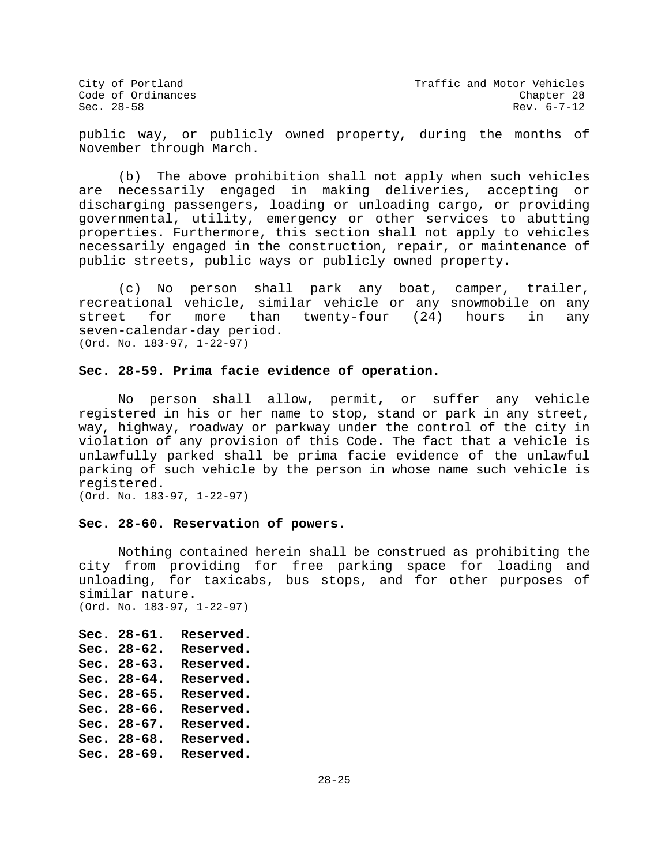public way, or publicly owned property, during the months of November through March.

(b) The above prohibition shall not apply when such vehicles are necessarily engaged in making deliveries, accepting or discharging passengers, loading or unloading cargo, or providing governmental, utility, emergency or other services to abutting properties. Furthermore, this section shall not apply to vehicles necessarily engaged in the construction, repair, or maintenance of public streets, public ways or publicly owned property.

(c) No person shall park any boat, camper, trailer, recreational vehicle, similar vehicle or any snowmobile on any<br>street for more than twenty-four (24) hours in any twenty-four (24) seven-calendar-day period. (Ord. No. 183-97, 1-22-97)

## **Sec. 28-59. Prima facie evidence of operation.**

No person shall allow, permit, or suffer any vehicle registered in his or her name to stop, stand or park in any street, way, highway, roadway or parkway under the control of the city in violation of any provision of this Code. The fact that a vehicle is unlawfully parked shall be prima facie evidence of the unlawful parking of such vehicle by the person in whose name such vehicle is registered.

(Ord. No. 183-97, 1-22-97)

#### **Sec. 28-60. Reservation of powers.**

Nothing contained herein shall be construed as prohibiting the city from providing for free parking space for loading and unloading, for taxicabs, bus stops, and for other purposes of similar nature. (Ord. No. 183-97, 1-22-97)

**Sec. 28-61. Reserved. Sec. 28-62. Reserved. Sec. 28-63. Reserved. Sec. 28-64. Reserved. Sec. 28-65. Reserved. Sec. 28-66. Reserved. Sec. 28-67. Reserved. Sec. 28-68. Reserved. Sec. 28-69. Reserved.**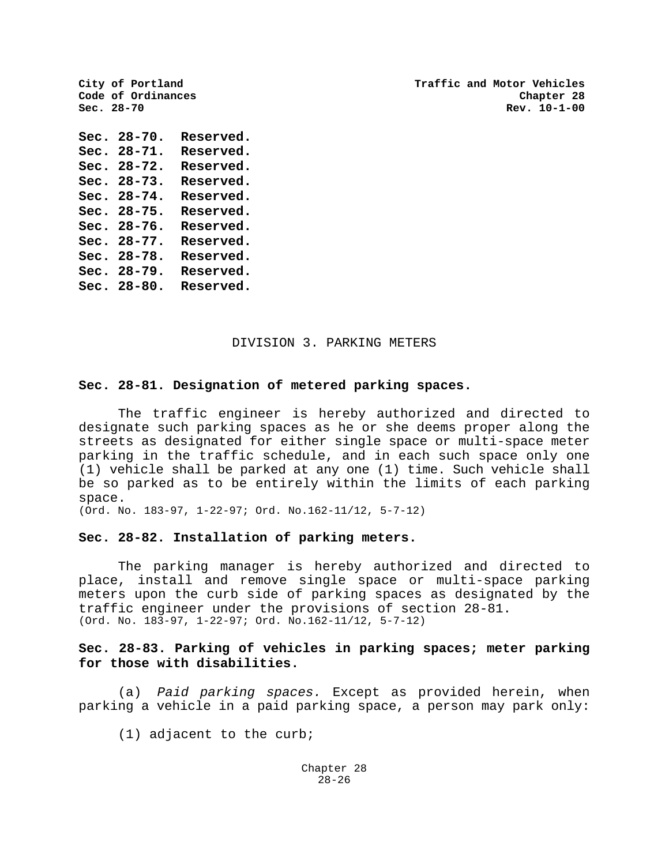**City of Portland Traffic and Motor Vehicles Sec. 28-70 Rev. 10-1-00**

**Sec. 28-70. Reserved. Sec. 28-71. Reserved. Sec. 28-72. Reserved. Sec. 28-73. Reserved. Sec. 28-74. Reserved. Sec. 28-75. Reserved. Sec. 28-76. Reserved. Sec. 28-77. Reserved. Sec. 28-78. Reserved. Sec. 28-79. Reserved. Sec. 28-80. Reserved.**

Code of Ordinances<br>Sec. 28-70

## DIVISION 3. PARKING METERS

## **Sec. 28-81. Designation of metered parking spaces.**

The traffic engineer is hereby authorized and directed to designate such parking spaces as he or she deems proper along the streets as designated for either single space or multi-space meter parking in the traffic schedule, and in each such space only one (1) vehicle shall be parked at any one (1) time. Such vehicle shall be so parked as to be entirely within the limits of each parking space.

(Ord. No. 183-97, 1-22-97; Ord. No.162-11/12, 5-7-12)

#### **Sec. 28-82. Installation of parking meters.**

The parking manager is hereby authorized and directed to place, install and remove single space or multi-space parking meters upon the curb side of parking spaces as designated by the traffic engineer under the provisions of section 28-81. (Ord. No. 183-97, 1-22-97; Ord. No.162-11/12, 5-7-12)

# **Sec. 28-83. Parking of vehicles in parking spaces; meter parking for those with disabilities.**

(a) *Paid parking spaces.* Except as provided herein, when parking a vehicle in a paid parking space, a person may park only:

(1) adjacent to the curb;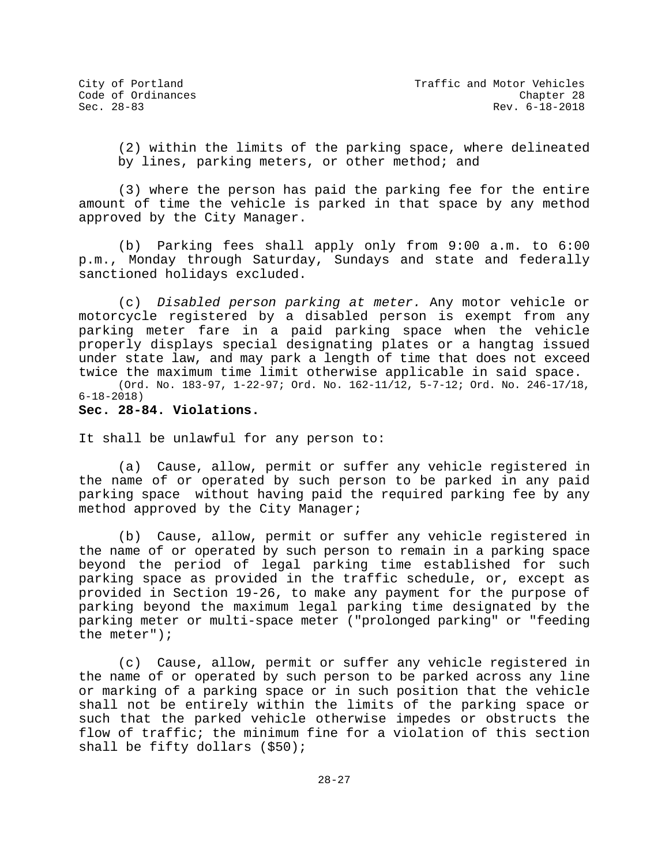(2) within the limits of the parking space, where delineated by lines, parking meters, or other method; and

(3) where the person has paid the parking fee for the entire amount of time the vehicle is parked in that space by any method approved by the City Manager.

(b) Parking fees shall apply only from 9:00 a.m. to 6:00 p.m., Monday through Saturday, Sundays and state and federally sanctioned holidays excluded.

(c) *Disabled person parking at meter.* Any motor vehicle or motorcycle registered by a disabled person is exempt from any parking meter fare in a paid parking space when the vehicle properly displays special designating plates or a hangtag issued under state law, and may park a length of time that does not exceed twice the maximum time limit otherwise applicable in said space.

(Ord. No. 183-97, 1-22-97; Ord. No. 162-11/12, 5-7-12; Ord. No. 246-17/18, 6-18-2018)

## **Sec. 28-84. Violations.**

It shall be unlawful for any person to:

(a) Cause, allow, permit or suffer any vehicle registered in the name of or operated by such person to be parked in any paid parking space without having paid the required parking fee by any method approved by the City Manager;

(b) Cause, allow, permit or suffer any vehicle registered in the name of or operated by such person to remain in a parking space beyond the period of legal parking time established for such parking space as provided in the traffic schedule, or, except as provided in Section 19-26, to make any payment for the purpose of parking beyond the maximum legal parking time designated by the parking meter or multi-space meter ("prolonged parking" or "feeding the meter");

(c) Cause, allow, permit or suffer any vehicle registered in the name of or operated by such person to be parked across any line or marking of a parking space or in such position that the vehicle shall not be entirely within the limits of the parking space or such that the parked vehicle otherwise impedes or obstructs the flow of traffic; the minimum fine for a violation of this section shall be fifty dollars (\$50);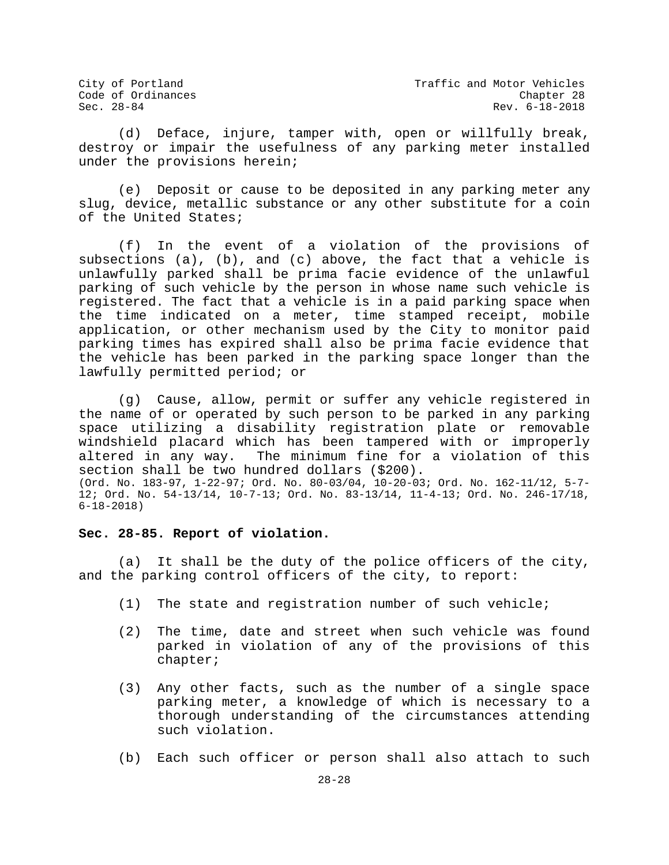(d) Deface, injure, tamper with, open or willfully break, destroy or impair the usefulness of any parking meter installed under the provisions herein;

(e) Deposit or cause to be deposited in any parking meter any slug, device, metallic substance or any other substitute for a coin of the United States;

(f) In the event of a violation of the provisions of subsections (a), (b), and (c) above, the fact that a vehicle is unlawfully parked shall be prima facie evidence of the unlawful parking of such vehicle by the person in whose name such vehicle is registered. The fact that a vehicle is in a paid parking space when the time indicated on a meter, time stamped receipt, mobile application, or other mechanism used by the City to monitor paid parking times has expired shall also be prima facie evidence that the vehicle has been parked in the parking space longer than the lawfully permitted period; or

(g) Cause, allow, permit or suffer any vehicle registered in the name of or operated by such person to be parked in any parking space utilizing a disability registration plate or removable windshield placard which has been tampered with or improperly<br>altered in any way. The minimum fine for a violation of this The minimum fine for a violation of this section shall be two hundred dollars (\$200). (Ord. No. 183-97, 1-22-97; Ord. No. 80-03/04, 10-20-03; Ord. No. 162-11/12, 5-7- 12; Ord. No. 54-13/14, 10-7-13; Ord. No. 83-13/14, 11-4-13; Ord. No. 246-17/18, 6-18-2018)

#### **Sec. 28-85. Report of violation.**

(a) It shall be the duty of the police officers of the city, and the parking control officers of the city, to report:

- (1) The state and registration number of such vehicle;
- (2) The time, date and street when such vehicle was found parked in violation of any of the provisions of this chapter;
- (3) Any other facts, such as the number of a single space parking meter, a knowledge of which is necessary to a thorough understanding of the circumstances attending such violation.
- (b) Each such officer or person shall also attach to such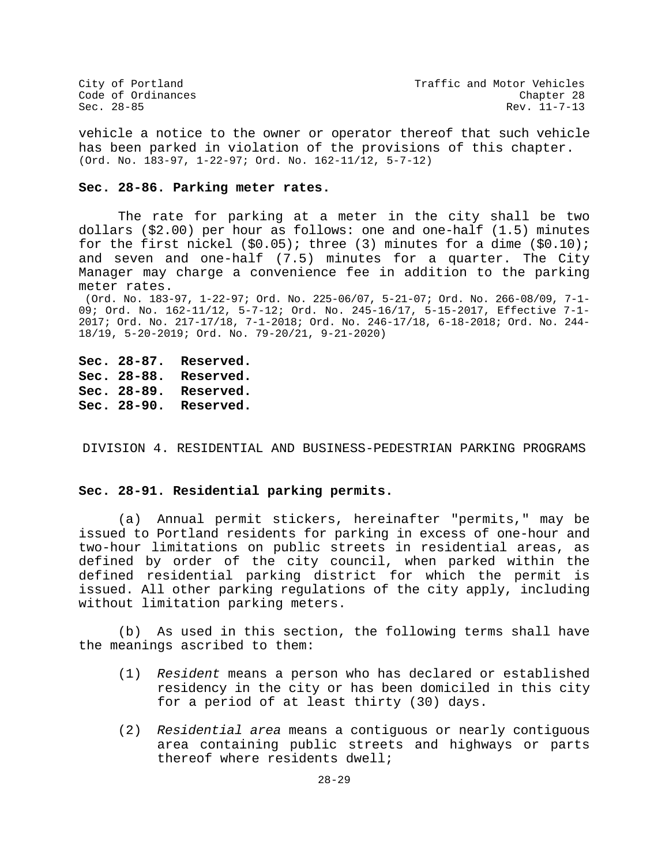City of Portland City of Portland Code of Ordinances<br>
Code of Ordinances Code Chapter 28 Rev. 11-7-13

vehicle a notice to the owner or operator thereof that such vehicle has been parked in violation of the provisions of this chapter. (Ord. No. 183-97, 1-22-97; Ord. No. 162-11/12, 5-7-12)

#### **Sec. 28-86. Parking meter rates.**

The rate for parking at a meter in the city shall be two dollars (\$2.00) per hour as follows: one and one-half (1.5) minutes for the first nickel  $(\$0.05)$ ; three (3) minutes for a dime  $(\$0.10)$ ; and seven and one-half (7.5) minutes for a quarter. The City Manager may charge a convenience fee in addition to the parking meter rates.

(Ord. No. 183-97, 1-22-97; Ord. No. 225-06/07, 5-21-07; Ord. No. 266-08/09, 7-1- 09; Ord. No. 162-11/12, 5-7-12; Ord. No. 245-16/17, 5-15-2017, Effective 7-1- 2017; Ord. No. 217-17/18, 7-1-2018; Ord. No. 246-17/18, 6-18-2018; Ord. No. 244- 18/19, 5-20-2019; Ord. No. 79-20/21, 9-21-2020)

**Sec. 28-87. Reserved. Sec. 28-88. Reserved. Sec. 28-89. Reserved. Sec. 28-90. Reserved.**

DIVISION 4. RESIDENTIAL AND BUSINESS-PEDESTRIAN PARKING PROGRAMS

## **Sec. 28-91. Residential parking permits.**

(a) Annual permit stickers, hereinafter "permits," may be issued to Portland residents for parking in excess of one-hour and two-hour limitations on public streets in residential areas, as defined by order of the city council, when parked within the defined residential parking district for which the permit is issued. All other parking regulations of the city apply, including without limitation parking meters.

(b) As used in this section, the following terms shall have the meanings ascribed to them:

- (1) *Resident* means a person who has declared or established residency in the city or has been domiciled in this city for a period of at least thirty (30) days.
- (2) *Residential area* means a contiguous or nearly contiguous area containing public streets and highways or parts thereof where residents dwell;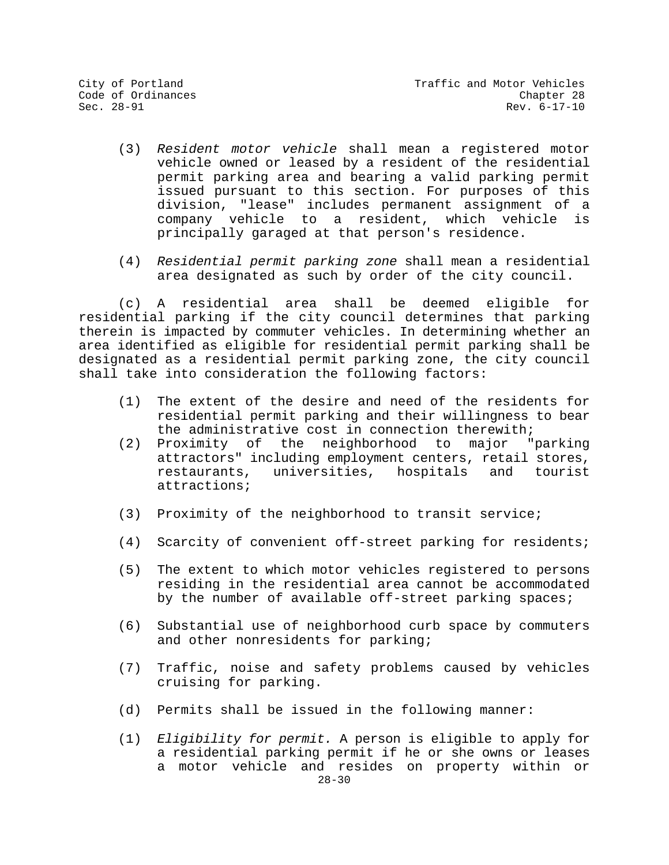- (3) *Resident motor vehicle* shall mean a registered motor vehicle owned or leased by a resident of the residential permit parking area and bearing a valid parking permit issued pursuant to this section. For purposes of this division, "lease" includes permanent assignment of a company vehicle to a resident, which vehicle principally garaged at that person's residence.
- (4) *Residential permit parking zone* shall mean a residential area designated as such by order of the city council.

(c) A residential area shall be deemed eligible for residential parking if the city council determines that parking therein is impacted by commuter vehicles. In determining whether an area identified as eligible for residential permit parking shall be designated as a residential permit parking zone, the city council shall take into consideration the following factors:

- (1) The extent of the desire and need of the residents for residential permit parking and their willingness to bear
- the administrative cost in connection therewith;<br>Proximity of the neighborhood to major "parking  $(2)$  Proximity of the neighborhood to major attractors" including employment centers, retail stores, universities, hospitals and tourist attractions;
- (3) Proximity of the neighborhood to transit service;
- (4) Scarcity of convenient off-street parking for residents;
- (5) The extent to which motor vehicles registered to persons residing in the residential area cannot be accommodated by the number of available off-street parking spaces;
- (6) Substantial use of neighborhood curb space by commuters and other nonresidents for parking;
- (7) Traffic, noise and safety problems caused by vehicles cruising for parking.
- (d) Permits shall be issued in the following manner:
- $28 30$ (1) *Eligibility for permit.* A person is eligible to apply for a residential parking permit if he or she owns or leases a motor vehicle and resides on property within or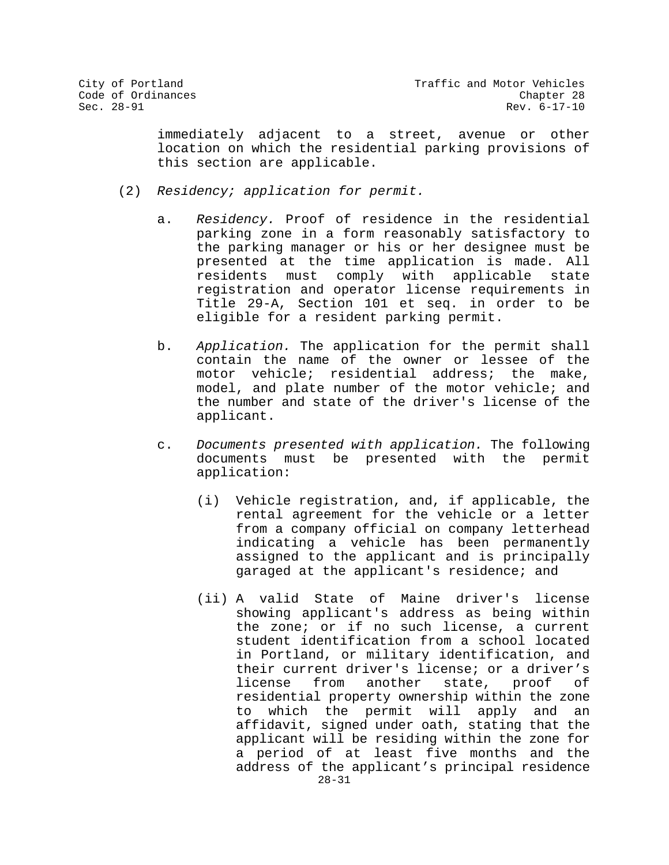immediately adjacent to a street, avenue or other location on which the residential parking provisions of this section are applicable.

- (2) *Residency; application for permit.*
	- a. *Residency.* Proof of residence in the residential parking zone in a form reasonably satisfactory to the parking manager or his or her designee must be presented at the time application is made. All<br>residents must comply with applicable state must comply with applicable registration and operator license requirements in Title 29-A, Section 101 et seq. in order to be eligible for a resident parking permit.
	- b. *Application.* The application for the permit shall contain the name of the owner or lessee of the motor vehicle; residential address; the make, model, and plate number of the motor vehicle; and the number and state of the driver's license of the applicant.
	- c. *Documents presented with application.* The following documents must be presented with the permit application:
		- (i) Vehicle registration, and, if applicable, the rental agreement for the vehicle or a letter from a company official on company letterhead indicating a vehicle has been permanently assigned to the applicant and is principally garaged at the applicant's residence; and
		- 28-31 (ii) A valid State of Maine driver's license showing applicant's address as being within the zone; or if no such license, a current student identification from a school located in Portland, or military identification, and their current driver's license; or a driver's<br>license from another state, proof of state, proof of residential property ownership within the zone to which the permit will apply and an affidavit, signed under oath, stating that the applicant will be residing within the zone for a period of at least five months and the address of the applicant's principal residence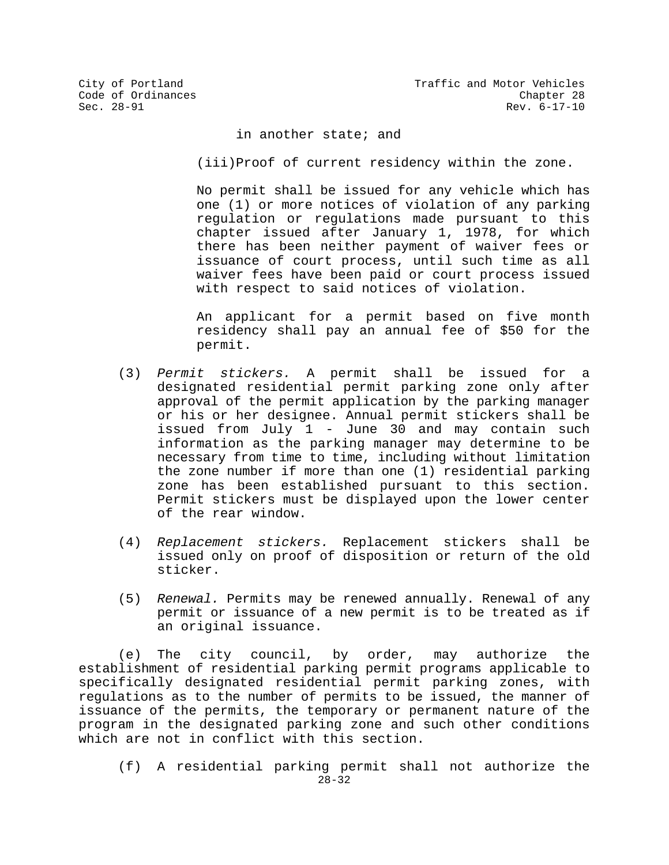in another state; and

(iii)Proof of current residency within the zone.

No permit shall be issued for any vehicle which has one (1) or more notices of violation of any parking regulation or regulations made pursuant to this chapter issued after January 1, 1978, for which there has been neither payment of waiver fees or issuance of court process, until such time as all waiver fees have been paid or court process issued with respect to said notices of violation.

An applicant for a permit based on five month residency shall pay an annual fee of \$50 for the permit.

- (3) *Permit stickers.* A permit shall be issued for a designated residential permit parking zone only after approval of the permit application by the parking manager or his or her designee. Annual permit stickers shall be issued from July 1 - June 30 and may contain such information as the parking manager may determine to be necessary from time to time, including without limitation the zone number if more than one (1) residential parking zone has been established pursuant to this section. Permit stickers must be displayed upon the lower center of the rear window.
- (4) *Replacement stickers.* Replacement stickers shall be issued only on proof of disposition or return of the old sticker.
- (5) *Renewal.* Permits may be renewed annually. Renewal of any permit or issuance of a new permit is to be treated as if an original issuance.

(e) The city council, by order, may authorize the establishment of residential parking permit programs applicable to specifically designated residential permit parking zones, with regulations as to the number of permits to be issued, the manner of issuance of the permits, the temporary or permanent nature of the program in the designated parking zone and such other conditions which are not in conflict with this section.

28-32 (f) A residential parking permit shall not authorize the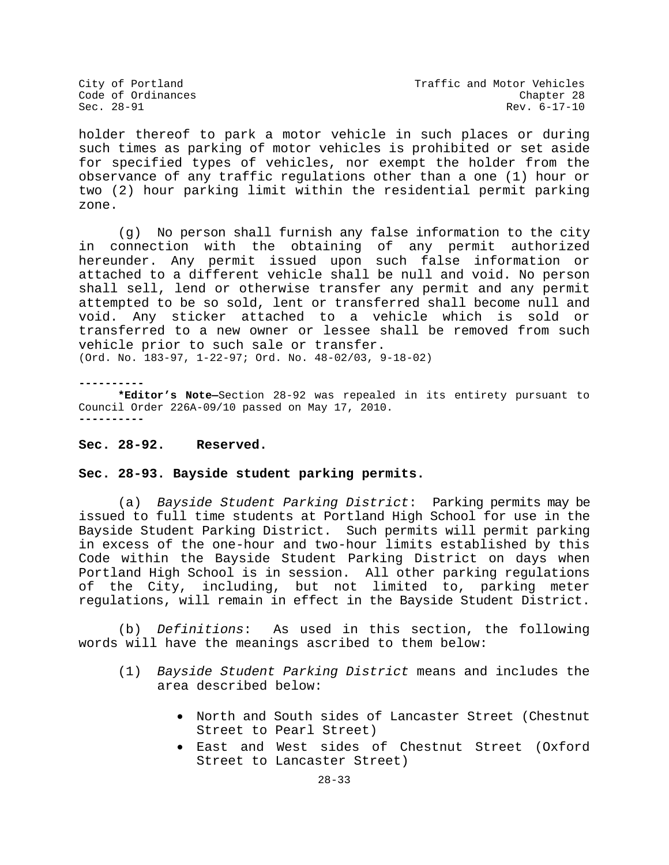holder thereof to park a motor vehicle in such places or during such times as parking of motor vehicles is prohibited or set aside for specified types of vehicles, nor exempt the holder from the observance of any traffic regulations other than a one (1) hour or two (2) hour parking limit within the residential permit parking zone.

(g) No person shall furnish any false information to the city in connection with the obtaining of any permit authorized hereunder. Any permit issued upon such false information or attached to a different vehicle shall be null and void. No person shall sell, lend or otherwise transfer any permit and any permit attempted to be so sold, lent or transferred shall become null and void. Any sticker attached to a vehicle which is sold or transferred to a new owner or lessee shall be removed from such vehicle prior to such sale or transfer.

(Ord. No. 183-97, 1-22-97; Ord. No. 48-02/03, 9-18-02)

**----------**

**\*Editor's Note—**Section 28-92 was repealed in its entirety pursuant to Council Order 226A-09/10 passed on May 17, 2010. **----------**

## **Sec. 28-92. Reserved.**

## **Sec. 28-93. Bayside student parking permits.**

(a) *Bayside Student Parking District*: Parking permits may be issued to full time students at Portland High School for use in the Bayside Student Parking District. Such permits will permit parking in excess of the one-hour and two-hour limits established by this Code within the Bayside Student Parking District on days when Portland High School is in session. All other parking regulations of the City, including, but not limited to, parking meter regulations, will remain in effect in the Bayside Student District.

(b) *Definitions*: As used in this section, the following words will have the meanings ascribed to them below:

- (1) *Bayside Student Parking District* means and includes the area described below:
	- North and South sides of Lancaster Street (Chestnut Street to Pearl Street)
	- East and West sides of Chestnut Street (Oxford Street to Lancaster Street)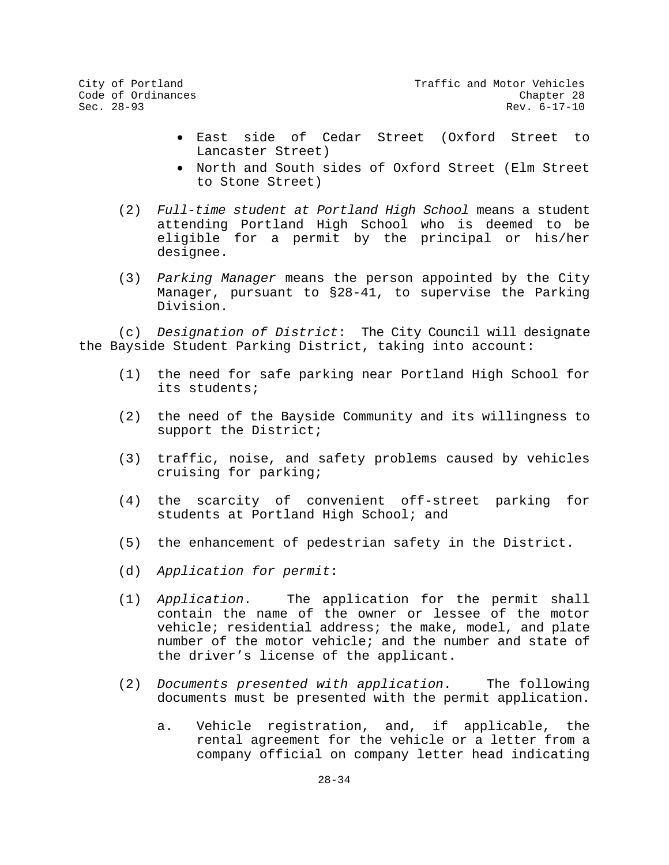- East side of Cedar Street (Oxford Street to Lancaster Street)
- North and South sides of Oxford Street (Elm Street to Stone Street)
- (2) *Full-time student at Portland High School* means a student attending Portland High School who is deemed to be eligible for a permit by the principal or his/her designee.
- (3) *Parking Manager* means the person appointed by the City Manager, pursuant to §28-41, to supervise the Parking Division.

(c) *Designation of District*: The City Council will designate the Bayside Student Parking District, taking into account:

- (1) the need for safe parking near Portland High School for its students;
- (2) the need of the Bayside Community and its willingness to support the District;
- (3) traffic, noise, and safety problems caused by vehicles cruising for parking;
- (4) the scarcity of convenient off-street parking for students at Portland High School; and
- (5) the enhancement of pedestrian safety in the District.
- (d) *Application for permit*:
- (1) *Application*. The application for the permit shall contain the name of the owner or lessee of the motor vehicle; residential address; the make, model, and plate number of the motor vehicle; and the number and state of the driver's license of the applicant.
- (2) *Documents presented with application*. The following documents must be presented with the permit application.
	- a. Vehicle registration, and, if applicable, the rental agreement for the vehicle or a letter from a company official on company letter head indicating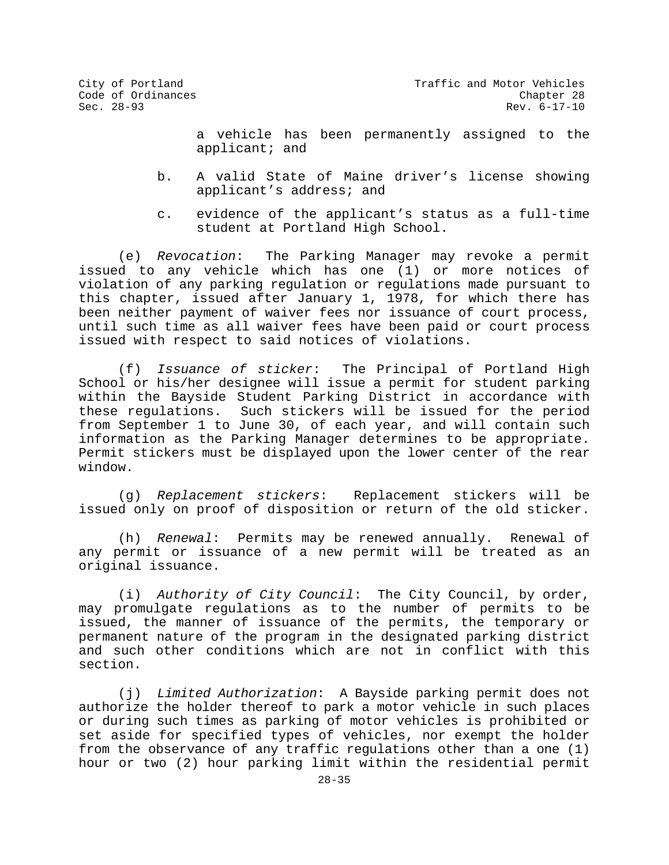City of Portland City of Portland Code of Ordinances<br>Code of Ordinances Code of Ordinances Rev. 6-17-10

> a vehicle has been permanently assigned to the applicant; and

- b. A valid State of Maine driver's license showing applicant's address; and
- c. evidence of the applicant's status as a full-time student at Portland High School.

(e) *Revocation*: The Parking Manager may revoke a permit issued to any vehicle which has one (1) or more notices of violation of any parking regulation or regulations made pursuant to this chapter, issued after January 1, 1978, for which there has been neither payment of waiver fees nor issuance of court process, until such time as all waiver fees have been paid or court process issued with respect to said notices of violations.

(f) *Issuance of sticker*: The Principal of Portland High School or his/her designee will issue a permit for student parking within the Bayside Student Parking District in accordance with these regulations. Such stickers will be issued for the period from September 1 to June 30, of each year, and will contain such information as the Parking Manager determines to be appropriate. Permit stickers must be displayed upon the lower center of the rear window.

(g) *Replacement stickers*: Replacement stickers will be issued only on proof of disposition or return of the old sticker.

(h) *Renewal*: Permits may be renewed annually. Renewal of any permit or issuance of a new permit will be treated as an original issuance.

(i) *Authority of City Council*: The City Council, by order, may promulgate regulations as to the number of permits to be issued, the manner of issuance of the permits, the temporary or permanent nature of the program in the designated parking district and such other conditions which are not in conflict with this section.

(j) *Limited Authorization*: A Bayside parking permit does not authorize the holder thereof to park a motor vehicle in such places or during such times as parking of motor vehicles is prohibited or set aside for specified types of vehicles, nor exempt the holder from the observance of any traffic regulations other than a one (1) hour or two (2) hour parking limit within the residential permit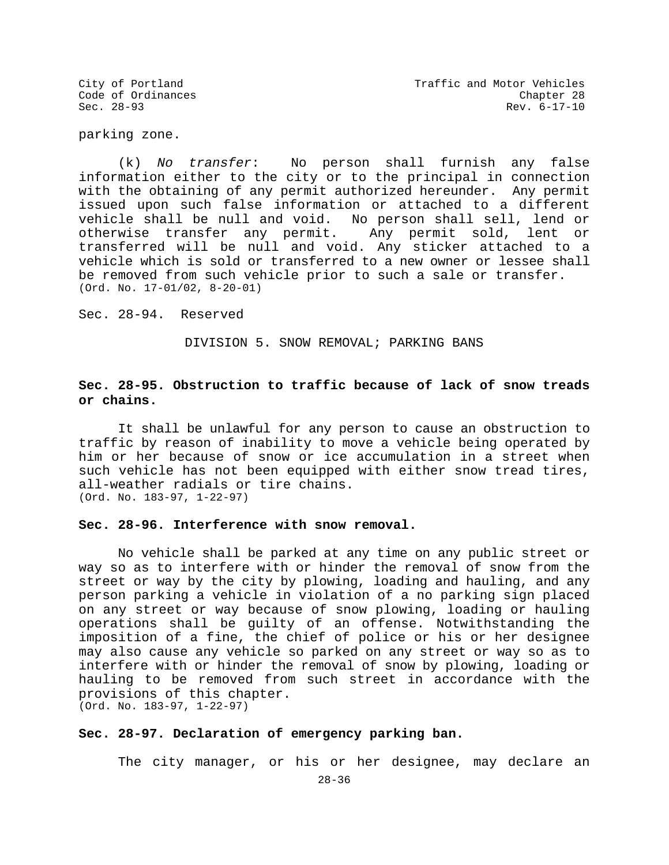parking zone.

(k) *No transfer*: No person shall furnish any false information either to the city or to the principal in connection with the obtaining of any permit authorized hereunder. Any permit issued upon such false information or attached to a different vehicle shall be null and void. No person shall sell, lend or otherwise transfer any permit. Any permit sold, lent or transferred will be null and void. Any sticker attached to a vehicle which is sold or transferred to a new owner or lessee shall be removed from such vehicle prior to such a sale or transfer. (Ord. No. 17-01/02, 8-20-01)

Sec. 28-94. Reserved

DIVISION 5. SNOW REMOVAL; PARKING BANS

# **Sec. 28-95. Obstruction to traffic because of lack of snow treads or chains.**

It shall be unlawful for any person to cause an obstruction to traffic by reason of inability to move a vehicle being operated by him or her because of snow or ice accumulation in a street when such vehicle has not been equipped with either snow tread tires, all-weather radials or tire chains. (Ord. No. 183-97, 1-22-97)

#### **Sec. 28-96. Interference with snow removal.**

No vehicle shall be parked at any time on any public street or way so as to interfere with or hinder the removal of snow from the street or way by the city by plowing, loading and hauling, and any person parking a vehicle in violation of a no parking sign placed on any street or way because of snow plowing, loading or hauling operations shall be guilty of an offense. Notwithstanding the imposition of a fine, the chief of police or his or her designee may also cause any vehicle so parked on any street or way so as to interfere with or hinder the removal of snow by plowing, loading or hauling to be removed from such street in accordance with the provisions of this chapter. (Ord. No. 183-97, 1-22-97)

**Sec. 28-97. Declaration of emergency parking ban.**

The city manager, or his or her designee, may declare an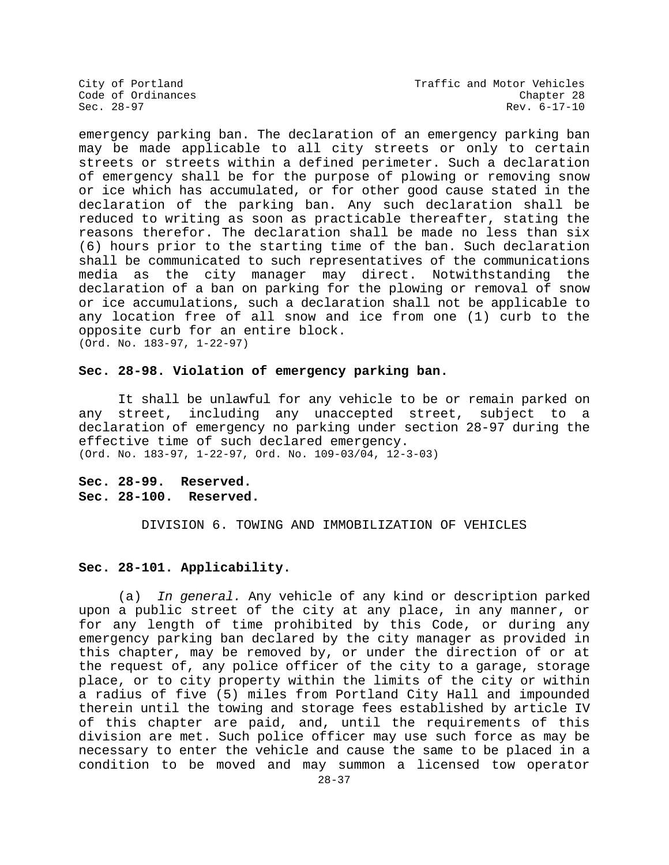City of Portland City of Portland Code of Ordinances<br>
Code of Ordinances Code Chapter 28 Rev. 6-17-10

emergency parking ban. The declaration of an emergency parking ban may be made applicable to all city streets or only to certain streets or streets within a defined perimeter. Such a declaration of emergency shall be for the purpose of plowing or removing snow or ice which has accumulated, or for other good cause stated in the declaration of the parking ban. Any such declaration shall be reduced to writing as soon as practicable thereafter, stating the reasons therefor. The declaration shall be made no less than six (6) hours prior to the starting time of the ban. Such declaration shall be communicated to such representatives of the communications media as the city manager may direct. Notwithstanding the declaration of a ban on parking for the plowing or removal of snow or ice accumulations, such a declaration shall not be applicable to any location free of all snow and ice from one (1) curb to the opposite curb for an entire block. (Ord. No. 183-97, 1-22-97)

## **Sec. 28-98. Violation of emergency parking ban.**

It shall be unlawful for any vehicle to be or remain parked on<br>street, including any unaccepted street, subject to a any street, including any unaccepted street, subject declaration of emergency no parking under section 28-97 during the effective time of such declared emergency. (Ord. No. 183-97, 1-22-97, Ord. No. 109-03/04, 12-3-03)

**Sec. 28-99. Reserved. Sec. 28-100. Reserved.**

DIVISION 6. TOWING AND IMMOBILIZATION OF VEHICLES

## **Sec. 28-101. Applicability.**

(a) *In general.* Any vehicle of any kind or description parked upon a public street of the city at any place, in any manner, or for any length of time prohibited by this Code, or during any emergency parking ban declared by the city manager as provided in this chapter, may be removed by, or under the direction of or at the request of, any police officer of the city to a garage, storage place, or to city property within the limits of the city or within a radius of five (5) miles from Portland City Hall and impounded therein until the towing and storage fees established by article IV of this chapter are paid, and, until the requirements of this division are met. Such police officer may use such force as may be necessary to enter the vehicle and cause the same to be placed in a condition to be moved and may summon a licensed tow operator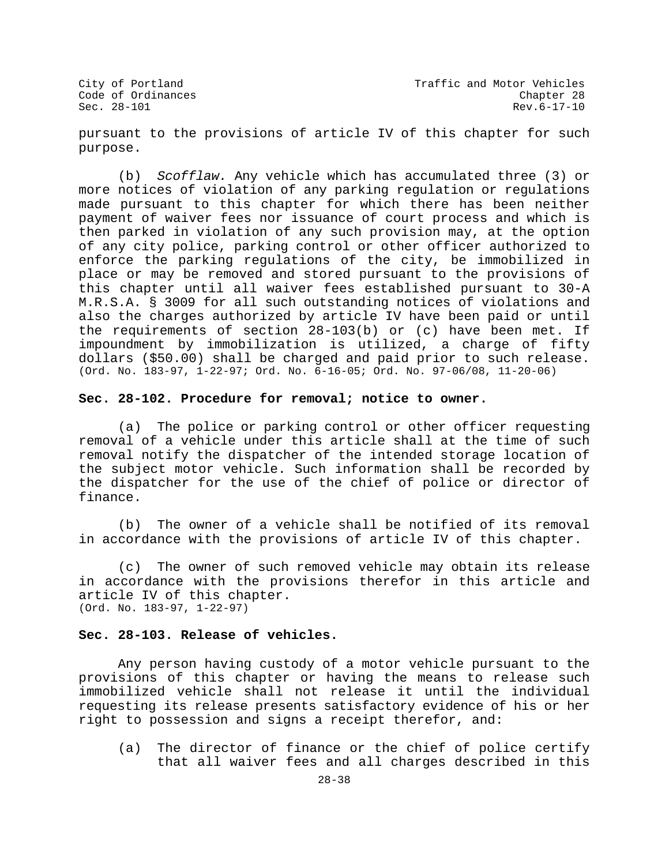pursuant to the provisions of article IV of this chapter for such purpose.

(b) *Scofflaw.* Any vehicle which has accumulated three (3) or more notices of violation of any parking regulation or regulations made pursuant to this chapter for which there has been neither payment of waiver fees nor issuance of court process and which is then parked in violation of any such provision may, at the option of any city police, parking control or other officer authorized to enforce the parking regulations of the city, be immobilized in place or may be removed and stored pursuant to the provisions of this chapter until all waiver fees established pursuant to 30-A M.R.S.A. § 3009 for all such outstanding notices of violations and also the charges authorized by article IV have been paid or until the requirements of section 28-103(b) or (c) have been met. If impoundment by immobilization is utilized, a charge of fifty dollars (\$50.00) shall be charged and paid prior to such release. (Ord. No. 183-97, 1-22-97; Ord. No. 6-16-05; Ord. No. 97-06/08, 11-20-06)

## **Sec. 28-102. Procedure for removal; notice to owner.**

(a) The police or parking control or other officer requesting removal of a vehicle under this article shall at the time of such removal notify the dispatcher of the intended storage location of the subject motor vehicle. Such information shall be recorded by the dispatcher for the use of the chief of police or director of finance.

(b) The owner of a vehicle shall be notified of its removal in accordance with the provisions of article IV of this chapter.

(c) The owner of such removed vehicle may obtain its release in accordance with the provisions therefor in this article and article IV of this chapter. (Ord. No. 183-97, 1-22-97)

## **Sec. 28-103. Release of vehicles.**

Any person having custody of a motor vehicle pursuant to the provisions of this chapter or having the means to release such immobilized vehicle shall not release it until the individual requesting its release presents satisfactory evidence of his or her right to possession and signs a receipt therefor, and:

(a) The director of finance or the chief of police certify that all waiver fees and all charges described in this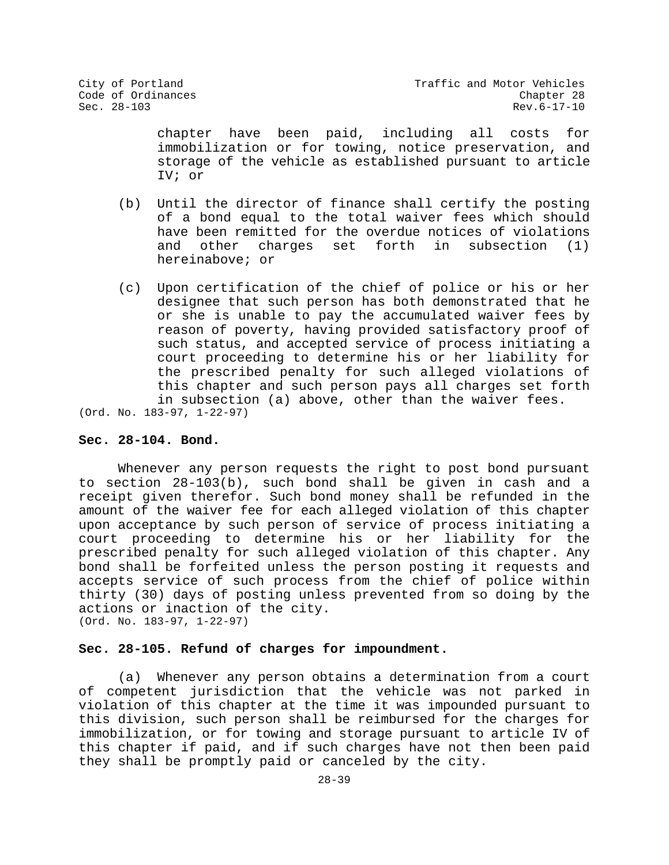chapter have been paid, including all costs for immobilization or for towing, notice preservation, and storage of the vehicle as established pursuant to article IV; or

- (b) Until the director of finance shall certify the posting of a bond equal to the total waiver fees which should have been remitted for the overdue notices of violations<br>and other charges set forth in subsection (1) in subsection hereinabove; or
- (c) Upon certification of the chief of police or his or her designee that such person has both demonstrated that he or she is unable to pay the accumulated waiver fees by reason of poverty, having provided satisfactory proof of such status, and accepted service of process initiating a court proceeding to determine his or her liability for the prescribed penalty for such alleged violations of this chapter and such person pays all charges set forth in subsection (a) above, other than the waiver fees.

(Ord. No. 183-97, 1-22-97)

## **Sec. 28-104. Bond.**

Whenever any person requests the right to post bond pursuant to section 28-103(b), such bond shall be given in cash and a receipt given therefor. Such bond money shall be refunded in the amount of the waiver fee for each alleged violation of this chapter upon acceptance by such person of service of process initiating a court proceeding to determine his or her liability for the prescribed penalty for such alleged violation of this chapter. Any bond shall be forfeited unless the person posting it requests and accepts service of such process from the chief of police within thirty (30) days of posting unless prevented from so doing by the actions or inaction of the city. (Ord. No. 183-97, 1-22-97)

## **Sec. 28-105. Refund of charges for impoundment.**

(a) Whenever any person obtains a determination from a court of competent jurisdiction that the vehicle was not parked in violation of this chapter at the time it was impounded pursuant to this division, such person shall be reimbursed for the charges for immobilization, or for towing and storage pursuant to article IV of this chapter if paid, and if such charges have not then been paid they shall be promptly paid or canceled by the city.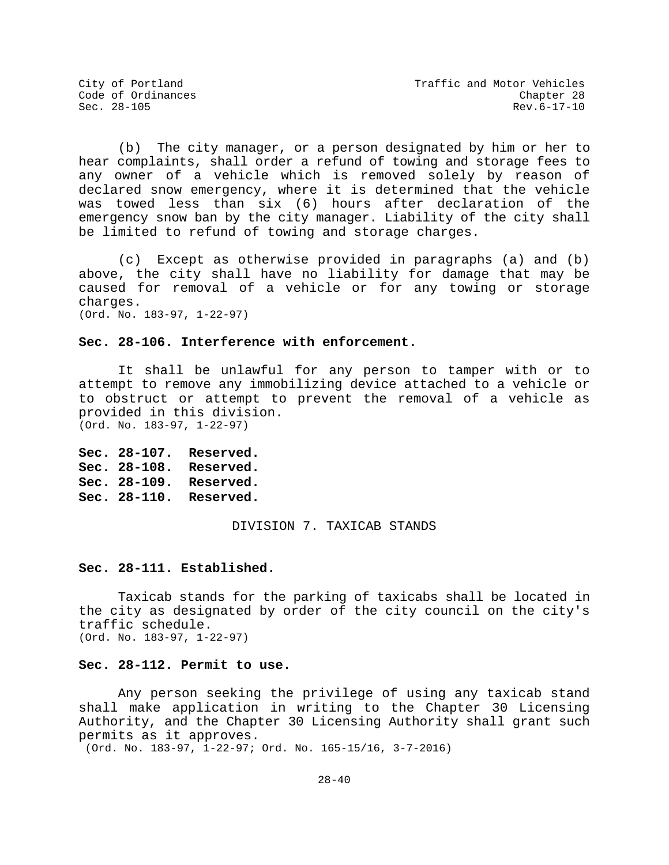(b) The city manager, or a person designated by him or her to hear complaints, shall order a refund of towing and storage fees to any owner of a vehicle which is removed solely by reason of declared snow emergency, where it is determined that the vehicle was towed less than six (6) hours after declaration of the emergency snow ban by the city manager. Liability of the city shall be limited to refund of towing and storage charges.

(c) Except as otherwise provided in paragraphs (a) and (b) above, the city shall have no liability for damage that may be caused for removal of a vehicle or for any towing or storage charges. (Ord. No. 183-97, 1-22-97)

## **Sec. 28-106. Interference with enforcement.**

It shall be unlawful for any person to tamper with or to attempt to remove any immobilizing device attached to a vehicle or to obstruct or attempt to prevent the removal of a vehicle as provided in this division. (Ord. No. 183-97, 1-22-97)

**Sec. 28-107. Reserved. Sec. 28-108. Reserved. Sec. 28-109. Reserved. Sec. 28-110. Reserved.**

DIVISION 7. TAXICAB STANDS

## **Sec. 28-111. Established.**

Taxicab stands for the parking of taxicabs shall be located in the city as designated by order of the city council on the city's traffic schedule. (Ord. No. 183-97, 1-22-97)

## **Sec. 28-112. Permit to use.**

Any person seeking the privilege of using any taxicab stand shall make application in writing to the Chapter 30 Licensing Authority, and the Chapter 30 Licensing Authority shall grant such permits as it approves.

(Ord. No. 183-97, 1-22-97; Ord. No. 165-15/16, 3-7-2016)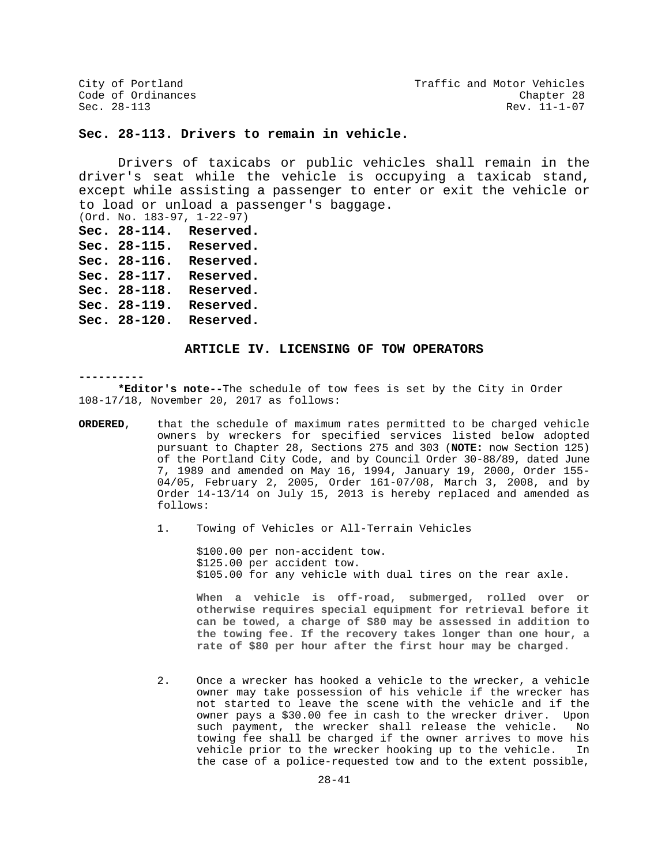City of Portland City of Portland Code of Ordinances<br>Code of Ordinances Code of Ordinances Rev. 11-1-07

## **Sec. 28-113. Drivers to remain in vehicle.**

Drivers of taxicabs or public vehicles shall remain in the driver's seat while the vehicle is occupying a taxicab stand, except while assisting a passenger to enter or exit the vehicle or to load or unload a passenger's baggage.

- (Ord. No. 183-97, 1-22-97)
- **Sec. 28-114. Reserved.**
- **Sec. 28-115. Reserved.**
- **Sec. 28-116. Reserved.**
- **Sec. 28-117. Reserved.**
- **Sec. 28-118. Reserved.**
- **Sec. 28-119. Reserved.**
- **Sec. 28-120. Reserved.**

#### **ARTICLE IV. LICENSING OF TOW OPERATORS**

#### **----------**

**\*Editor's note--**The schedule of tow fees is set by the City in Order 108-17/18, November 20, 2017 as follows:

- **ORDERED**, that the schedule of maximum rates permitted to be charged vehicle owners by wreckers for specified services listed below adopted pursuant to Chapter 28, Sections 275 and 303 (**NOTE:** now Section 125) of the Portland City Code, and by Council Order 30-88/89, dated June 7, 1989 and amended on May 16, 1994, January 19, 2000, Order 155- 04/05, February 2, 2005, Order 161-07/08, March 3, 2008, and by Order 14-13/14 on July 15, 2013 is hereby replaced and amended as follows:
	- 1. Towing of Vehicles or All-Terrain Vehicles

\$100.00 per non-accident tow. \$125.00 per accident tow. \$105.00 for any vehicle with dual tires on the rear axle.

**When a vehicle is off-road, submerged, rolled over or otherwise requires special equipment for retrieval before it can be towed, a charge of \$80 may be assessed in addition to the towing fee. If the recovery takes longer than one hour, a rate of \$80 per hour after the first hour may be charged.**

2. Once a wrecker has hooked a vehicle to the wrecker, a vehicle owner may take possession of his vehicle if the wrecker has not started to leave the scene with the vehicle and if the owner pays a \$30.00 fee in cash to the wrecker driver. Upon such payment, the wrecker shall release the vehicle. towing fee shall be charged if the owner arrives to move his<br>vehicle prior to the wrecker hooking up to the vehicle. In vehicle prior to the wrecker hooking up to the vehicle. the case of a police-requested tow and to the extent possible,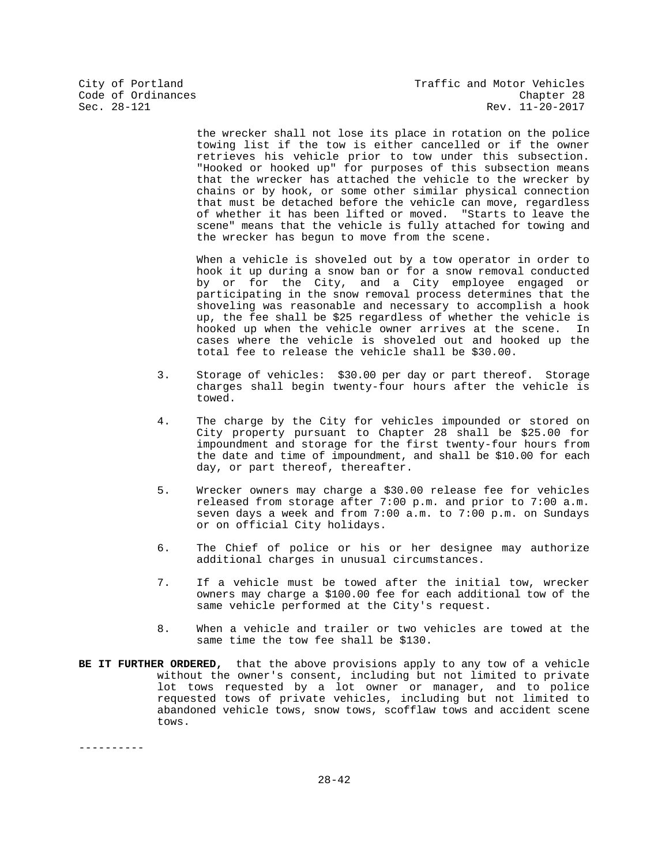the wrecker shall not lose its place in rotation on the police towing list if the tow is either cancelled or if the owner retrieves his vehicle prior to tow under this subsection. "Hooked or hooked up" for purposes of this subsection means that the wrecker has attached the vehicle to the wrecker by chains or by hook, or some other similar physical connection that must be detached before the vehicle can move, regardless of whether it has been lifted or moved. "Starts to leave the scene" means that the vehicle is fully attached for towing and the wrecker has begun to move from the scene.

When a vehicle is shoveled out by a tow operator in order to hook it up during a snow ban or for a snow removal conducted by or for the City, and a City employee engaged or participating in the snow removal process determines that the shoveling was reasonable and necessary to accomplish a hook up, the fee shall be \$25 regardless of whether the vehicle is<br>hooked up when the vehicle owner arrives at the scene. In hooked up when the vehicle owner arrives at the scene. cases where the vehicle is shoveled out and hooked up the total fee to release the vehicle shall be \$30.00.

- 3. Storage of vehicles: \$30.00 per day or part thereof. Storage charges shall begin twenty-four hours after the vehicle is towed.
- 4. The charge by the City for vehicles impounded or stored on City property pursuant to Chapter 28 shall be \$25.00 for impoundment and storage for the first twenty-four hours from the date and time of impoundment, and shall be \$10.00 for each day, or part thereof, thereafter.
- 5. Wrecker owners may charge a \$30.00 release fee for vehicles released from storage after 7:00 p.m. and prior to 7:00 a.m. seven days a week and from 7:00 a.m. to 7:00 p.m. on Sundays or on official City holidays.
- 6. The Chief of police or his or her designee may authorize additional charges in unusual circumstances.
- 7. If a vehicle must be towed after the initial tow, wrecker owners may charge a \$100.00 fee for each additional tow of the same vehicle performed at the City's request.
- 8. When a vehicle and trailer or two vehicles are towed at the same time the tow fee shall be \$130.
- **BE IT FURTHER ORDERED,** that the above provisions apply to any tow of a vehicle without the owner's consent, including but not limited to private lot tows requested by a lot owner or manager, and to police requested tows of private vehicles, including but not limited to abandoned vehicle tows, snow tows, scofflaw tows and accident scene tows.

----------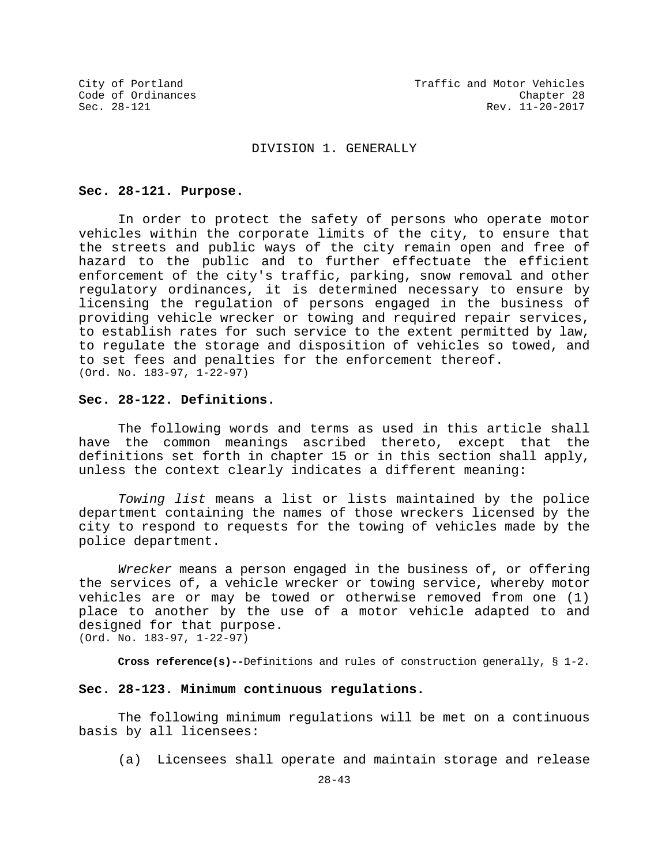### DIVISION 1. GENERALLY

### **Sec. 28-121. Purpose.**

In order to protect the safety of persons who operate motor vehicles within the corporate limits of the city, to ensure that the streets and public ways of the city remain open and free of hazard to the public and to further effectuate the efficient enforcement of the city's traffic, parking, snow removal and other regulatory ordinances, it is determined necessary to ensure by licensing the regulation of persons engaged in the business of providing vehicle wrecker or towing and required repair services, to establish rates for such service to the extent permitted by law, to regulate the storage and disposition of vehicles so towed, and to set fees and penalties for the enforcement thereof. (Ord. No. 183-97, 1-22-97)

## **Sec. 28-122. Definitions.**

The following words and terms as used in this article shall have the common meanings ascribed thereto, except that the definitions set forth in chapter 15 or in this section shall apply, unless the context clearly indicates a different meaning:

*Towing list* means a list or lists maintained by the police department containing the names of those wreckers licensed by the city to respond to requests for the towing of vehicles made by the police department.

*Wrecker* means a person engaged in the business of, or offering the services of, a vehicle wrecker or towing service, whereby motor vehicles are or may be towed or otherwise removed from one (1) place to another by the use of a motor vehicle adapted to and designed for that purpose. (Ord. No. 183-97, 1-22-97)

**Cross reference(s)--**Definitions and rules of construction generally, § 1-2.

## **Sec. 28-123. Minimum continuous regulations.**

The following minimum regulations will be met on a continuous basis by all licensees:

(a) Licensees shall operate and maintain storage and release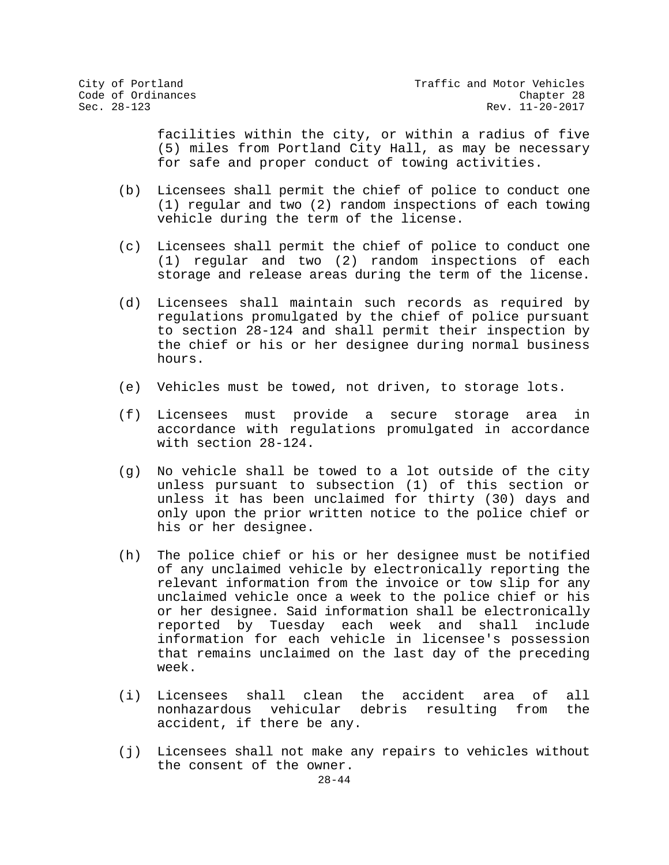facilities within the city, or within a radius of five (5) miles from Portland City Hall, as may be necessary for safe and proper conduct of towing activities.

- (b) Licensees shall permit the chief of police to conduct one (1) regular and two (2) random inspections of each towing vehicle during the term of the license.
- (c) Licensees shall permit the chief of police to conduct one (1) regular and two (2) random inspections of each storage and release areas during the term of the license.
- (d) Licensees shall maintain such records as required by regulations promulgated by the chief of police pursuant to section 28-124 and shall permit their inspection by the chief or his or her designee during normal business hours.
- (e) Vehicles must be towed, not driven, to storage lots.
- (f) Licensees must provide a secure storage area in accordance with regulations promulgated in accordance with section 28-124.
- (g) No vehicle shall be towed to a lot outside of the city unless pursuant to subsection (1) of this section or unless it has been unclaimed for thirty (30) days and only upon the prior written notice to the police chief or his or her designee.
- (h) The police chief or his or her designee must be notified of any unclaimed vehicle by electronically reporting the relevant information from the invoice or tow slip for any unclaimed vehicle once a week to the police chief or his or her designee. Said information shall be electronically<br>reported by Tuesday each week and shall include reported by Tuesday each week and shall information for each vehicle in licensee's possession that remains unclaimed on the last day of the preceding week.
- (i) Licensees shall clean the accident area of all nonhazardous vehicular debris resulting from accident, if there be any.
- (j) Licensees shall not make any repairs to vehicles without the consent of the owner.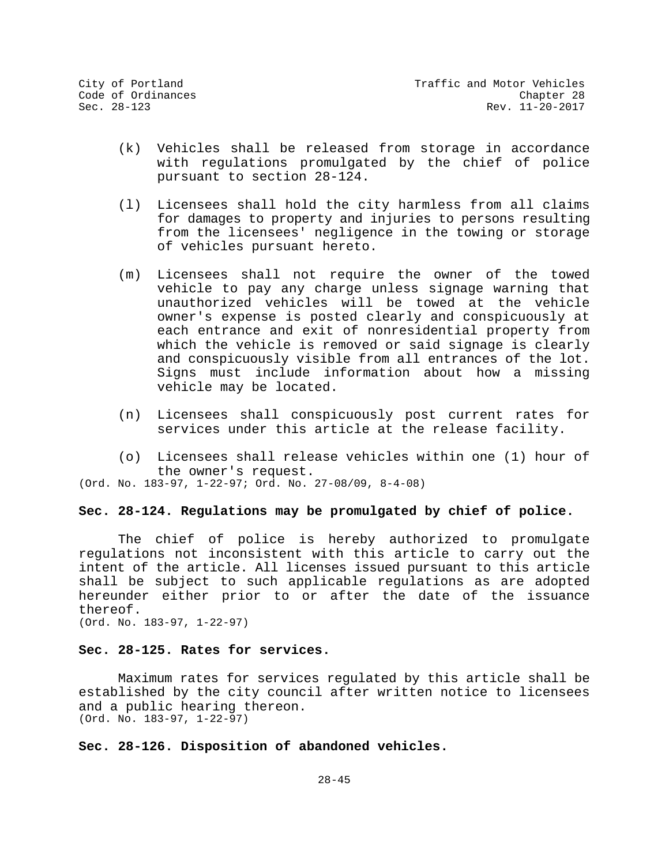- (k) Vehicles shall be released from storage in accordance with regulations promulgated by the chief of police pursuant to section 28-124.
- (l) Licensees shall hold the city harmless from all claims for damages to property and injuries to persons resulting from the licensees' negligence in the towing or storage of vehicles pursuant hereto.
- (m) Licensees shall not require the owner of the towed vehicle to pay any charge unless signage warning that unauthorized vehicles will be towed at the vehicle owner's expense is posted clearly and conspicuously at each entrance and exit of nonresidential property from which the vehicle is removed or said signage is clearly and conspicuously visible from all entrances of the lot. Signs must include information about how a missing vehicle may be located.
- (n) Licensees shall conspicuously post current rates for services under this article at the release facility.
- (o) Licensees shall release vehicles within one (1) hour of the owner's request.

(Ord. No. 183-97, 1-22-97; Ord. No. 27-08/09, 8-4-08)

## **Sec. 28-124. Regulations may be promulgated by chief of police.**

The chief of police is hereby authorized to promulgate regulations not inconsistent with this article to carry out the intent of the article. All licenses issued pursuant to this article shall be subject to such applicable regulations as are adopted hereunder either prior to or after the date of the issuance thereof.

(Ord. No. 183-97, 1-22-97)

## **Sec. 28-125. Rates for services.**

Maximum rates for services regulated by this article shall be established by the city council after written notice to licensees and a public hearing thereon. (Ord. No. 183-97, 1-22-97)

## **Sec. 28-126. Disposition of abandoned vehicles.**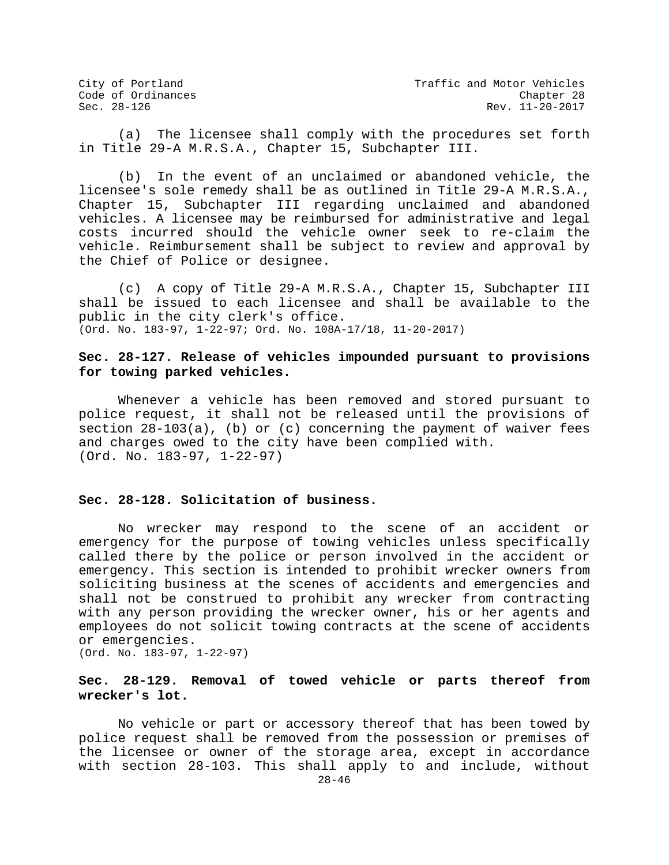(a) The licensee shall comply with the procedures set forth in Title 29-A M.R.S.A., Chapter 15, Subchapter III.

(b) In the event of an unclaimed or abandoned vehicle, the licensee's sole remedy shall be as outlined in Title 29-A M.R.S.A., Chapter 15, Subchapter III regarding unclaimed and abandoned vehicles. A licensee may be reimbursed for administrative and legal costs incurred should the vehicle owner seek to re-claim the vehicle. Reimbursement shall be subject to review and approval by the Chief of Police or designee.

(c) A copy of Title 29-A M.R.S.A., Chapter 15, Subchapter III shall be issued to each licensee and shall be available to the public in the city clerk's office. (Ord. No. 183-97, 1-22-97; Ord. No. 108A-17/18, 11-20-2017)

## **Sec. 28-127. Release of vehicles impounded pursuant to provisions for towing parked vehicles.**

Whenever a vehicle has been removed and stored pursuant to police request, it shall not be released until the provisions of section 28-103(a), (b) or (c) concerning the payment of waiver fees and charges owed to the city have been complied with. (Ord. No. 183-97, 1-22-97)

## **Sec. 28-128. Solicitation of business.**

No wrecker may respond to the scene of an accident or emergency for the purpose of towing vehicles unless specifically called there by the police or person involved in the accident or emergency. This section is intended to prohibit wrecker owners from soliciting business at the scenes of accidents and emergencies and shall not be construed to prohibit any wrecker from contracting with any person providing the wrecker owner, his or her agents and employees do not solicit towing contracts at the scene of accidents or emergencies.

(Ord. No. 183-97, 1-22-97)

## **Sec. 28-129. Removal of towed vehicle or parts thereof from wrecker's lot.**

No vehicle or part or accessory thereof that has been towed by police request shall be removed from the possession or premises of the licensee or owner of the storage area, except in accordance with section 28-103. This shall apply to and include, without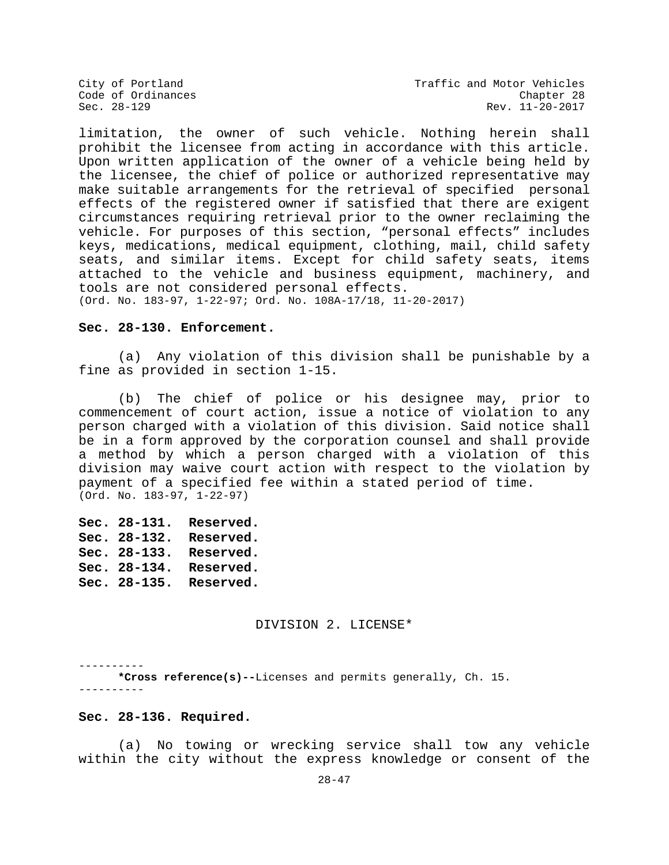limitation, the owner of such vehicle. Nothing herein shall prohibit the licensee from acting in accordance with this article. Upon written application of the owner of a vehicle being held by the licensee, the chief of police or authorized representative may make suitable arrangements for the retrieval of specified personal effects of the registered owner if satisfied that there are exigent circumstances requiring retrieval prior to the owner reclaiming the vehicle. For purposes of this section, "personal effects" includes keys, medications, medical equipment, clothing, mail, child safety seats, and similar items. Except for child safety seats, items attached to the vehicle and business equipment, machinery, and tools are not considered personal effects.

(Ord. No. 183-97, 1-22-97; Ord. No. 108A-17/18, 11-20-2017)

## **Sec. 28-130. Enforcement.**

(a) Any violation of this division shall be punishable by a fine as provided in section 1-15.

(b) The chief of police or his designee may, prior to commencement of court action, issue a notice of violation to any person charged with a violation of this division. Said notice shall be in a form approved by the corporation counsel and shall provide a method by which a person charged with a violation of this division may waive court action with respect to the violation by payment of a specified fee within a stated period of time. (Ord. No. 183-97, 1-22-97)

**Sec. 28-131. Reserved. Sec. 28-132. Reserved. Sec. 28-133. Reserved. Sec. 28-134. Reserved. Sec. 28-135. Reserved.**

DIVISION 2. LICENSE\*

---------- **\*Cross reference(s)--**Licenses and permits generally, Ch. 15. ----------

#### **Sec. 28-136. Required.**

(a) No towing or wrecking service shall tow any vehicle within the city without the express knowledge or consent of the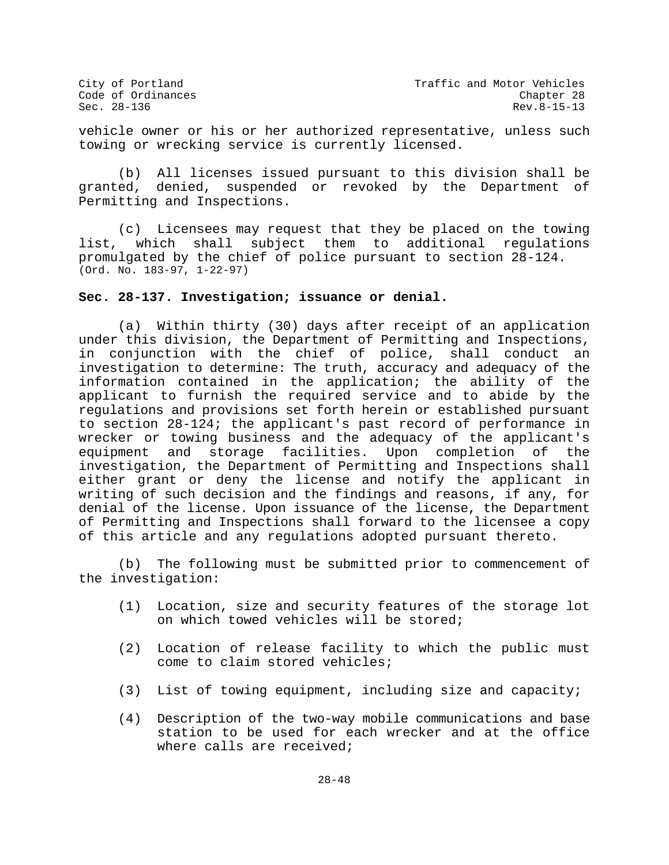vehicle owner or his or her authorized representative, unless such towing or wrecking service is currently licensed.

(b) All licenses issued pursuant to this division shall be granted, denied, suspended or revoked by the Department of Permitting and Inspections.

(c) Licensees may request that they be placed on the towing<br>list, which shall subject them to additional requlations which shall subject them to additional regulations promulgated by the chief of police pursuant to section 28-124. (Ord. No. 183-97, 1-22-97)

## **Sec. 28-137. Investigation; issuance or denial.**

(a) Within thirty (30) days after receipt of an application under this division, the Department of Permitting and Inspections, in conjunction with the chief of police, shall conduct an investigation to determine: The truth, accuracy and adequacy of the information contained in the application; the ability of the applicant to furnish the required service and to abide by the regulations and provisions set forth herein or established pursuant to section 28-124; the applicant's past record of performance in wrecker or towing business and the adequacy of the applicant's equipment and storage facilities. Upon completion of the investigation, the Department of Permitting and Inspections shall either grant or deny the license and notify the applicant in writing of such decision and the findings and reasons, if any, for denial of the license. Upon issuance of the license, the Department of Permitting and Inspections shall forward to the licensee a copy of this article and any regulations adopted pursuant thereto.

(b) The following must be submitted prior to commencement of the investigation:

- (1) Location, size and security features of the storage lot on which towed vehicles will be stored;
- (2) Location of release facility to which the public must come to claim stored vehicles;
- (3) List of towing equipment, including size and capacity;
- (4) Description of the two-way mobile communications and base station to be used for each wrecker and at the office where calls are received;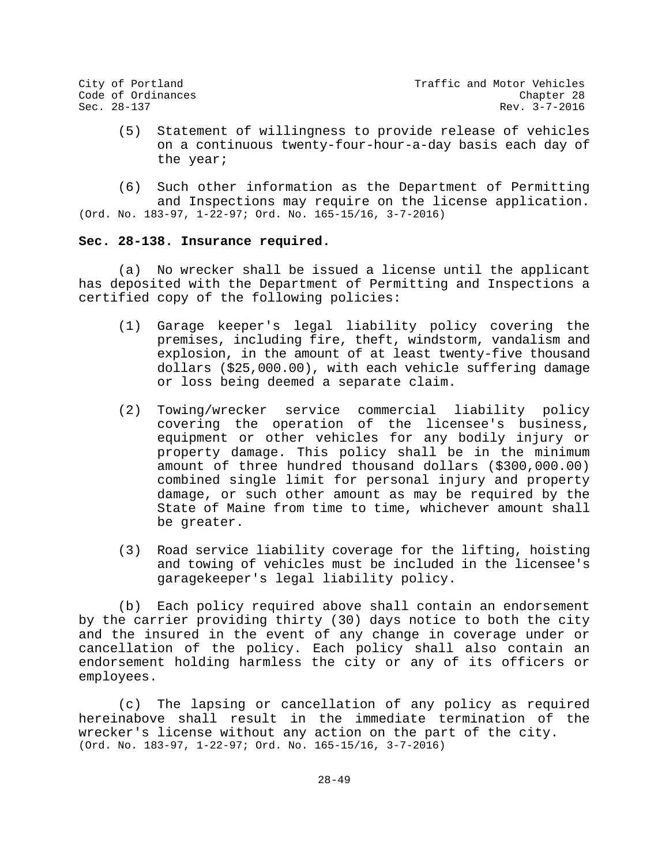(5) Statement of willingness to provide release of vehicles on a continuous twenty-four-hour-a-day basis each day of the year;

(6) Such other information as the Department of Permitting and Inspections may require on the license application. (Ord. No. 183-97, 1-22-97; Ord. No. 165-15/16, 3-7-2016)

## **Sec. 28-138. Insurance required.**

(a) No wrecker shall be issued a license until the applicant has deposited with the Department of Permitting and Inspections a certified copy of the following policies:

- (1) Garage keeper's legal liability policy covering the premises, including fire, theft, windstorm, vandalism and explosion, in the amount of at least twenty-five thousand dollars (\$25,000.00), with each vehicle suffering damage or loss being deemed a separate claim.
- (2) Towing/wrecker service commercial liability policy covering the operation of the licensee's business, equipment or other vehicles for any bodily injury or property damage. This policy shall be in the minimum amount of three hundred thousand dollars (\$300,000.00) combined single limit for personal injury and property damage, or such other amount as may be required by the State of Maine from time to time, whichever amount shall be greater.
- (3) Road service liability coverage for the lifting, hoisting and towing of vehicles must be included in the licensee's garagekeeper's legal liability policy.

(b) Each policy required above shall contain an endorsement by the carrier providing thirty (30) days notice to both the city and the insured in the event of any change in coverage under or cancellation of the policy. Each policy shall also contain an endorsement holding harmless the city or any of its officers or employees.

(c) The lapsing or cancellation of any policy as required hereinabove shall result in the immediate termination of the wrecker's license without any action on the part of the city. (Ord. No. 183-97, 1-22-97; Ord. No. 165-15/16, 3-7-2016)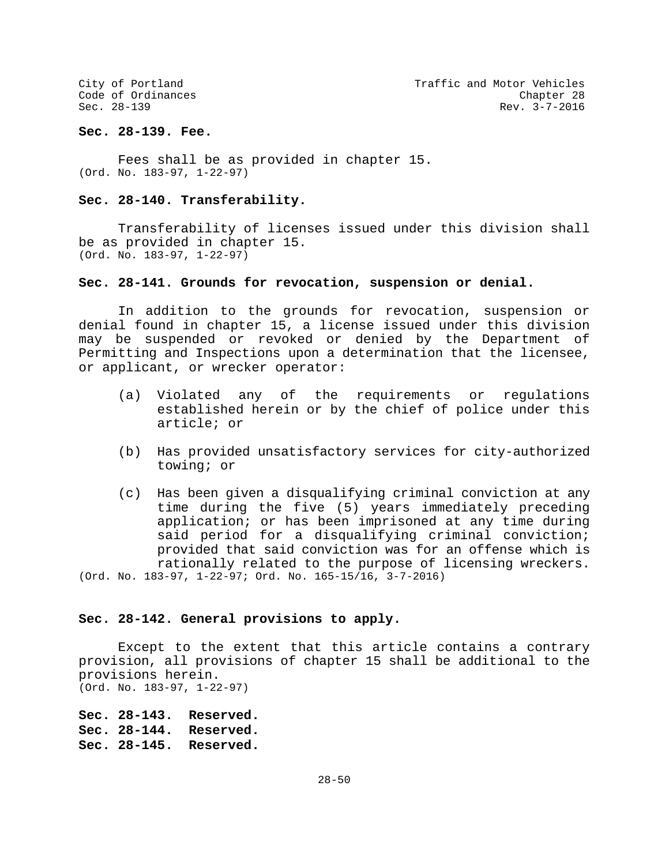## **Sec. 28-139. Fee.**

Fees shall be as provided in chapter 15. (Ord. No. 183-97, 1-22-97)

## **Sec. 28-140. Transferability.**

Transferability of licenses issued under this division shall be as provided in chapter 15. (Ord. No. 183-97, 1-22-97)

## **Sec. 28-141. Grounds for revocation, suspension or denial.**

In addition to the grounds for revocation, suspension or denial found in chapter 15, a license issued under this division may be suspended or revoked or denied by the Department of Permitting and Inspections upon a determination that the licensee, or applicant, or wrecker operator:

- (a) Violated any of the requirements or regulations established herein or by the chief of police under this article; or
- (b) Has provided unsatisfactory services for city-authorized towing; or
- (c) Has been given a disqualifying criminal conviction at any time during the five (5) years immediately preceding application; or has been imprisoned at any time during said period for a disqualifying criminal conviction; provided that said conviction was for an offense which is rationally related to the purpose of licensing wreckers. (Ord. No. 183-97, 1-22-97; Ord. No. 165-15/16, 3-7-2016)

## **Sec. 28-142. General provisions to apply.**

Except to the extent that this article contains a contrary provision, all provisions of chapter 15 shall be additional to the provisions herein. (Ord. No. 183-97, 1-22-97)

**Sec. 28-143. Reserved. Sec. 28-144. Reserved. Sec. 28-145. Reserved.**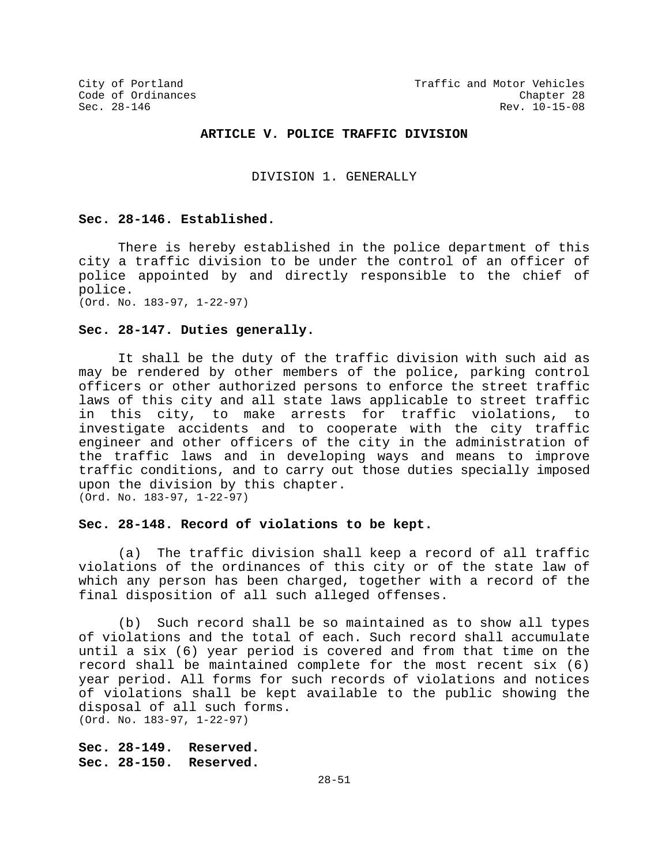## **ARTICLE V. POLICE TRAFFIC DIVISION**

DIVISION 1. GENERALLY

#### **Sec. 28-146. Established.**

There is hereby established in the police department of this city a traffic division to be under the control of an officer of police appointed by and directly responsible to the chief of police. (Ord. No. 183-97, 1-22-97)

**Sec. 28-147. Duties generally.**

It shall be the duty of the traffic division with such aid as may be rendered by other members of the police, parking control officers or other authorized persons to enforce the street traffic laws of this city and all state laws applicable to street traffic in this city, to make arrests for traffic violations, to investigate accidents and to cooperate with the city traffic engineer and other officers of the city in the administration of the traffic laws and in developing ways and means to improve traffic conditions, and to carry out those duties specially imposed upon the division by this chapter. (Ord. No. 183-97, 1-22-97)

## **Sec. 28-148. Record of violations to be kept.**

(a) The traffic division shall keep a record of all traffic violations of the ordinances of this city or of the state law of which any person has been charged, together with a record of the final disposition of all such alleged offenses.

(b) Such record shall be so maintained as to show all types of violations and the total of each. Such record shall accumulate until a six (6) year period is covered and from that time on the record shall be maintained complete for the most recent six (6) year period. All forms for such records of violations and notices of violations shall be kept available to the public showing the disposal of all such forms. (Ord. No. 183-97, 1-22-97)

**Sec. 28-149. Reserved. Sec. 28-150. Reserved.**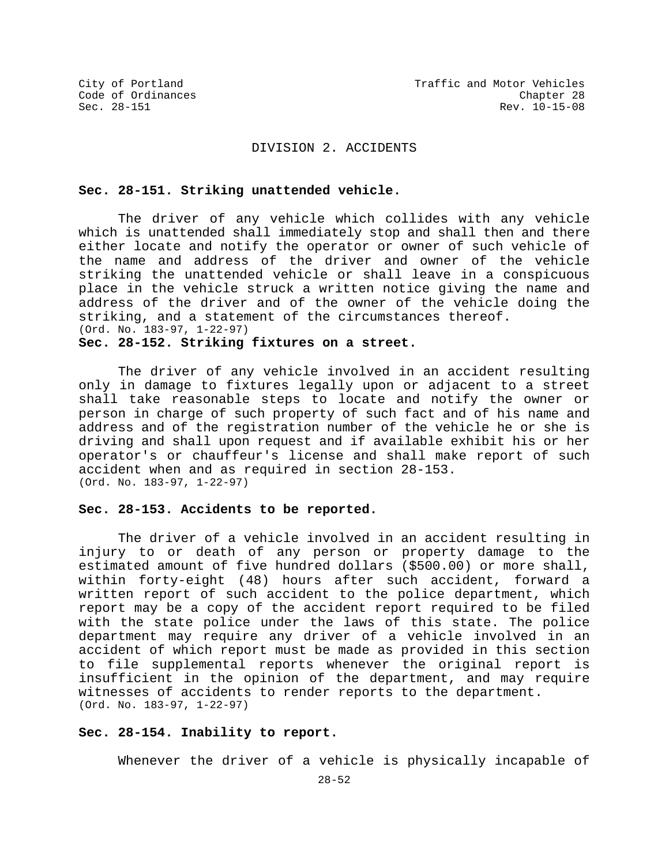## DIVISION 2. ACCIDENTS

## **Sec. 28-151. Striking unattended vehicle.**

The driver of any vehicle which collides with any vehicle which is unattended shall immediately stop and shall then and there either locate and notify the operator or owner of such vehicle of the name and address of the driver and owner of the vehicle striking the unattended vehicle or shall leave in a conspicuous place in the vehicle struck a written notice giving the name and address of the driver and of the owner of the vehicle doing the striking, and a statement of the circumstances thereof. (Ord. No. 183-97, 1-22-97) **Sec. 28-152. Striking fixtures on a street.**

The driver of any vehicle involved in an accident resulting only in damage to fixtures legally upon or adjacent to a street shall take reasonable steps to locate and notify the owner or person in charge of such property of such fact and of his name and address and of the registration number of the vehicle he or she is driving and shall upon request and if available exhibit his or her operator's or chauffeur's license and shall make report of such accident when and as required in section 28-153. (Ord. No. 183-97, 1-22-97)

## **Sec. 28-153. Accidents to be reported.**

The driver of a vehicle involved in an accident resulting in injury to or death of any person or property damage to the estimated amount of five hundred dollars (\$500.00) or more shall, within forty-eight (48) hours after such accident, forward a written report of such accident to the police department, which report may be a copy of the accident report required to be filed with the state police under the laws of this state. The police department may require any driver of a vehicle involved in an accident of which report must be made as provided in this section to file supplemental reports whenever the original report is insufficient in the opinion of the department, and may require witnesses of accidents to render reports to the department. (Ord. No. 183-97, 1-22-97)

## **Sec. 28-154. Inability to report.**

Whenever the driver of a vehicle is physically incapable of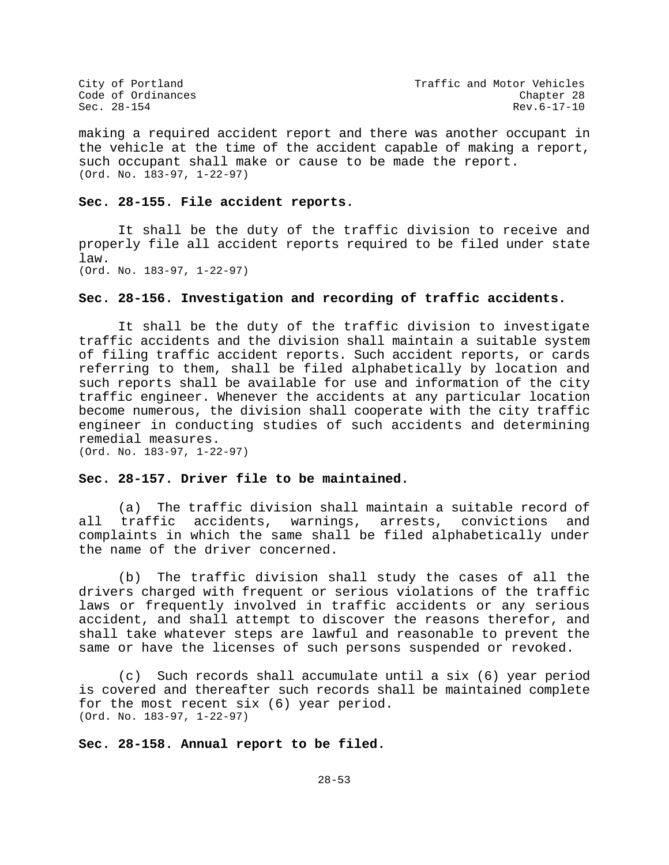making a required accident report and there was another occupant in the vehicle at the time of the accident capable of making a report, such occupant shall make or cause to be made the report. (Ord. No. 183-97, 1-22-97)

#### **Sec. 28-155. File accident reports.**

It shall be the duty of the traffic division to receive and properly file all accident reports required to be filed under state law. (Ord. No. 183-97, 1-22-97)

## **Sec. 28-156. Investigation and recording of traffic accidents.**

It shall be the duty of the traffic division to investigate traffic accidents and the division shall maintain a suitable system of filing traffic accident reports. Such accident reports, or cards referring to them, shall be filed alphabetically by location and such reports shall be available for use and information of the city traffic engineer. Whenever the accidents at any particular location become numerous, the division shall cooperate with the city traffic engineer in conducting studies of such accidents and determining remedial measures. (Ord. No. 183-97, 1-22-97)

## **Sec. 28-157. Driver file to be maintained.**

(a) The traffic division shall maintain a suitable record of<br>traffic accidents, warnings, arrests, convictions and all traffic accidents, warnings, arrests, complaints in which the same shall be filed alphabetically under the name of the driver concerned.

(b) The traffic division shall study the cases of all the drivers charged with frequent or serious violations of the traffic laws or frequently involved in traffic accidents or any serious accident, and shall attempt to discover the reasons therefor, and shall take whatever steps are lawful and reasonable to prevent the same or have the licenses of such persons suspended or revoked.

(c) Such records shall accumulate until a six (6) year period is covered and thereafter such records shall be maintained complete for the most recent six (6) year period. (Ord. No. 183-97, 1-22-97)

**Sec. 28-158. Annual report to be filed.**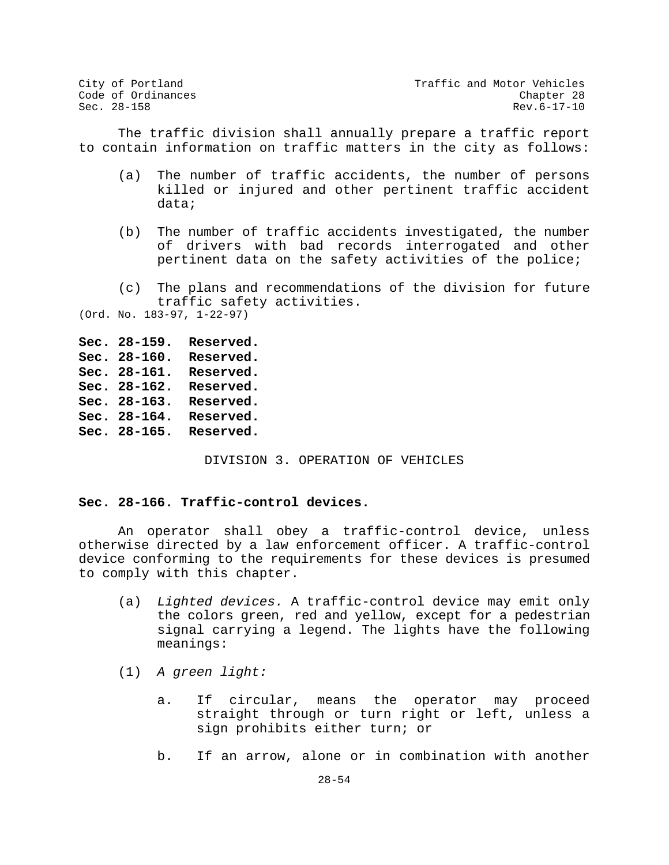City of Portland City of Portland Code of Ordinances<br>Code of Ordinances Code of Ordinances Code of Ordinances Chapter 28  $\texttt{Sec. 28-158}$  Rev.6-17-10

The traffic division shall annually prepare a traffic report to contain information on traffic matters in the city as follows:

- (a) The number of traffic accidents, the number of persons killed or injured and other pertinent traffic accident data;
- (b) The number of traffic accidents investigated, the number of drivers with bad records interrogated and other pertinent data on the safety activities of the police;

## (c) The plans and recommendations of the division for future traffic safety activities.

(Ord. No. 183-97, 1-22-97)

**Sec. 28-159. Reserved. Sec. 28-160. Reserved. Sec. 28-161. Reserved. Sec. 28-162. Reserved. Sec. 28-163. Reserved. Sec. 28-164. Reserved. Sec. 28-165. Reserved.**

DIVISION 3. OPERATION OF VEHICLES

## **Sec. 28-166. Traffic-control devices.**

An operator shall obey a traffic-control device, unless otherwise directed by a law enforcement officer. A traffic-control device conforming to the requirements for these devices is presumed to comply with this chapter.

- (a) *Lighted devices.* A traffic-control device may emit only the colors green, red and yellow, except for a pedestrian signal carrying a legend. The lights have the following meanings:
- (1) *A green light:*
	- a. If circular, means the operator may proceed straight through or turn right or left, unless a sign prohibits either turn; or
	- b. If an arrow, alone or in combination with another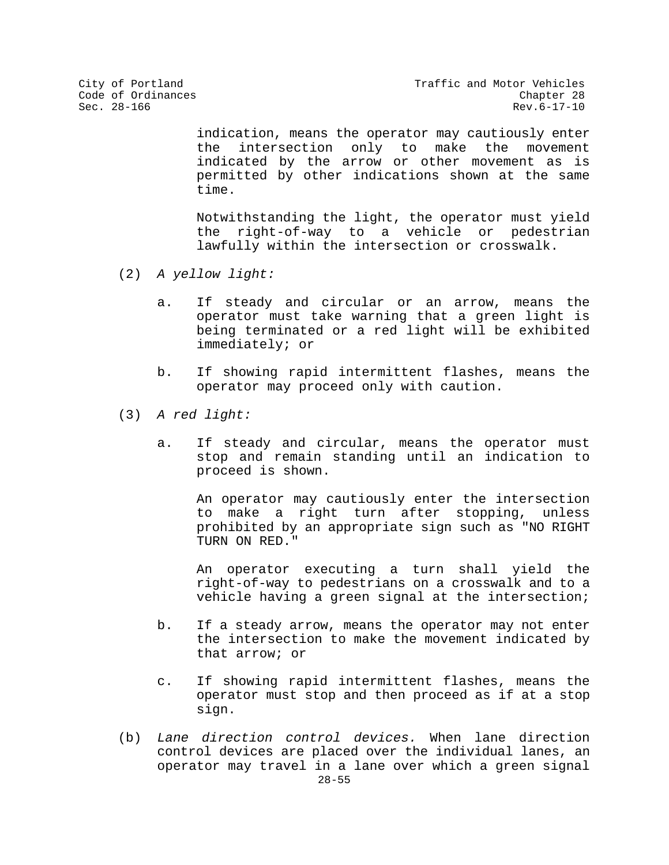indication, means the operator may cautiously enter the intersection only to make the movement indicated by the arrow or other movement as is permitted by other indications shown at the same time.

Notwithstanding the light, the operator must yield the right-of-way to a vehicle or pedestrian lawfully within the intersection or crosswalk.

- (2) *A yellow light:*
	- a. If steady and circular or an arrow, means the operator must take warning that a green light is being terminated or a red light will be exhibited immediately; or
	- b. If showing rapid intermittent flashes, means the operator may proceed only with caution.
- (3) *A red light:*
	- a. If steady and circular, means the operator must stop and remain standing until an indication to proceed is shown.

An operator may cautiously enter the intersection to make a right turn after stopping, unless prohibited by an appropriate sign such as "NO RIGHT TURN ON RED."

An operator executing a turn shall yield the right-of-way to pedestrians on a crosswalk and to a vehicle having a green signal at the intersection;

- b. If a steady arrow, means the operator may not enter the intersection to make the movement indicated by that arrow; or
- c. If showing rapid intermittent flashes, means the operator must stop and then proceed as if at a stop sign.
- 28-55 (b) *Lane direction control devices.* When lane direction control devices are placed over the individual lanes, an operator may travel in a lane over which a green signal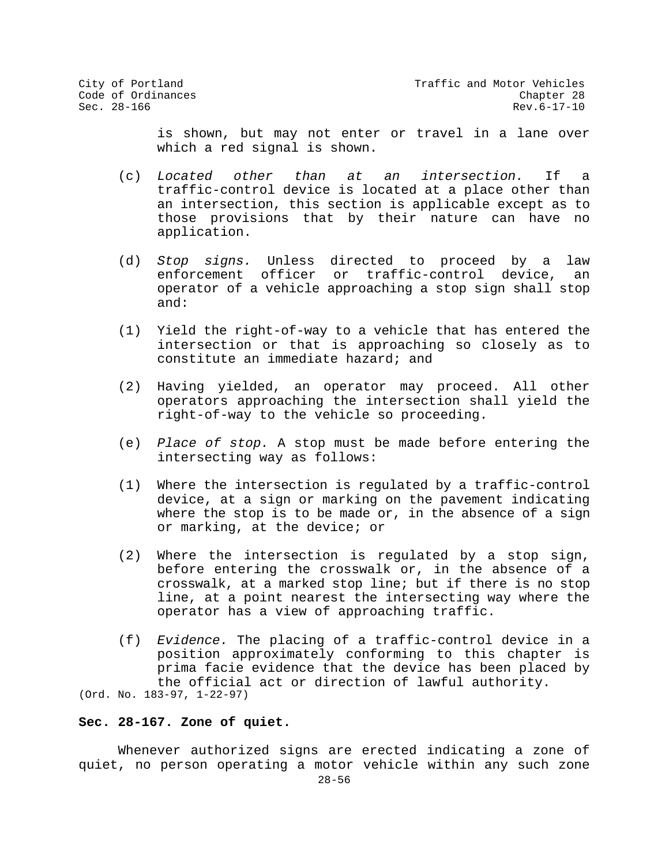is shown, but may not enter or travel in a lane over which a red signal is shown.

- (c) *Located other than at an intersection.* If a traffic-control device is located at a place other than an intersection, this section is applicable except as to those provisions that by their nature can have no application.
- (d) *Stop signs.* Unless directed to proceed by a law enforcement officer or traffic-control device, operator of a vehicle approaching a stop sign shall stop and:
- (1) Yield the right-of-way to a vehicle that has entered the intersection or that is approaching so closely as to constitute an immediate hazard; and
- (2) Having yielded, an operator may proceed. All other operators approaching the intersection shall yield the right-of-way to the vehicle so proceeding.
- (e) *Place of stop.* A stop must be made before entering the intersecting way as follows:
- (1) Where the intersection is regulated by a traffic-control device, at a sign or marking on the pavement indicating where the stop is to be made or, in the absence of a sign or marking, at the device; or
- (2) Where the intersection is regulated by a stop sign, before entering the crosswalk or, in the absence of a crosswalk, at a marked stop line; but if there is no stop line, at a point nearest the intersecting way where the operator has a view of approaching traffic.
- (f) *Evidence.* The placing of a traffic-control device in a position approximately conforming to this chapter is prima facie evidence that the device has been placed by the official act or direction of lawful authority.

(Ord. No. 183-97, 1-22-97)

## **Sec. 28-167. Zone of quiet.**

Whenever authorized signs are erected indicating a zone of quiet, no person operating a motor vehicle within any such zone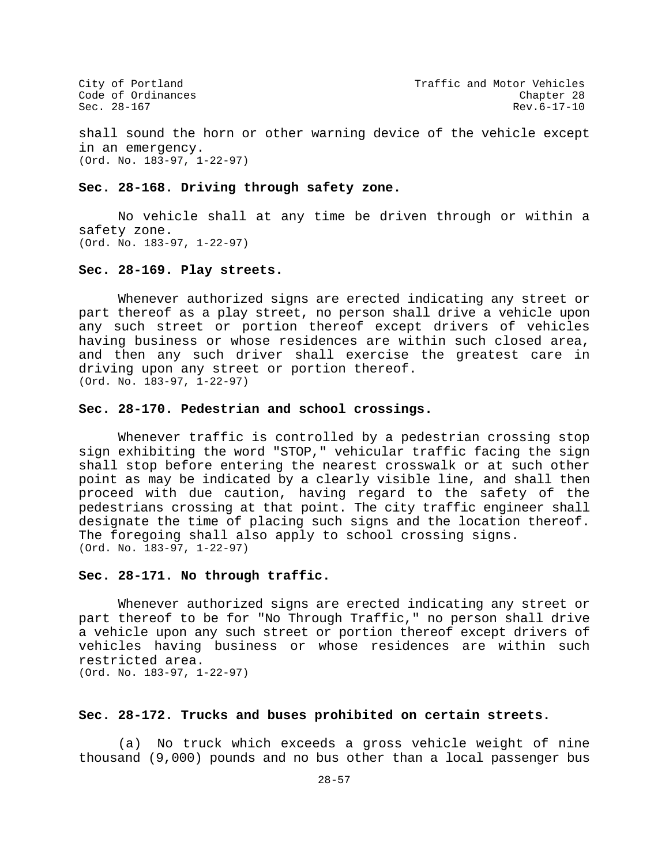shall sound the horn or other warning device of the vehicle except in an emergency. (Ord. No. 183-97, 1-22-97)

## **Sec. 28-168. Driving through safety zone.**

No vehicle shall at any time be driven through or within a safety zone. (Ord. No. 183-97, 1-22-97)

## **Sec. 28-169. Play streets.**

Whenever authorized signs are erected indicating any street or part thereof as a play street, no person shall drive a vehicle upon any such street or portion thereof except drivers of vehicles having business or whose residences are within such closed area, and then any such driver shall exercise the greatest care in driving upon any street or portion thereof. (Ord. No. 183-97, 1-22-97)

## **Sec. 28-170. Pedestrian and school crossings.**

Whenever traffic is controlled by a pedestrian crossing stop sign exhibiting the word "STOP," vehicular traffic facing the sign shall stop before entering the nearest crosswalk or at such other point as may be indicated by a clearly visible line, and shall then proceed with due caution, having regard to the safety of the pedestrians crossing at that point. The city traffic engineer shall designate the time of placing such signs and the location thereof. The foregoing shall also apply to school crossing signs. (Ord. No. 183-97, 1-22-97)

## **Sec. 28-171. No through traffic.**

Whenever authorized signs are erected indicating any street or part thereof to be for "No Through Traffic," no person shall drive a vehicle upon any such street or portion thereof except drivers of vehicles having business or whose residences are within such restricted area.

(Ord. No. 183-97, 1-22-97)

## **Sec. 28-172. Trucks and buses prohibited on certain streets.**

(a) No truck which exceeds a gross vehicle weight of nine thousand (9,000) pounds and no bus other than a local passenger bus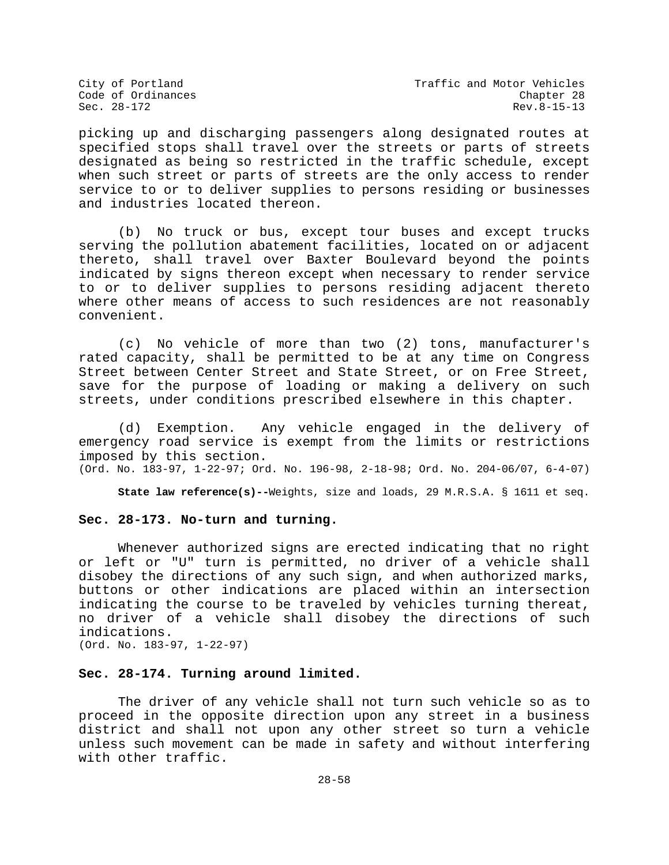City of Portland City of Portland Code of Ordinances<br>Code of Ordinances Code of Ordinances Rev.8-15-13

picking up and discharging passengers along designated routes at specified stops shall travel over the streets or parts of streets designated as being so restricted in the traffic schedule, except when such street or parts of streets are the only access to render service to or to deliver supplies to persons residing or businesses and industries located thereon.

(b) No truck or bus, except tour buses and except trucks serving the pollution abatement facilities, located on or adjacent thereto, shall travel over Baxter Boulevard beyond the points indicated by signs thereon except when necessary to render service to or to deliver supplies to persons residing adjacent thereto where other means of access to such residences are not reasonably convenient.

(c) No vehicle of more than two (2) tons, manufacturer's rated capacity, shall be permitted to be at any time on Congress Street between Center Street and State Street, or on Free Street, save for the purpose of loading or making a delivery on such streets, under conditions prescribed elsewhere in this chapter.

(d) Exemption. Any vehicle engaged in the delivery of emergency road service is exempt from the limits or restrictions imposed by this section.

(Ord. No. 183-97, 1-22-97; Ord. No. 196-98, 2-18-98; Ord. No. 204-06/07, 6-4-07)

**State law reference(s)--**Weights, size and loads, 29 M.R.S.A. § 1611 et seq.

## **Sec. 28-173. No-turn and turning.**

Whenever authorized signs are erected indicating that no right or left or "U" turn is permitted, no driver of a vehicle shall disobey the directions of any such sign, and when authorized marks, buttons or other indications are placed within an intersection indicating the course to be traveled by vehicles turning thereat, no driver of a vehicle shall disobey the directions of such indications. (Ord. No. 183-97, 1-22-97)

## **Sec. 28-174. Turning around limited.**

The driver of any vehicle shall not turn such vehicle so as to proceed in the opposite direction upon any street in a business district and shall not upon any other street so turn a vehicle unless such movement can be made in safety and without interfering with other traffic.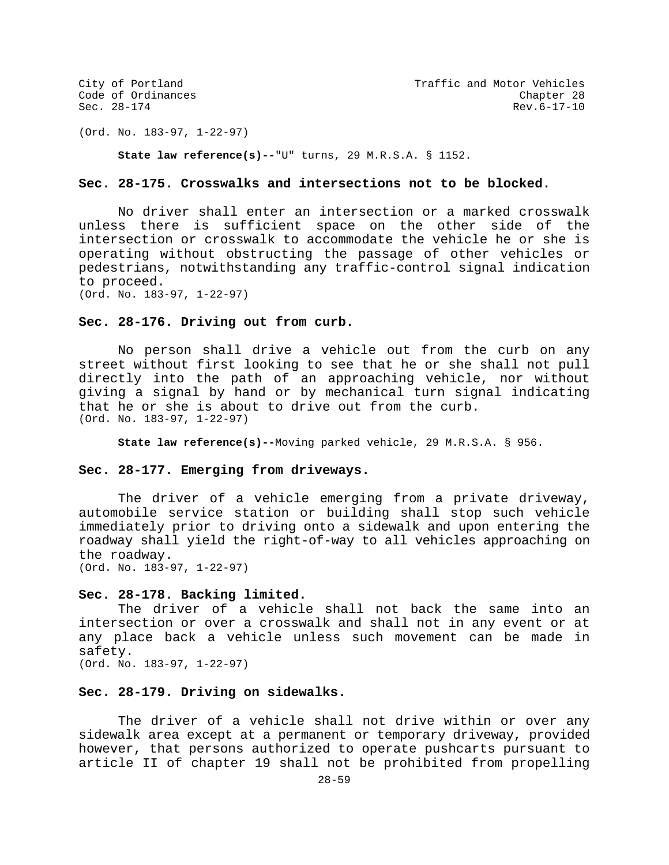(Ord. No. 183-97, 1-22-97)

**State law reference(s)--**"U" turns, 29 M.R.S.A. § 1152.

## **Sec. 28-175. Crosswalks and intersections not to be blocked.**

No driver shall enter an intersection or a marked crosswalk unless there is sufficient space on the other side of the intersection or crosswalk to accommodate the vehicle he or she is operating without obstructing the passage of other vehicles or pedestrians, notwithstanding any traffic-control signal indication to proceed.

(Ord. No. 183-97, 1-22-97)

## **Sec. 28-176. Driving out from curb.**

No person shall drive a vehicle out from the curb on any street without first looking to see that he or she shall not pull directly into the path of an approaching vehicle, nor without giving a signal by hand or by mechanical turn signal indicating that he or she is about to drive out from the curb. (Ord. No. 183-97, 1-22-97)

**State law reference(s)--**Moving parked vehicle, 29 M.R.S.A. § 956.

## **Sec. 28-177. Emerging from driveways.**

The driver of a vehicle emerging from a private driveway, automobile service station or building shall stop such vehicle immediately prior to driving onto a sidewalk and upon entering the roadway shall yield the right-of-way to all vehicles approaching on the roadway. (Ord. No. 183-97, 1-22-97)

### **Sec. 28-178. Backing limited.**

The driver of a vehicle shall not back the same into an intersection or over a crosswalk and shall not in any event or at any place back a vehicle unless such movement can be made in safety. (Ord. No. 183-97, 1-22-97)

# **Sec. 28-179. Driving on sidewalks.**

The driver of a vehicle shall not drive within or over any sidewalk area except at a permanent or temporary driveway, provided however, that persons authorized to operate pushcarts pursuant to article II of chapter 19 shall not be prohibited from propelling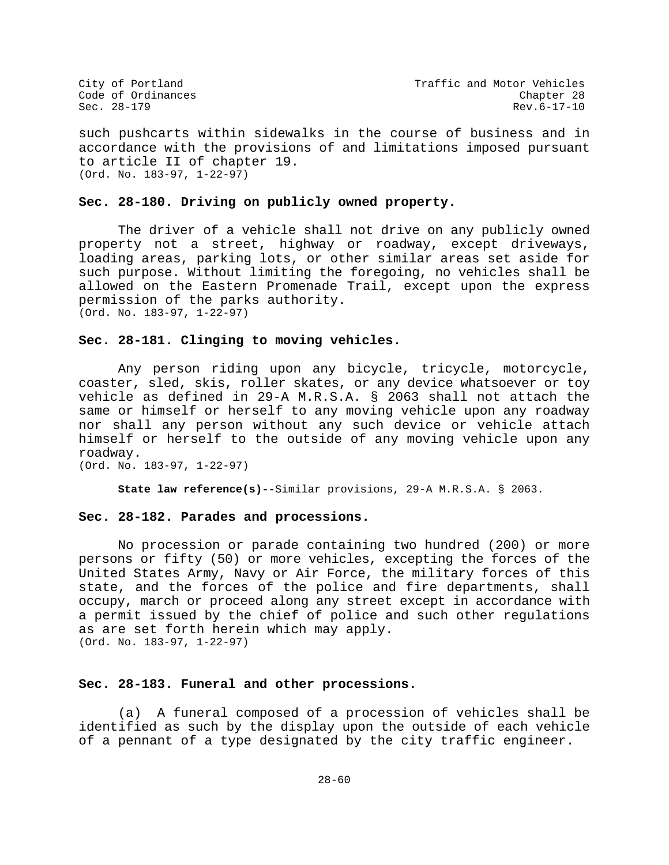City of Portland City of Portland Code of Ordinances<br>Code of Ordinances Code of Ordinances Code of Ordinances Chapter 28 Sec. 28-179 Rev.6-17-10

such pushcarts within sidewalks in the course of business and in accordance with the provisions of and limitations imposed pursuant to article II of chapter 19. (Ord. No. 183-97, 1-22-97)

## **Sec. 28-180. Driving on publicly owned property.**

The driver of a vehicle shall not drive on any publicly owned property not a street, highway or roadway, except driveways, loading areas, parking lots, or other similar areas set aside for such purpose. Without limiting the foregoing, no vehicles shall be allowed on the Eastern Promenade Trail, except upon the express permission of the parks authority. (Ord. No. 183-97, 1-22-97)

## **Sec. 28-181. Clinging to moving vehicles.**

Any person riding upon any bicycle, tricycle, motorcycle, coaster, sled, skis, roller skates, or any device whatsoever or toy vehicle as defined in 29-A M.R.S.A. § 2063 shall not attach the same or himself or herself to any moving vehicle upon any roadway nor shall any person without any such device or vehicle attach himself or herself to the outside of any moving vehicle upon any roadway.

(Ord. No. 183-97, 1-22-97)

**State law reference(s)--**Similar provisions, 29-A M.R.S.A. § 2063.

## **Sec. 28-182. Parades and processions.**

No procession or parade containing two hundred (200) or more persons or fifty (50) or more vehicles, excepting the forces of the United States Army, Navy or Air Force, the military forces of this state, and the forces of the police and fire departments, shall occupy, march or proceed along any street except in accordance with a permit issued by the chief of police and such other regulations as are set forth herein which may apply. (Ord. No. 183-97, 1-22-97)

## **Sec. 28-183. Funeral and other processions.**

(a) A funeral composed of a procession of vehicles shall be identified as such by the display upon the outside of each vehicle of a pennant of a type designated by the city traffic engineer.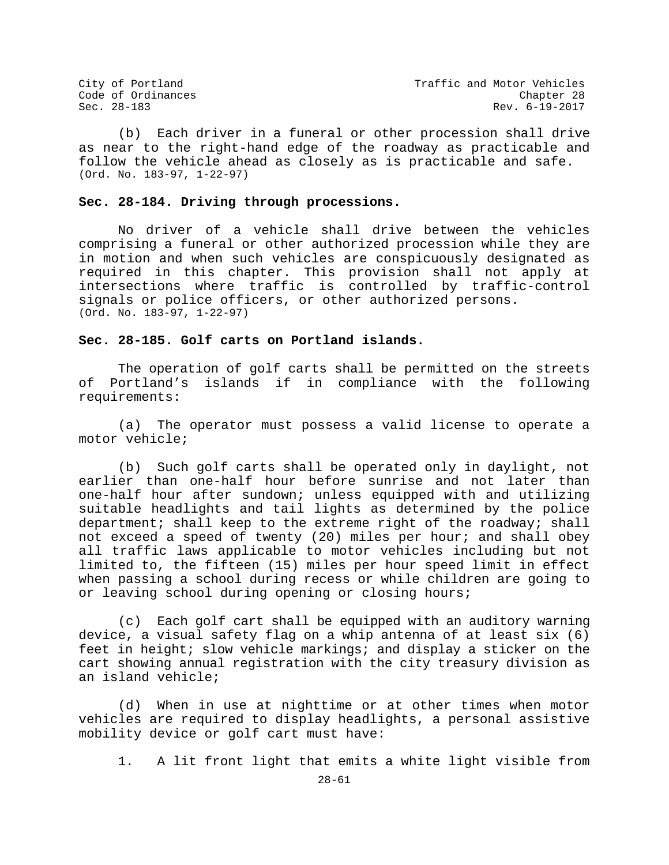(b) Each driver in a funeral or other procession shall drive as near to the right-hand edge of the roadway as practicable and follow the vehicle ahead as closely as is practicable and safe. (Ord. No. 183-97, 1-22-97)

## **Sec. 28-184. Driving through processions.**

No driver of a vehicle shall drive between the vehicles comprising a funeral or other authorized procession while they are in motion and when such vehicles are conspicuously designated as required in this chapter. This provision shall not apply at intersections where traffic is controlled by traffic-control signals or police officers, or other authorized persons. (Ord. No. 183-97, 1-22-97)

## **Sec. 28-185. Golf carts on Portland islands.**

The operation of golf carts shall be permitted on the streets<br>Portland's islands if in compliance with the following of Portland's islands if in compliance with the following requirements:

(a) The operator must possess a valid license to operate a motor vehicle;

(b) Such golf carts shall be operated only in daylight, not earlier than one-half hour before sunrise and not later than one-half hour after sundown; unless equipped with and utilizing suitable headlights and tail lights as determined by the police department; shall keep to the extreme right of the roadway; shall not exceed a speed of twenty (20) miles per hour; and shall obey all traffic laws applicable to motor vehicles including but not limited to, the fifteen (15) miles per hour speed limit in effect when passing a school during recess or while children are going to or leaving school during opening or closing hours;

(c) Each golf cart shall be equipped with an auditory warning device, a visual safety flag on a whip antenna of at least six (6) feet in height; slow vehicle markings; and display a sticker on the cart showing annual registration with the city treasury division as an island vehicle;

(d) When in use at nighttime or at other times when motor vehicles are required to display headlights, a personal assistive mobility device or golf cart must have:

1. A lit front light that emits a white light visible from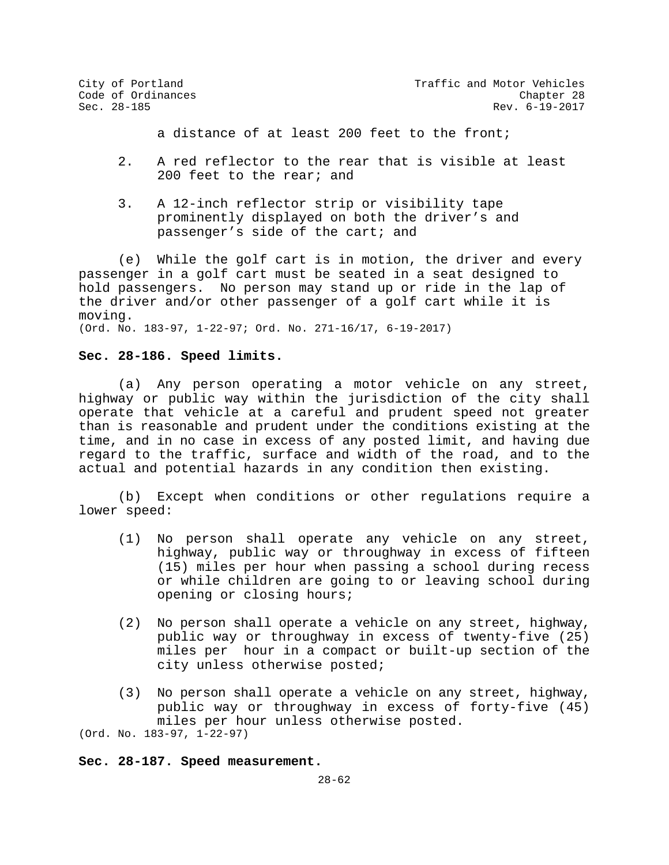City of Portland City of Portland Code of Ordinances<br>
Code of Ordinances Code Chapter 28 Rev. 6-19-2017

a distance of at least 200 feet to the front;

- 2. A red reflector to the rear that is visible at least 200 feet to the rear; and
- 3. A 12-inch reflector strip or visibility tape prominently displayed on both the driver's and passenger's side of the cart; and

(e) While the golf cart is in motion, the driver and every passenger in a golf cart must be seated in a seat designed to hold passengers. No person may stand up or ride in the lap of the driver and/or other passenger of a golf cart while it is moving. (Ord. No. 183-97, 1-22-97; Ord. No. 271-16/17, 6-19-2017)

**Sec. 28-186. Speed limits.**

(a) Any person operating a motor vehicle on any street, highway or public way within the jurisdiction of the city shall operate that vehicle at a careful and prudent speed not greater than is reasonable and prudent under the conditions existing at the time, and in no case in excess of any posted limit, and having due regard to the traffic, surface and width of the road, and to the actual and potential hazards in any condition then existing.

(b) Except when conditions or other regulations require a lower speed:

- (1) No person shall operate any vehicle on any street, highway, public way or throughway in excess of fifteen (15) miles per hour when passing a school during recess or while children are going to or leaving school during opening or closing hours;
- (2) No person shall operate a vehicle on any street, highway, public way or throughway in excess of twenty-five (25) miles per hour in a compact or built-up section of the city unless otherwise posted;
- (3) No person shall operate a vehicle on any street, highway, public way or throughway in excess of forty-five (45) miles per hour unless otherwise posted. (Ord. No. 183-97, 1-22-97)

**Sec. 28-187. Speed measurement.**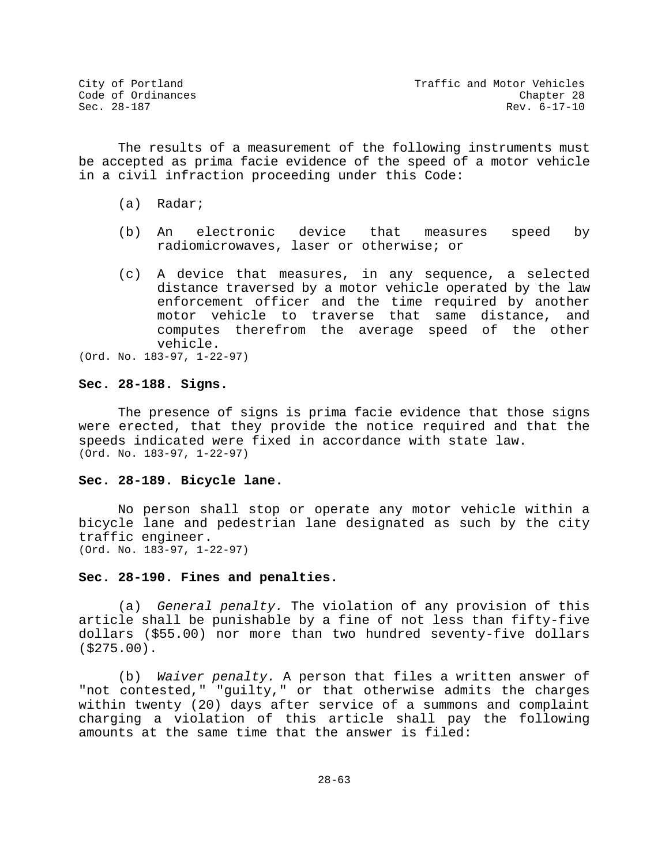The results of a measurement of the following instruments must be accepted as prima facie evidence of the speed of a motor vehicle in a civil infraction proceeding under this Code:

- (a) Radar;
- (b) An electronic device that measures speed by radiomicrowaves, laser or otherwise; or
- (c) A device that measures, in any sequence, a selected distance traversed by a motor vehicle operated by the law enforcement officer and the time required by another motor vehicle to traverse that same distance, and computes therefrom the average speed of the other vehicle.
- (Ord. No. 183-97, 1-22-97)

## **Sec. 28-188. Signs.**

The presence of signs is prima facie evidence that those signs were erected, that they provide the notice required and that the speeds indicated were fixed in accordance with state law. (Ord. No. 183-97, 1-22-97)

## **Sec. 28-189. Bicycle lane.**

No person shall stop or operate any motor vehicle within a bicycle lane and pedestrian lane designated as such by the city traffic engineer. (Ord. No. 183-97, 1-22-97)

## **Sec. 28-190. Fines and penalties.**

(a) *General penalty.* The violation of any provision of this article shall be punishable by a fine of not less than fifty-five dollars (\$55.00) nor more than two hundred seventy-five dollars (\$275.00).

(b) *Waiver penalty.* A person that files a written answer of "not contested," "guilty," or that otherwise admits the charges within twenty (20) days after service of a summons and complaint charging a violation of this article shall pay the following amounts at the same time that the answer is filed: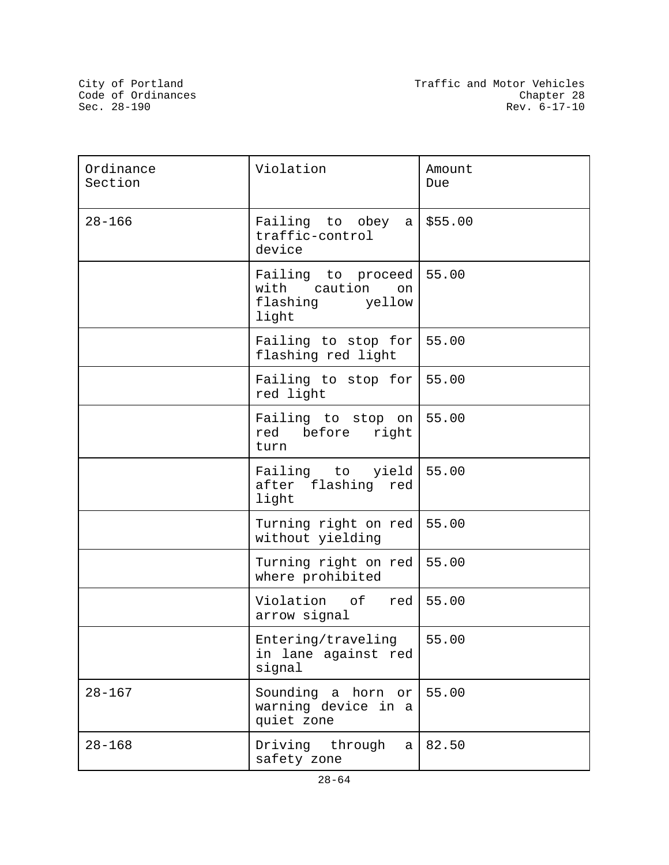| Ordinance<br>Section | Violation                                                            | Amount<br>Due |
|----------------------|----------------------------------------------------------------------|---------------|
| $28 - 166$           | Failing to obey<br>a <sub>l</sub><br>traffic-control<br>device       | \$55.00       |
|                      | Failing to proceed<br>with caution<br>on<br>flashing yellow<br>light | 55.00         |
|                      | Failing to stop for<br>flashing red light                            | 55.00         |
|                      | Failing to stop for<br>red light                                     | 55.00         |
|                      | Failing to stop on<br>red before<br>right<br>turn                    | 55.00         |
|                      | Failing to yield<br>after flashing<br>red<br>light                   | 55.00         |
|                      | Turning right on red<br>without yielding                             | 55.00         |
|                      | Turning right on red<br>where prohibited                             | 55.00         |
|                      | Violation of<br>red<br>arrow signal                                  | 55.00         |
|                      | Entering/traveling<br>in lane against red<br>signal                  | 55.00         |
| $28 - 167$           | Sounding a horn or<br>warning device in a<br>quiet zone              | 55.00         |
| $28 - 168$           | Driving through<br>a<br>safety zone                                  | 82.50         |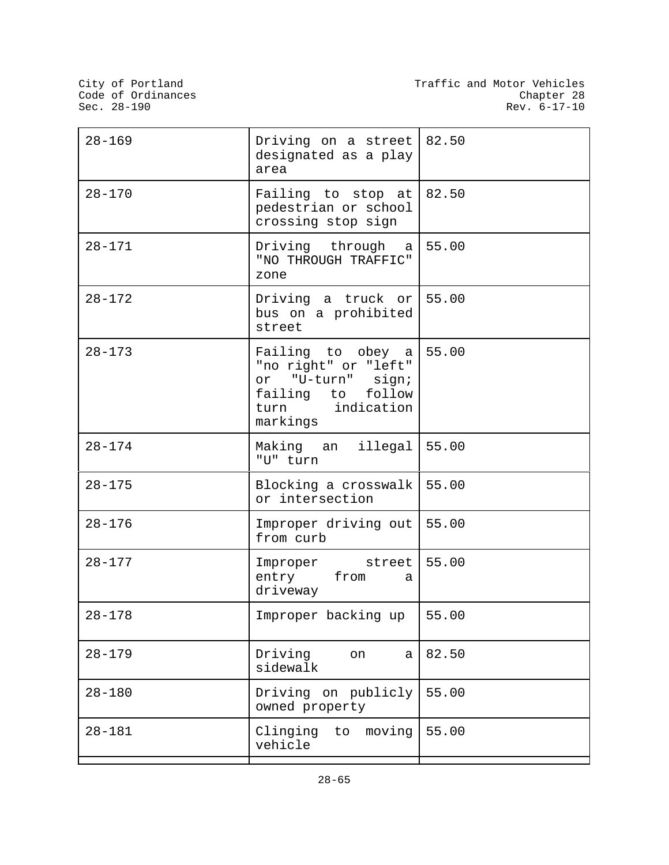| $28 - 169$ | Driving on a street $82.50$<br>designated as a play<br>area                                                        |       |
|------------|--------------------------------------------------------------------------------------------------------------------|-------|
| $28 - 170$ | Failing to stop at<br>pedestrian or school<br>crossing stop sign                                                   | 82.50 |
| $28 - 171$ | Driving through a<br>"NO THROUGH TRAFFIC"<br>zone                                                                  | 55.00 |
| $28 - 172$ | Driving a truck or<br>bus on a prohibited<br>street                                                                | 55.00 |
| $28 - 173$ | Failing to obey a<br>"no right" or "left"<br>or "U-turn" sign;<br>failing to follow<br>turn indication<br>markings | 55.00 |
| $28 - 174$ | Making an illegal<br>"U" turn                                                                                      | 55.00 |
| $28 - 175$ | Blocking a crosswalk<br>or intersection                                                                            | 55.00 |
| $28 - 176$ | Improper driving out  <br>from curb                                                                                | 55.00 |
| $28 - 177$ | Improper street<br>entry from<br>a<br>driveway                                                                     | 55.00 |
| $28 - 178$ | Improper backing up                                                                                                | 55.00 |
| $28 - 179$ | Driving<br>on<br>a<br>sidewalk                                                                                     | 82.50 |
| $28 - 180$ | Driving on publicly<br>owned property                                                                              | 55.00 |
| $28 - 181$ | Clinging<br>moving<br>to<br>vehicle                                                                                | 55.00 |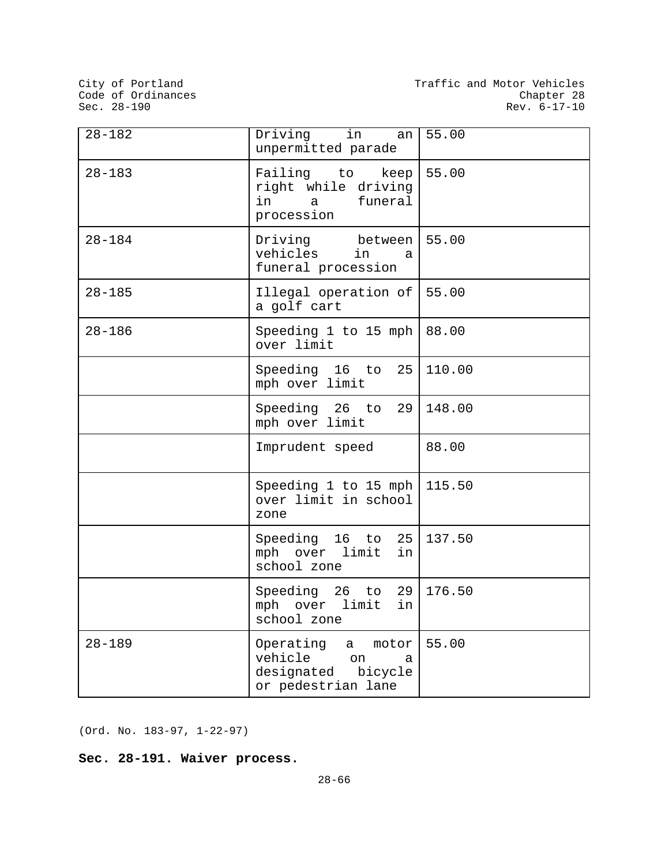City of Portland<br>Code of Ordinances<br>Sec. 28-190

| $28 - 182$ | Driving<br>in<br>an I<br>unpermitted parade                                              | 55.00  |
|------------|------------------------------------------------------------------------------------------|--------|
| $28 - 183$ | Failing to<br>keep<br>right while driving<br>funeral<br>in<br>$\mathsf{a}$<br>procession | 55.00  |
| $28 - 184$ | Driving between<br>vehicles<br>in<br>a<br>funeral procession                             | 55.00  |
| $28 - 185$ | Illegal operation of<br>a golf cart                                                      | 55.00  |
| $28 - 186$ | Speeding 1 to 15 mph<br>over limit                                                       | 88.00  |
|            | 25<br>Speeding 16 to<br>mph over limit                                                   | 110.00 |
|            | Speeding 26 to 29<br>mph over limit                                                      | 148.00 |
|            | Imprudent speed                                                                          | 88.00  |
|            | Speeding 1 to 15 mph<br>over limit in school<br>zone                                     | 115.50 |
|            | Speeding 16 to 25<br>mph over limit<br>in<br>school zone                                 | 137.50 |
|            | Speeding 26 to 29<br>mph over limit<br>in<br>school zone                                 | 176.50 |
| $28 - 189$ | Operating a<br>motor  <br>vehicle on<br>a<br>designated bicycle<br>or pedestrian lane    | 55.00  |

(Ord. No. 183-97, 1-22-97)

**Sec. 28-191. Waiver process.**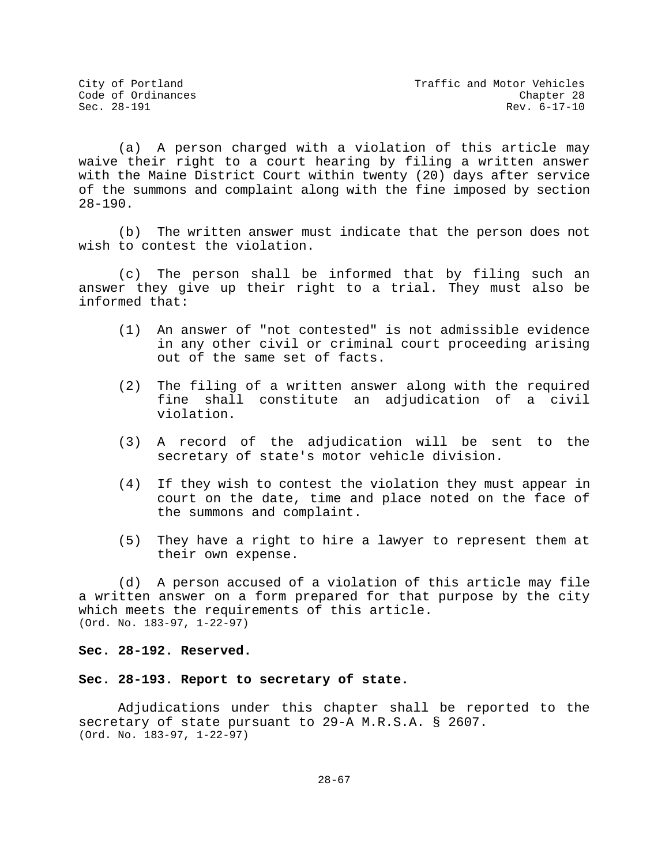(a) A person charged with a violation of this article may waive their right to a court hearing by filing a written answer with the Maine District Court within twenty (20) days after service of the summons and complaint along with the fine imposed by section 28-190.

(b) The written answer must indicate that the person does not wish to contest the violation.

(c) The person shall be informed that by filing such an answer they give up their right to a trial. They must also be informed that:

- (1) An answer of "not contested" is not admissible evidence in any other civil or criminal court proceeding arising out of the same set of facts.
- (2) The filing of a written answer along with the required fine shall constitute an adjudication of a civil violation.
- (3) A record of the adjudication will be sent to the secretary of state's motor vehicle division.
- (4) If they wish to contest the violation they must appear in court on the date, time and place noted on the face of the summons and complaint.
- (5) They have a right to hire a lawyer to represent them at their own expense.

(d) A person accused of a violation of this article may file a written answer on a form prepared for that purpose by the city which meets the requirements of this article. (Ord. No. 183-97, 1-22-97)

**Sec. 28-192. Reserved.**

#### **Sec. 28-193. Report to secretary of state.**

Adjudications under this chapter shall be reported to the secretary of state pursuant to 29-A M.R.S.A. § 2607. (Ord. No. 183-97, 1-22-97)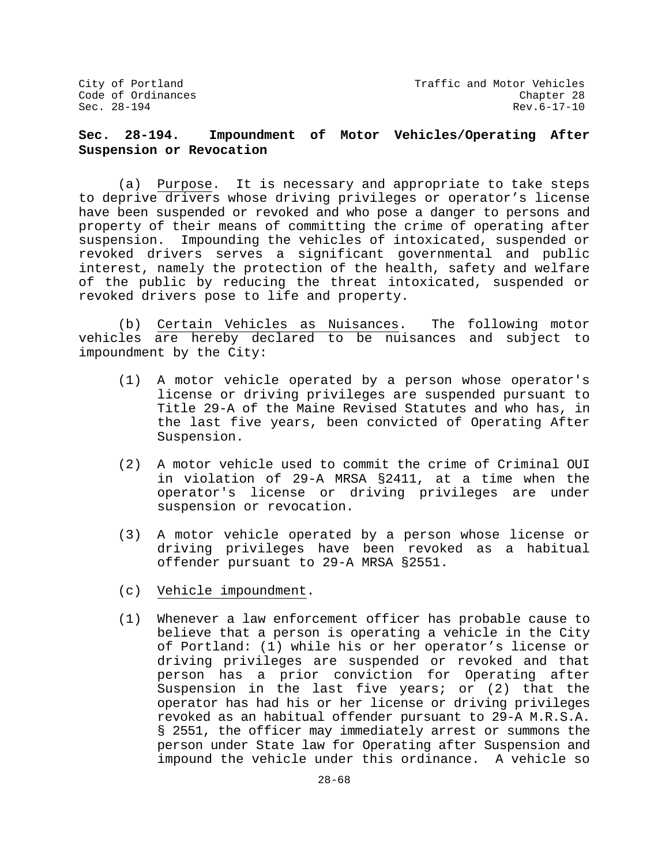## **Sec. 28-194. Impoundment of Motor Vehicles/Operating After Suspension or Revocation**

(a) Purpose. It is necessary and appropriate to take steps to deprive drivers whose driving privileges or operator's license have been suspended or revoked and who pose a danger to persons and property of their means of committing the crime of operating after suspension. Impounding the vehicles of intoxicated, suspended or revoked drivers serves a significant governmental and public interest, namely the protection of the health, safety and welfare of the public by reducing the threat intoxicated, suspended or revoked drivers pose to life and property.

(b) Certain Vehicles as Nuisances. The following motor vehicles are hereby declared to be nuisances and subject to impoundment by the City:

- (1) A motor vehicle operated by a person whose operator's license or driving privileges are suspended pursuant to Title 29-A of the Maine Revised Statutes and who has, in the last five years, been convicted of Operating After Suspension.
- (2) A motor vehicle used to commit the crime of Criminal OUI in violation of 29-A MRSA §2411, at a time when the operator's license or driving privileges are under suspension or revocation.
- (3) A motor vehicle operated by a person whose license or driving privileges have been revoked as a habitual offender pursuant to 29-A MRSA §2551.
- (c) Vehicle impoundment.
- (1) Whenever a law enforcement officer has probable cause to believe that a person is operating a vehicle in the City of Portland: (1) while his or her operator's license or driving privileges are suspended or revoked and that person has a prior conviction for Operating after Suspension in the last five years; or (2) that the operator has had his or her license or driving privileges revoked as an habitual offender pursuant to 29-A M.R.S.A. § 2551, the officer may immediately arrest or summons the person under State law for Operating after Suspension and impound the vehicle under this ordinance. A vehicle so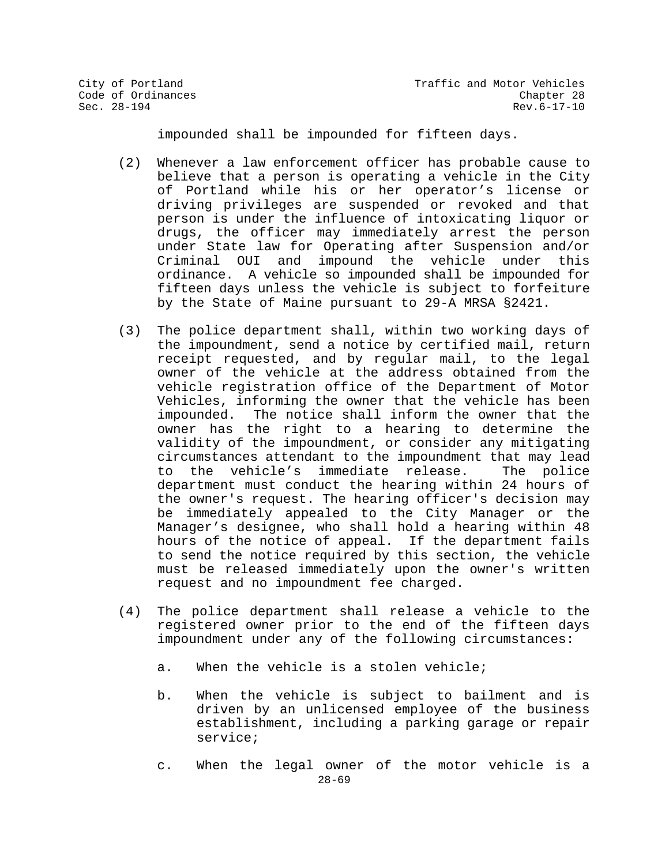impounded shall be impounded for fifteen days.

- (2) Whenever a law enforcement officer has probable cause to believe that a person is operating a vehicle in the City of Portland while his or her operator's license or driving privileges are suspended or revoked and that person is under the influence of intoxicating liquor or drugs, the officer may immediately arrest the person under State law for Operating after Suspension and/or Criminal OUI and impound the vehicle under this ordinance. A vehicle so impounded shall be impounded for fifteen days unless the vehicle is subject to forfeiture by the State of Maine pursuant to 29-A MRSA §2421.
- (3) The police department shall, within two working days of the impoundment, send a notice by certified mail, return receipt requested, and by regular mail, to the legal owner of the vehicle at the address obtained from the vehicle registration office of the Department of Motor Vehicles, informing the owner that the vehicle has been impounded. The notice shall inform the owner that the owner has the right to a hearing to determine the validity of the impoundment, or consider any mitigating circumstances attendant to the impoundment that may lead<br>to the vehicle's immediate release. The police the vehicle's immediate release. department must conduct the hearing within 24 hours of the owner's request. The hearing officer's decision may be immediately appealed to the City Manager or the Manager's designee, who shall hold a hearing within 48 hours of the notice of appeal. If the department fails to send the notice required by this section, the vehicle must be released immediately upon the owner's written request and no impoundment fee charged.
- (4) The police department shall release a vehicle to the registered owner prior to the end of the fifteen days impoundment under any of the following circumstances:
	- a. When the vehicle is a stolen vehicle;
	- b. When the vehicle is subject to bailment and is driven by an unlicensed employee of the business establishment, including a parking garage or repair service;
	- 28-69 c. When the legal owner of the motor vehicle is a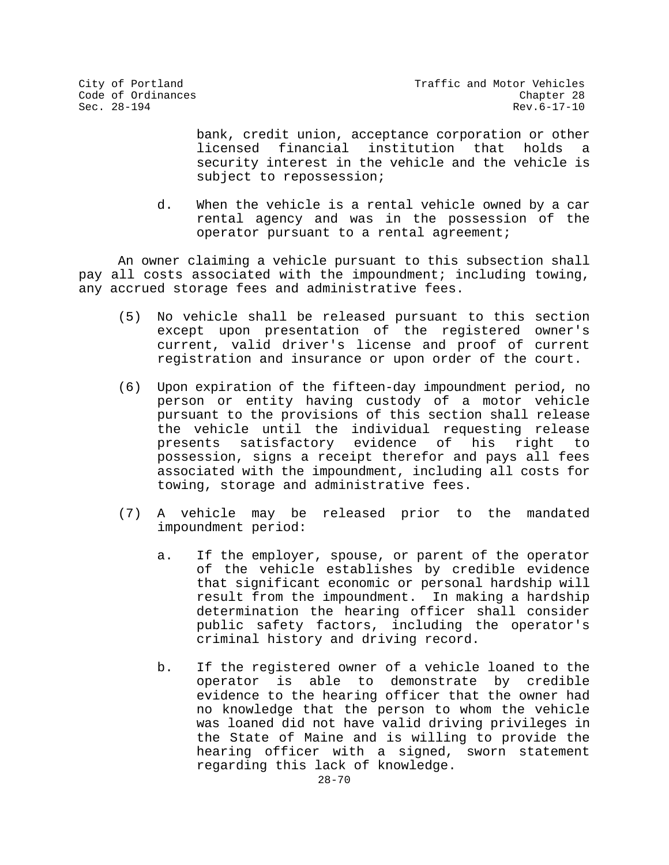bank, credit union, acceptance corporation or other licensed financial institution that holds security interest in the vehicle and the vehicle is subject to repossession;

d. When the vehicle is a rental vehicle owned by a car rental agency and was in the possession of the operator pursuant to a rental agreement;

An owner claiming a vehicle pursuant to this subsection shall pay all costs associated with the impoundment; including towing, any accrued storage fees and administrative fees.

- (5) No vehicle shall be released pursuant to this section except upon presentation of the registered owner's current, valid driver's license and proof of current registration and insurance or upon order of the court.
- (6) Upon expiration of the fifteen-day impoundment period, no person or entity having custody of a motor vehicle pursuant to the provisions of this section shall release the vehicle until the individual requesting release<br>presents satisfactory evidence of his right to satisfactory evidence of possession, signs a receipt therefor and pays all fees associated with the impoundment, including all costs for towing, storage and administrative fees.
- (7) A vehicle may be released prior to the mandated impoundment period:
	- a. If the employer, spouse, or parent of the operator of the vehicle establishes by credible evidence that significant economic or personal hardship will result from the impoundment. In making a hardship determination the hearing officer shall consider public safety factors, including the operator's criminal history and driving record.
	- b. If the registered owner of a vehicle loaned to the operator is able to demonstrate by credible evidence to the hearing officer that the owner had no knowledge that the person to whom the vehicle was loaned did not have valid driving privileges in the State of Maine and is willing to provide the hearing officer with a signed, sworn statement regarding this lack of knowledge.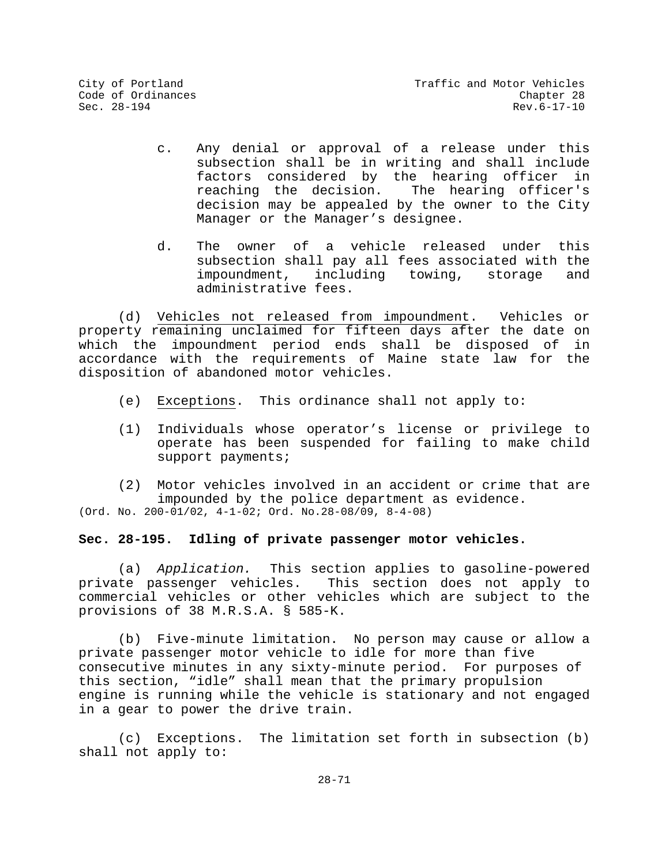- c. Any denial or approval of a release under this subsection shall be in writing and shall include factors considered by the hearing officer in<br>reaching the decision. The hearing officer's reaching the decision. decision may be appealed by the owner to the City Manager or the Manager's designee.
- d. The owner of a vehicle released under this subsection shall pay all fees associated with the<br>impoundment, including towing, storage and impoundment, including towing, administrative fees.

(d) Vehicles not released from impoundment. Vehicles or property remaining unclaimed for fifteen days after the date on which the impoundment period ends shall be disposed of in accordance with the requirements of Maine state law for the disposition of abandoned motor vehicles.

- (e) Exceptions. This ordinance shall not apply to:
- (1) Individuals whose operator's license or privilege to operate has been suspended for failing to make child support payments;

(2) Motor vehicles involved in an accident or crime that are impounded by the police department as evidence.  $(Ord. No. 200-01/02, 4-1-02; Ord. No. 28-08/09, 8-4-08)$ 

## **Sec. 28-195. Idling of private passenger motor vehicles.**

(a) *Application.* This section applies to gasoline-powered private passenger vehicles. This section does not apply to commercial vehicles or other vehicles which are subject to the provisions of 38 M.R.S.A. § 585-K.

(b) Five-minute limitation. No person may cause or allow a private passenger motor vehicle to idle for more than five consecutive minutes in any sixty-minute period. For purposes of this section, "idle" shall mean that the primary propulsion engine is running while the vehicle is stationary and not engaged in a gear to power the drive train.

(c) Exceptions. The limitation set forth in subsection (b) shall not apply to: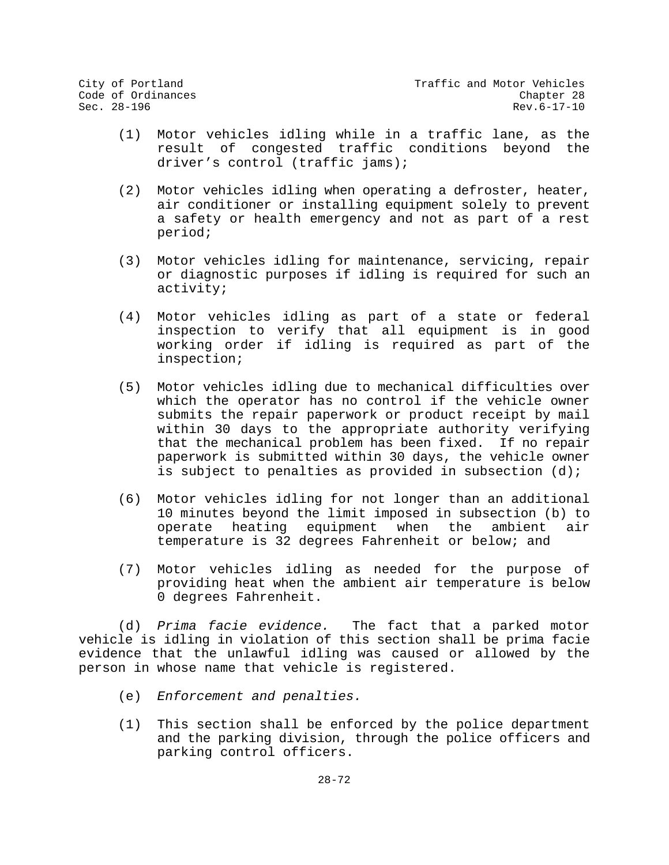- (1) Motor vehicles idling while in a traffic lane, as the result of congested traffic conditions beyond the driver's control (traffic jams);
- (2) Motor vehicles idling when operating a defroster, heater, air conditioner or installing equipment solely to prevent a safety or health emergency and not as part of a rest period;
- (3) Motor vehicles idling for maintenance, servicing, repair or diagnostic purposes if idling is required for such an activity;
- (4) Motor vehicles idling as part of a state or federal inspection to verify that all equipment is in good working order if idling is required as part of the inspection;
- (5) Motor vehicles idling due to mechanical difficulties over which the operator has no control if the vehicle owner submits the repair paperwork or product receipt by mail within 30 days to the appropriate authority verifying that the mechanical problem has been fixed. If no repair paperwork is submitted within 30 days, the vehicle owner is subject to penalties as provided in subsection  $(d)$ ;
- (6) Motor vehicles idling for not longer than an additional 10 minutes beyond the limit imposed in subsection (b) to operate heating equipment when the ambient air operate heating equipment when the ambient temperature is 32 degrees Fahrenheit or below; and
- (7) Motor vehicles idling as needed for the purpose of providing heat when the ambient air temperature is below 0 degrees Fahrenheit.

(d) *Prima facie evidence.* The fact that a parked motor vehicle is idling in violation of this section shall be prima facie evidence that the unlawful idling was caused or allowed by the person in whose name that vehicle is registered.

- (e) *Enforcement and penalties.*
- (1) This section shall be enforced by the police department and the parking division, through the police officers and parking control officers.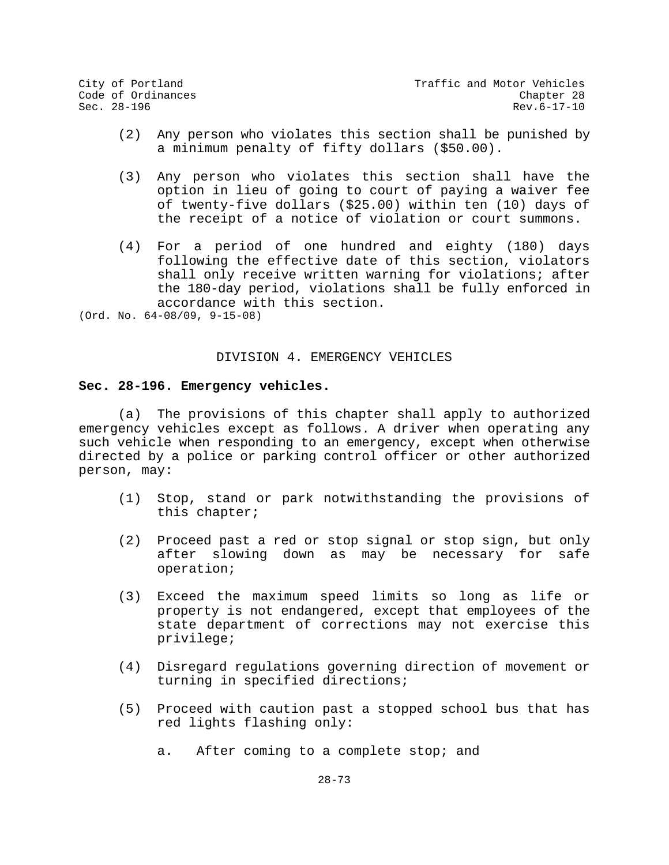City of Portland City of Portland Code of Ordinances<br>
Code of Ordinances Code Chapter 28 Code of Ordinances Chapter 28  $\texttt{Sec. 28-196}$  Rev.6-17-10

- (2) Any person who violates this section shall be punished by a minimum penalty of fifty dollars (\$50.00).
- (3) Any person who violates this section shall have the option in lieu of going to court of paying a waiver fee of twenty-five dollars (\$25.00) within ten (10) days of the receipt of a notice of violation or court summons.
- (4) For a period of one hundred and eighty (180) days following the effective date of this section, violators shall only receive written warning for violations; after the 180-day period, violations shall be fully enforced in accordance with this section.

(Ord. No. 64-08/09, 9-15-08)

#### DIVISION 4. EMERGENCY VEHICLES

#### **Sec. 28-196. Emergency vehicles.**

(a) The provisions of this chapter shall apply to authorized emergency vehicles except as follows. A driver when operating any such vehicle when responding to an emergency, except when otherwise directed by a police or parking control officer or other authorized person, may:

- (1) Stop, stand or park notwithstanding the provisions of this chapter;
- (2) Proceed past a red or stop signal or stop sign, but only after slowing down as may be necessary for safe operation;
- (3) Exceed the maximum speed limits so long as life or property is not endangered, except that employees of the state department of corrections may not exercise this privilege;
- (4) Disregard regulations governing direction of movement or turning in specified directions;
- (5) Proceed with caution past a stopped school bus that has red lights flashing only:
	- a. After coming to a complete stop; and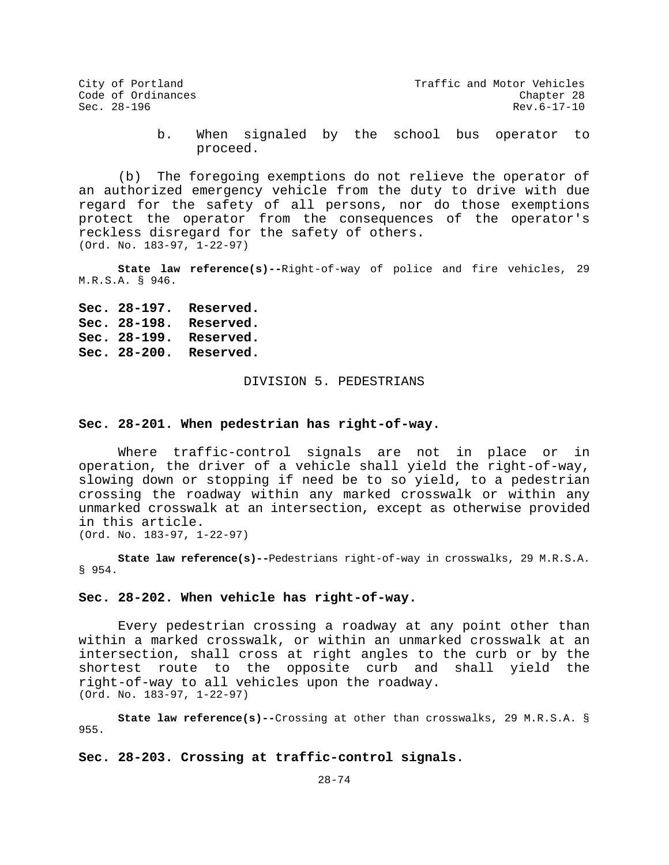b. When signaled by the school bus operator to proceed.

(b) The foregoing exemptions do not relieve the operator of an authorized emergency vehicle from the duty to drive with due regard for the safety of all persons, nor do those exemptions protect the operator from the consequences of the operator's reckless disregard for the safety of others. (Ord. No. 183-97, 1-22-97)

**State law reference(s)--**Right-of-way of police and fire vehicles, 29 M.R.S.A. § 946.

**Sec. 28-197. Reserved. Sec. 28-198. Reserved. Sec. 28-199. Reserved. Sec. 28-200. Reserved.**

### DIVISION 5. PEDESTRIANS

#### **Sec. 28-201. When pedestrian has right-of-way.**

Where traffic-control signals are not in place or in operation, the driver of a vehicle shall yield the right-of-way, slowing down or stopping if need be to so yield, to a pedestrian crossing the roadway within any marked crosswalk or within any unmarked crosswalk at an intersection, except as otherwise provided in this article. (Ord. No. 183-97, 1-22-97)

**State law reference(s)--**Pedestrians right-of-way in crosswalks, 29 M.R.S.A. § 954.

#### **Sec. 28-202. When vehicle has right-of-way.**

Every pedestrian crossing a roadway at any point other than within a marked crosswalk, or within an unmarked crosswalk at an intersection, shall cross at right angles to the curb or by the shortest route to the opposite curb and shall yield the right-of-way to all vehicles upon the roadway. (Ord. No. 183-97, 1-22-97)

**State law reference(s)--**Crossing at other than crosswalks, 29 M.R.S.A. § 955.

**Sec. 28-203. Crossing at traffic-control signals.**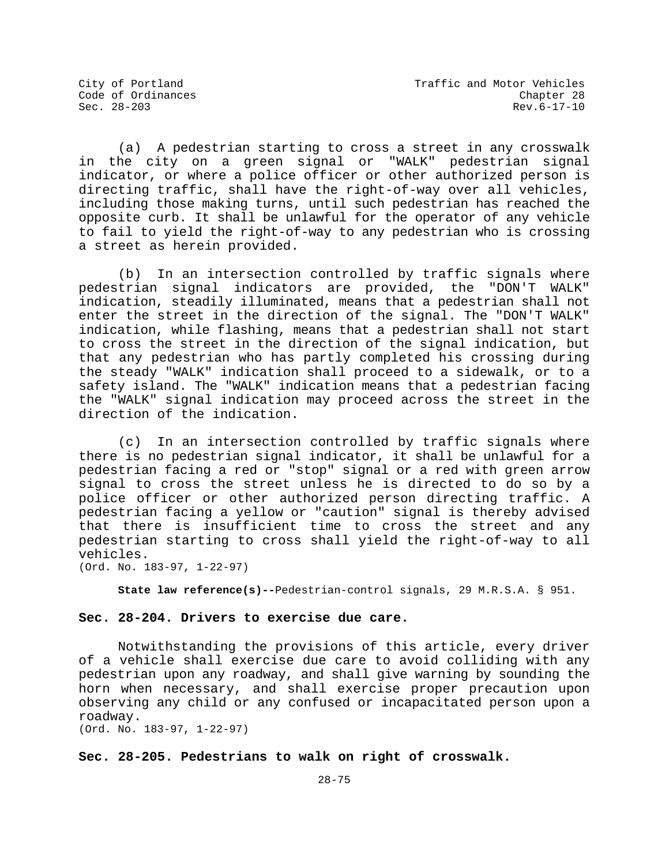(a) A pedestrian starting to cross a street in any crosswalk in the city on a green signal or "WALK" pedestrian signal indicator, or where a police officer or other authorized person is directing traffic, shall have the right-of-way over all vehicles, including those making turns, until such pedestrian has reached the opposite curb. It shall be unlawful for the operator of any vehicle to fail to yield the right-of-way to any pedestrian who is crossing a street as herein provided.

(b) In an intersection controlled by traffic signals where pedestrian signal indicators are provided, the "DON'T WALK" indication, steadily illuminated, means that a pedestrian shall not enter the street in the direction of the signal. The "DON'T WALK" indication, while flashing, means that a pedestrian shall not start to cross the street in the direction of the signal indication, but that any pedestrian who has partly completed his crossing during the steady "WALK" indication shall proceed to a sidewalk, or to a safety island. The "WALK" indication means that a pedestrian facing the "WALK" signal indication may proceed across the street in the direction of the indication.

(c) In an intersection controlled by traffic signals where there is no pedestrian signal indicator, it shall be unlawful for a pedestrian facing a red or "stop" signal or a red with green arrow signal to cross the street unless he is directed to do so by a police officer or other authorized person directing traffic. A pedestrian facing a yellow or "caution" signal is thereby advised that there is insufficient time to cross the street and any pedestrian starting to cross shall yield the right-of-way to all vehicles.

(Ord. No. 183-97, 1-22-97)

**State law reference(s)--**Pedestrian-control signals, 29 M.R.S.A. § 951.

# **Sec. 28-204. Drivers to exercise due care.**

Notwithstanding the provisions of this article, every driver of a vehicle shall exercise due care to avoid colliding with any pedestrian upon any roadway, and shall give warning by sounding the horn when necessary, and shall exercise proper precaution upon observing any child or any confused or incapacitated person upon a roadway.

(Ord. No. 183-97, 1-22-97)

## **Sec. 28-205. Pedestrians to walk on right of crosswalk.**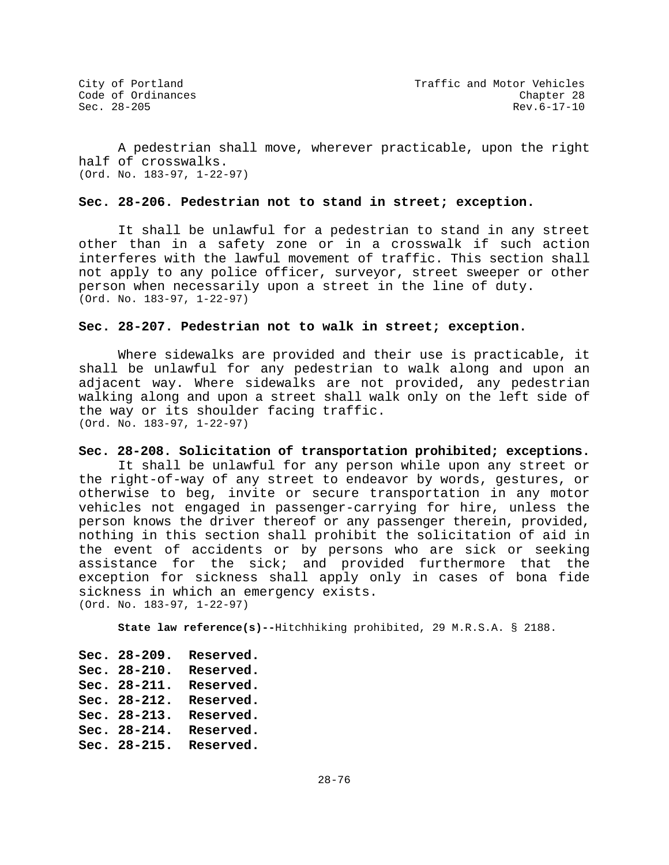A pedestrian shall move, wherever practicable, upon the right half of crosswalks. (Ord. No. 183-97, 1-22-97)

### **Sec. 28-206. Pedestrian not to stand in street; exception.**

It shall be unlawful for a pedestrian to stand in any street other than in a safety zone or in a crosswalk if such action interferes with the lawful movement of traffic. This section shall not apply to any police officer, surveyor, street sweeper or other person when necessarily upon a street in the line of duty. (Ord. No. 183-97, 1-22-97)

## **Sec. 28-207. Pedestrian not to walk in street; exception.**

Where sidewalks are provided and their use is practicable, it shall be unlawful for any pedestrian to walk along and upon an adjacent way. Where sidewalks are not provided, any pedestrian walking along and upon a street shall walk only on the left side of the way or its shoulder facing traffic. (Ord. No. 183-97, 1-22-97)

## **Sec. 28-208. Solicitation of transportation prohibited; exceptions.**

It shall be unlawful for any person while upon any street or the right-of-way of any street to endeavor by words, gestures, or otherwise to beg, invite or secure transportation in any motor vehicles not engaged in passenger-carrying for hire, unless the person knows the driver thereof or any passenger therein, provided, nothing in this section shall prohibit the solicitation of aid in the event of accidents or by persons who are sick or seeking assistance for the sick; and provided furthermore that the exception for sickness shall apply only in cases of bona fide sickness in which an emergency exists. (Ord. No. 183-97, 1-22-97)

**State law reference(s)--**Hitchhiking prohibited, 29 M.R.S.A. § 2188.

**Sec. 28-209. Reserved. Sec. 28-210. Reserved. Sec. 28-211. Reserved. Sec. 28-212. Reserved. Sec. 28-213. Reserved. Sec. 28-214. Reserved. Sec. 28-215. Reserved.**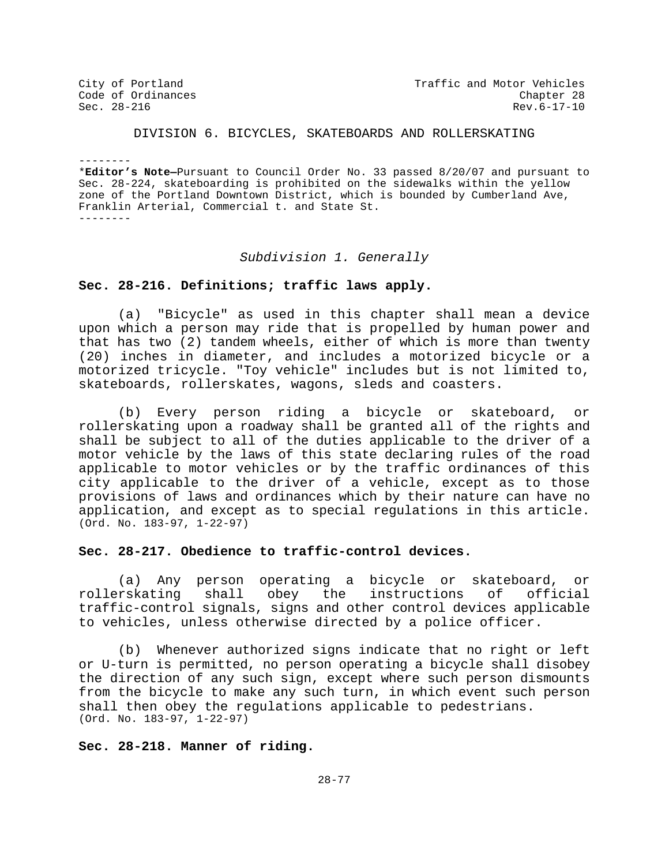City of Portland City of Portland Code of Ordinances<br>
Code of Ordinances Code Chapter 28 Code of Ordinances Chapter 28  $\texttt{Sec. 28-216}$  Rev.6-17-10

# DIVISION 6. BICYCLES, SKATEBOARDS AND ROLLERSKATING

-------- \***Editor's Note—**Pursuant to Council Order No. 33 passed 8/20/07 and pursuant to Sec. 28-224, skateboarding is prohibited on the sidewalks within the yellow zone of the Portland Downtown District, which is bounded by Cumberland Ave, Franklin Arterial, Commercial t. and State St. --------

#### *Subdivision 1. Generally*

## **Sec. 28-216. Definitions; traffic laws apply.**

(a) "Bicycle" as used in this chapter shall mean a device upon which a person may ride that is propelled by human power and that has two (2) tandem wheels, either of which is more than twenty (20) inches in diameter, and includes a motorized bicycle or a motorized tricycle. "Toy vehicle" includes but is not limited to, skateboards, rollerskates, wagons, sleds and coasters.

(b) Every person riding a bicycle or skateboard, or rollerskating upon a roadway shall be granted all of the rights and shall be subject to all of the duties applicable to the driver of a motor vehicle by the laws of this state declaring rules of the road applicable to motor vehicles or by the traffic ordinances of this city applicable to the driver of a vehicle, except as to those provisions of laws and ordinances which by their nature can have no application, and except as to special regulations in this article. (Ord. No. 183-97, 1-22-97)

# **Sec. 28-217. Obedience to traffic-control devices.**

(a) Any person operating a bicycle or skateboard, or<br>rskating shall obey the instructions of official rollerskating shall obey the instructions traffic-control signals, signs and other control devices applicable to vehicles, unless otherwise directed by a police officer.

(b) Whenever authorized signs indicate that no right or left or U-turn is permitted, no person operating a bicycle shall disobey the direction of any such sign, except where such person dismounts from the bicycle to make any such turn, in which event such person shall then obey the regulations applicable to pedestrians. (Ord. No. 183-97, 1-22-97)

## **Sec. 28-218. Manner of riding.**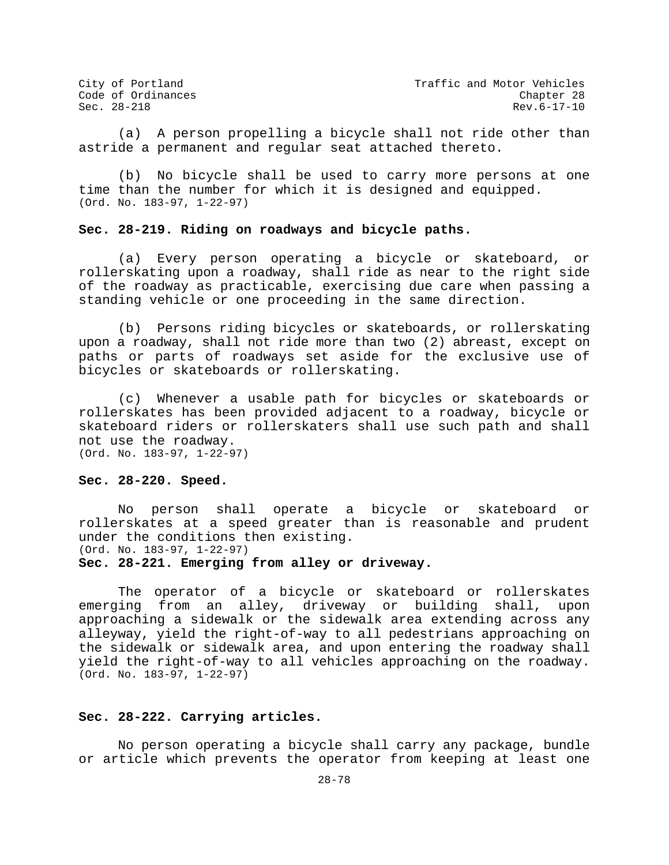City of Portland City of Portland Code of Ordinances<br>Code of Ordinances Code of Ordinances Code of Ordinances<br>
Sec. 28-218<br>
Sec. 28-218<br>
Chapter 28  $\texttt{Sec. 28-218}$  Rev.6-17-10

(a) A person propelling a bicycle shall not ride other than astride a permanent and regular seat attached thereto.

(b) No bicycle shall be used to carry more persons at one time than the number for which it is designed and equipped. (Ord. No. 183-97, 1-22-97)

## **Sec. 28-219. Riding on roadways and bicycle paths.**

(a) Every person operating a bicycle or skateboard, or rollerskating upon a roadway, shall ride as near to the right side of the roadway as practicable, exercising due care when passing a standing vehicle or one proceeding in the same direction.

(b) Persons riding bicycles or skateboards, or rollerskating upon a roadway, shall not ride more than two (2) abreast, except on paths or parts of roadways set aside for the exclusive use of bicycles or skateboards or rollerskating.

(c) Whenever a usable path for bicycles or skateboards or rollerskates has been provided adjacent to a roadway, bicycle or skateboard riders or rollerskaters shall use such path and shall not use the roadway. (Ord. No. 183-97, 1-22-97)

#### **Sec. 28-220. Speed.**

No person shall operate a bicycle or skateboard or rollerskates at a speed greater than is reasonable and prudent under the conditions then existing. (Ord. No. 183-97, 1-22-97)

#### **Sec. 28-221. Emerging from alley or driveway.**

The operator of a bicycle or skateboard or rollerskates<br>ing from an alley, driveway or building shall, upon emerging from an alley, driveway or building approaching a sidewalk or the sidewalk area extending across any alleyway, yield the right-of-way to all pedestrians approaching on the sidewalk or sidewalk area, and upon entering the roadway shall yield the right-of-way to all vehicles approaching on the roadway. (Ord. No. 183-97, 1-22-97)

## **Sec. 28-222. Carrying articles.**

No person operating a bicycle shall carry any package, bundle or article which prevents the operator from keeping at least one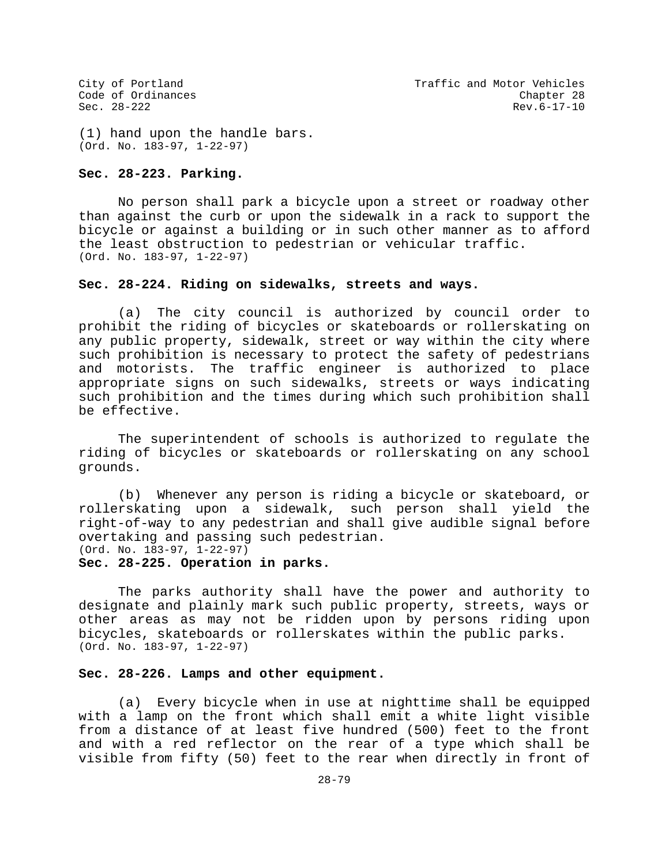(1) hand upon the handle bars. (Ord. No. 183-97, 1-22-97)

#### **Sec. 28-223. Parking.**

No person shall park a bicycle upon a street or roadway other than against the curb or upon the sidewalk in a rack to support the bicycle or against a building or in such other manner as to afford the least obstruction to pedestrian or vehicular traffic. (Ord. No. 183-97, 1-22-97)

# **Sec. 28-224. Riding on sidewalks, streets and ways.**

(a) The city council is authorized by council order to prohibit the riding of bicycles or skateboards or rollerskating on any public property, sidewalk, street or way within the city where such prohibition is necessary to protect the safety of pedestrians and motorists. The traffic engineer is authorized to place appropriate signs on such sidewalks, streets or ways indicating such prohibition and the times during which such prohibition shall be effective.

The superintendent of schools is authorized to regulate the riding of bicycles or skateboards or rollerskating on any school grounds.

(b) Whenever any person is riding a bicycle or skateboard, or rollerskating upon a sidewalk, such person shall yield the right-of-way to any pedestrian and shall give audible signal before overtaking and passing such pedestrian. (Ord. No. 183-97, 1-22-97)

#### **Sec. 28-225. Operation in parks.**

The parks authority shall have the power and authority to designate and plainly mark such public property, streets, ways or other areas as may not be ridden upon by persons riding upon bicycles, skateboards or rollerskates within the public parks. (Ord. No. 183-97, 1-22-97)

## **Sec. 28-226. Lamps and other equipment.**

(a) Every bicycle when in use at nighttime shall be equipped with a lamp on the front which shall emit a white light visible from a distance of at least five hundred (500) feet to the front and with a red reflector on the rear of a type which shall be visible from fifty (50) feet to the rear when directly in front of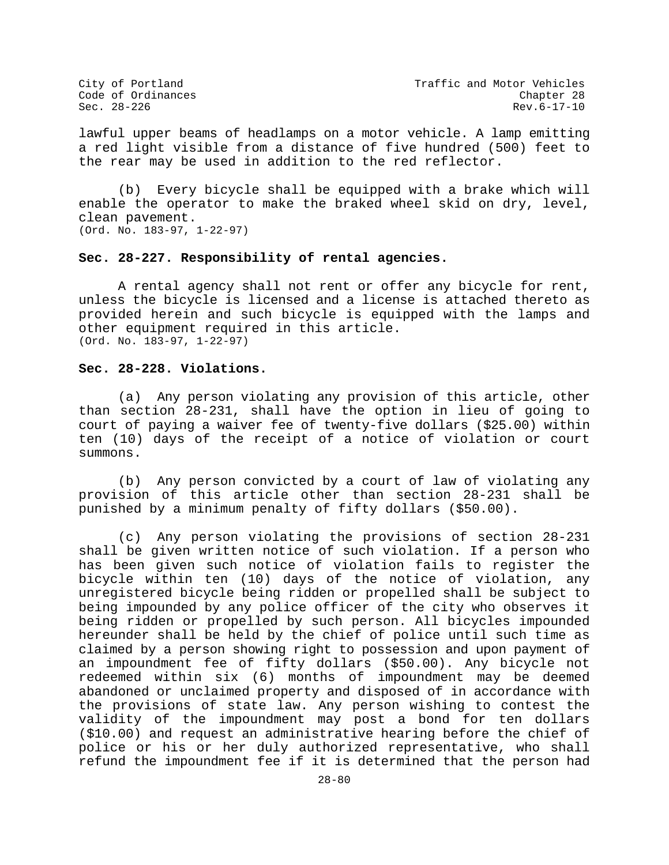City of Portland City of Portland Code of Ordinances<br>Code of Ordinances Code of Ordinances Code of Ordinances Chapter 28  $\texttt{Sec. 28-226}$  Rev.6-17-10

lawful upper beams of headlamps on a motor vehicle. A lamp emitting a red light visible from a distance of five hundred (500) feet to the rear may be used in addition to the red reflector.

(b) Every bicycle shall be equipped with a brake which will enable the operator to make the braked wheel skid on dry, level, clean pavement. (Ord. No. 183-97, 1-22-97)

# **Sec. 28-227. Responsibility of rental agencies.**

A rental agency shall not rent or offer any bicycle for rent, unless the bicycle is licensed and a license is attached thereto as provided herein and such bicycle is equipped with the lamps and other equipment required in this article. (Ord. No. 183-97, 1-22-97)

### **Sec. 28-228. Violations.**

(a) Any person violating any provision of this article, other than section 28-231, shall have the option in lieu of going to court of paying a waiver fee of twenty-five dollars (\$25.00) within ten (10) days of the receipt of a notice of violation or court summons.

(b) Any person convicted by a court of law of violating any provision of this article other than section 28-231 shall be punished by a minimum penalty of fifty dollars (\$50.00).

(c) Any person violating the provisions of section 28-231 shall be given written notice of such violation. If a person who has been given such notice of violation fails to register the bicycle within ten (10) days of the notice of violation, any unregistered bicycle being ridden or propelled shall be subject to being impounded by any police officer of the city who observes it being ridden or propelled by such person. All bicycles impounded hereunder shall be held by the chief of police until such time as claimed by a person showing right to possession and upon payment of an impoundment fee of fifty dollars (\$50.00). Any bicycle not redeemed within six (6) months of impoundment may be deemed abandoned or unclaimed property and disposed of in accordance with the provisions of state law. Any person wishing to contest the validity of the impoundment may post a bond for ten dollars (\$10.00) and request an administrative hearing before the chief of police or his or her duly authorized representative, who shall refund the impoundment fee if it is determined that the person had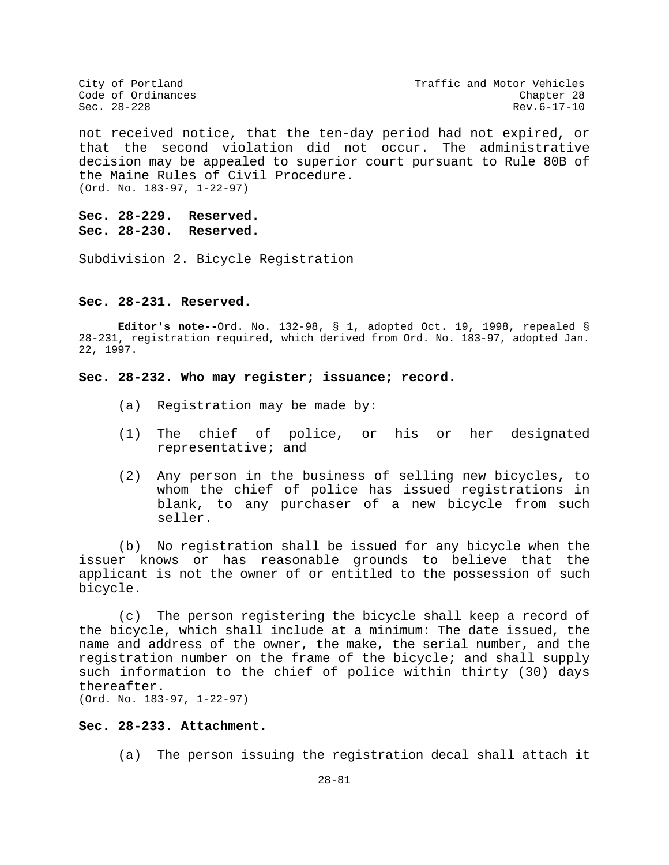City of Portland City of Portland Code of Ordinances<br>Code of Ordinances Code of Ordinances  $Rev.6-17-10$ 

not received notice, that the ten-day period had not expired, or that the second violation did not occur. The administrative decision may be appealed to superior court pursuant to Rule 80B of the Maine Rules of Civil Procedure. (Ord. No. 183-97, 1-22-97)

**Sec. 28-229. Reserved. Sec. 28-230. Reserved.**

Subdivision 2. Bicycle Registration

#### **Sec. 28-231. Reserved.**

**Editor's note--**Ord. No. 132-98, § 1, adopted Oct. 19, 1998, repealed § 28-231, registration required, which derived from Ord. No. 183-97, adopted Jan. 22, 1997.

### **Sec. 28-232. Who may register; issuance; record.**

- (a) Registration may be made by:
- (1) The chief of police, or his or her designated representative; and
- (2) Any person in the business of selling new bicycles, to whom the chief of police has issued registrations in blank, to any purchaser of a new bicycle from such seller.

(b) No registration shall be issued for any bicycle when the issuer knows or has reasonable grounds to believe that the applicant is not the owner of or entitled to the possession of such bicycle.

(c) The person registering the bicycle shall keep a record of the bicycle, which shall include at a minimum: The date issued, the name and address of the owner, the make, the serial number, and the registration number on the frame of the bicycle; and shall supply such information to the chief of police within thirty (30) days thereafter. (Ord. No. 183-97, 1-22-97)

**Sec. 28-233. Attachment.**

(a) The person issuing the registration decal shall attach it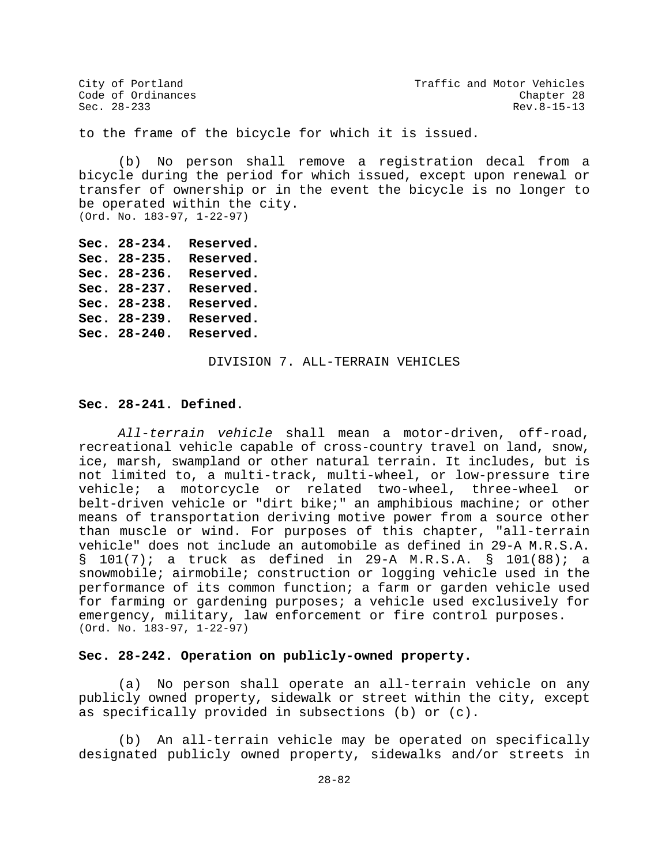to the frame of the bicycle for which it is issued.

(b) No person shall remove a registration decal from a bicycle during the period for which issued, except upon renewal or transfer of ownership or in the event the bicycle is no longer to be operated within the city. (Ord. No. 183-97, 1-22-97)

```
Sec. 28-234. Reserved.
Sec. 28-235. Reserved.
Sec. 28-236. Reserved.
Sec. 28-237. Reserved.
Sec. 28-238. Reserved.
Sec. 28-239. Reserved.
Sec. 28-240. Reserved.
```
DIVISION 7. ALL-TERRAIN VEHICLES

#### **Sec. 28-241. Defined.**

*All-terrain vehicle* shall mean a motor-driven, off-road, recreational vehicle capable of cross-country travel on land, snow, ice, marsh, swampland or other natural terrain. It includes, but is not limited to, a multi-track, multi-wheel, or low-pressure tire vehicle; a motorcycle or related two-wheel, three-wheel or belt-driven vehicle or "dirt bike;" an amphibious machine; or other means of transportation deriving motive power from a source other than muscle or wind. For purposes of this chapter, "all-terrain vehicle" does not include an automobile as defined in 29-A M.R.S.A. § 101(7); a truck as defined in 29-A M.R.S.A. § 101(88); a snowmobile; airmobile; construction or logging vehicle used in the performance of its common function; a farm or garden vehicle used for farming or gardening purposes; a vehicle used exclusively for emergency, military, law enforcement or fire control purposes. (Ord. No. 183-97, 1-22-97)

## **Sec. 28-242. Operation on publicly-owned property.**

(a) No person shall operate an all-terrain vehicle on any publicly owned property, sidewalk or street within the city, except as specifically provided in subsections (b) or (c).

(b) An all-terrain vehicle may be operated on specifically designated publicly owned property, sidewalks and/or streets in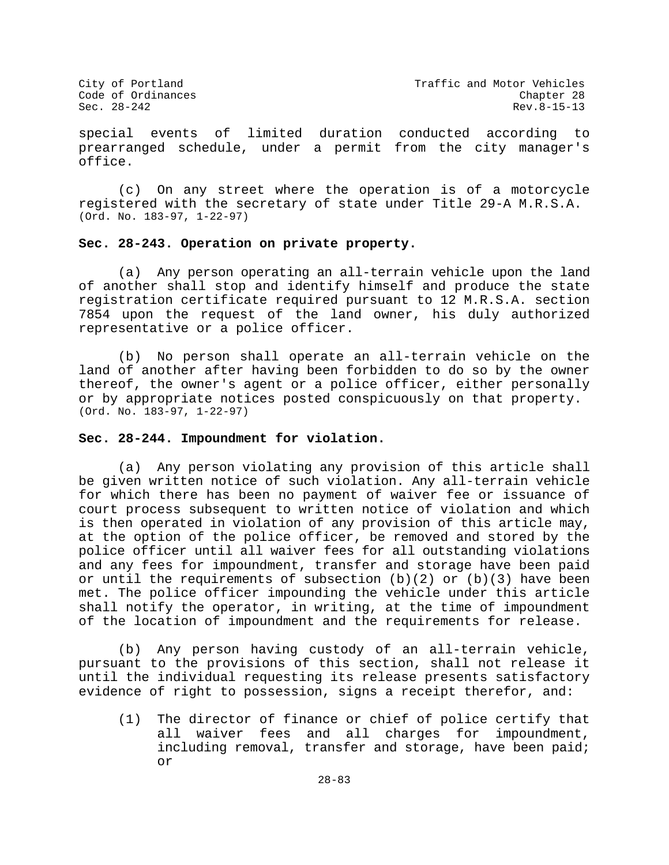special events of limited duration conducted according to prearranged schedule, under a permit from the city manager's office.

(c) On any street where the operation is of a motorcycle registered with the secretary of state under Title 29-A M.R.S.A. (Ord. No. 183-97, 1-22-97)

# **Sec. 28-243. Operation on private property.**

(a) Any person operating an all-terrain vehicle upon the land of another shall stop and identify himself and produce the state registration certificate required pursuant to 12 M.R.S.A. section 7854 upon the request of the land owner, his duly authorized representative or a police officer.

(b) No person shall operate an all-terrain vehicle on the land of another after having been forbidden to do so by the owner thereof, the owner's agent or a police officer, either personally or by appropriate notices posted conspicuously on that property. (Ord. No. 183-97, 1-22-97)

## **Sec. 28-244. Impoundment for violation.**

(a) Any person violating any provision of this article shall be given written notice of such violation. Any all-terrain vehicle for which there has been no payment of waiver fee or issuance of court process subsequent to written notice of violation and which is then operated in violation of any provision of this article may, at the option of the police officer, be removed and stored by the police officer until all waiver fees for all outstanding violations and any fees for impoundment, transfer and storage have been paid or until the requirements of subsection  $(b)(2)$  or  $(b)(3)$  have been met. The police officer impounding the vehicle under this article shall notify the operator, in writing, at the time of impoundment of the location of impoundment and the requirements for release.

(b) Any person having custody of an all-terrain vehicle, pursuant to the provisions of this section, shall not release it until the individual requesting its release presents satisfactory evidence of right to possession, signs a receipt therefor, and:

(1) The director of finance or chief of police certify that all waiver fees and all charges for impoundment, including removal, transfer and storage, have been paid; or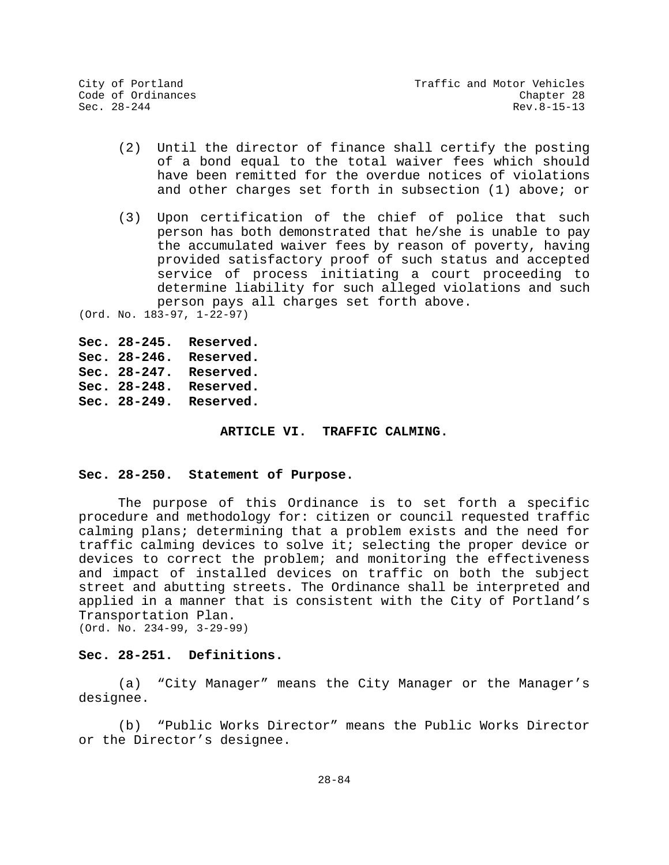- (2) Until the director of finance shall certify the posting of a bond equal to the total waiver fees which should have been remitted for the overdue notices of violations and other charges set forth in subsection (1) above; or
- (3) Upon certification of the chief of police that such person has both demonstrated that he/she is unable to pay the accumulated waiver fees by reason of poverty, having provided satisfactory proof of such status and accepted service of process initiating a court proceeding to determine liability for such alleged violations and such person pays all charges set forth above.

(Ord. No. 183-97, 1-22-97)

```
Sec. 28-245. Reserved.
Sec. 28-246. Reserved.
Sec. 28-247. Reserved.
Sec. 28-248. Reserved.
Sec. 28-249. Reserved.
```
### **ARTICLE VI. TRAFFIC CALMING.**

## **Sec. 28-250. Statement of Purpose.**

The purpose of this Ordinance is to set forth a specific procedure and methodology for: citizen or council requested traffic calming plans; determining that a problem exists and the need for traffic calming devices to solve it; selecting the proper device or devices to correct the problem; and monitoring the effectiveness and impact of installed devices on traffic on both the subject street and abutting streets. The Ordinance shall be interpreted and applied in a manner that is consistent with the City of Portland's Transportation Plan. (Ord. No. 234-99, 3-29-99)

# **Sec. 28-251. Definitions.**

(a) "City Manager" means the City Manager or the Manager's designee.

(b) "Public Works Director" means the Public Works Director or the Director's designee.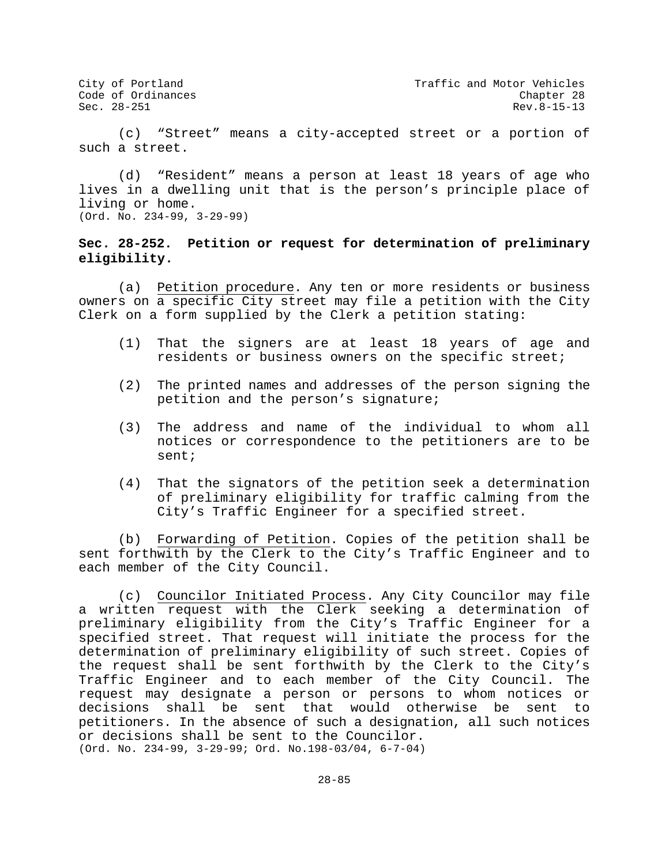City of Portland City of Portland Code of Ordinances<br>Code of Ordinances Code of Ordinances Rev. 8-15-13

(c) "Street" means a city-accepted street or a portion of such a street.

(d) "Resident" means a person at least 18 years of age who lives in a dwelling unit that is the person's principle place of living or home. (Ord. No. 234-99, 3-29-99)

# **Sec. 28-252. Petition or request for determination of preliminary eligibility.**

(a) Petition procedure. Any ten or more residents or business owners on a specific City street may file a petition with the City Clerk on a form supplied by the Clerk a petition stating:

- (1) That the signers are at least 18 years of age and residents or business owners on the specific street;
- (2) The printed names and addresses of the person signing the petition and the person's signature;
- (3) The address and name of the individual to whom all notices or correspondence to the petitioners are to be sent;
- (4) That the signators of the petition seek a determination of preliminary eligibility for traffic calming from the City's Traffic Engineer for a specified street.

(b) Forwarding of Petition. Copies of the petition shall be sent forthwith by the Clerk to the City's Traffic Engineer and to each member of the City Council.

(c) Councilor Initiated Process. Any City Councilor may file a written request with the Clerk seeking a determination of preliminary eligibility from the City's Traffic Engineer for a specified street. That request will initiate the process for the determination of preliminary eligibility of such street. Copies of the request shall be sent forthwith by the Clerk to the City's Traffic Engineer and to each member of the City Council. The request may designate a person or persons to whom notices or decisions shall be sent that would otherwise be sent to petitioners. In the absence of such a designation, all such notices or decisions shall be sent to the Councilor. (Ord. No. 234-99, 3-29-99; Ord. No.198-03/04, 6-7-04)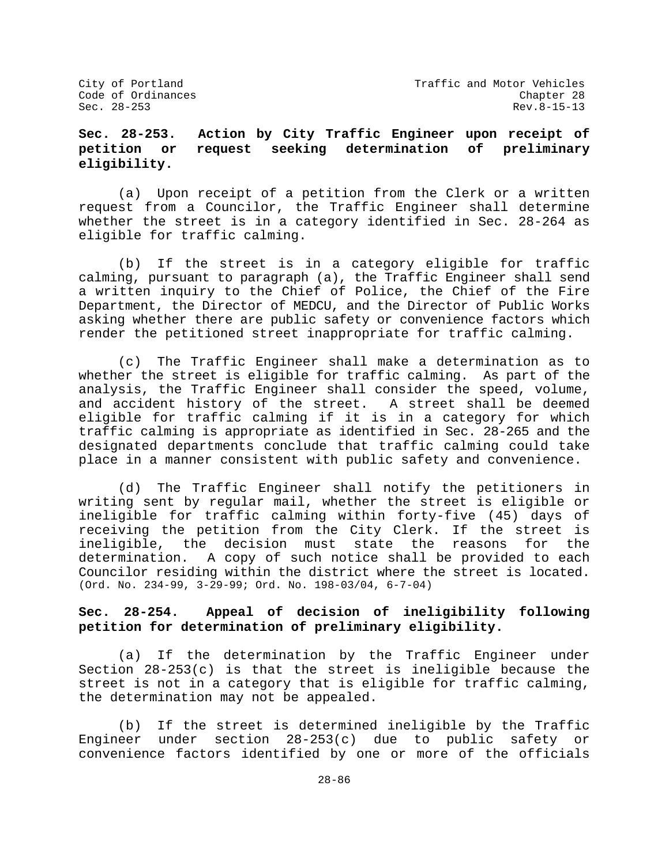# **Sec. 28-253. Action by City Traffic Engineer upon receipt of petition or request seeking determination of preliminary eligibility.**

(a) Upon receipt of a petition from the Clerk or a written request from a Councilor, the Traffic Engineer shall determine whether the street is in a category identified in Sec. 28-264 as eligible for traffic calming.

(b) If the street is in a category eligible for traffic calming, pursuant to paragraph (a), the Traffic Engineer shall send a written inquiry to the Chief of Police, the Chief of the Fire Department, the Director of MEDCU, and the Director of Public Works asking whether there are public safety or convenience factors which render the petitioned street inappropriate for traffic calming.

(c) The Traffic Engineer shall make a determination as to whether the street is eligible for traffic calming. As part of the analysis, the Traffic Engineer shall consider the speed, volume, and accident history of the street. A street shall be deemed eligible for traffic calming if it is in a category for which traffic calming is appropriate as identified in Sec. 28-265 and the designated departments conclude that traffic calming could take place in a manner consistent with public safety and convenience.

(d) The Traffic Engineer shall notify the petitioners in writing sent by regular mail, whether the street is eligible or ineligible for traffic calming within forty-five (45) days of receiving the petition from the City Clerk. If the street is ineligible, the decision must state the reasons for the determination. A copy of such notice shall be provided to each Councilor residing within the district where the street is located. (Ord. No. 234-99, 3-29-99; Ord. No. 198-03/04, 6-7-04)

# **Sec. 28-254. Appeal of decision of ineligibility following petition for determination of preliminary eligibility.**

(a) If the determination by the Traffic Engineer under Section 28-253(c) is that the street is ineligible because the street is not in a category that is eligible for traffic calming, the determination may not be appealed.

(b) If the street is determined ineligible by the Traffic Engineer under section 28-253(c) due to public safety or convenience factors identified by one or more of the officials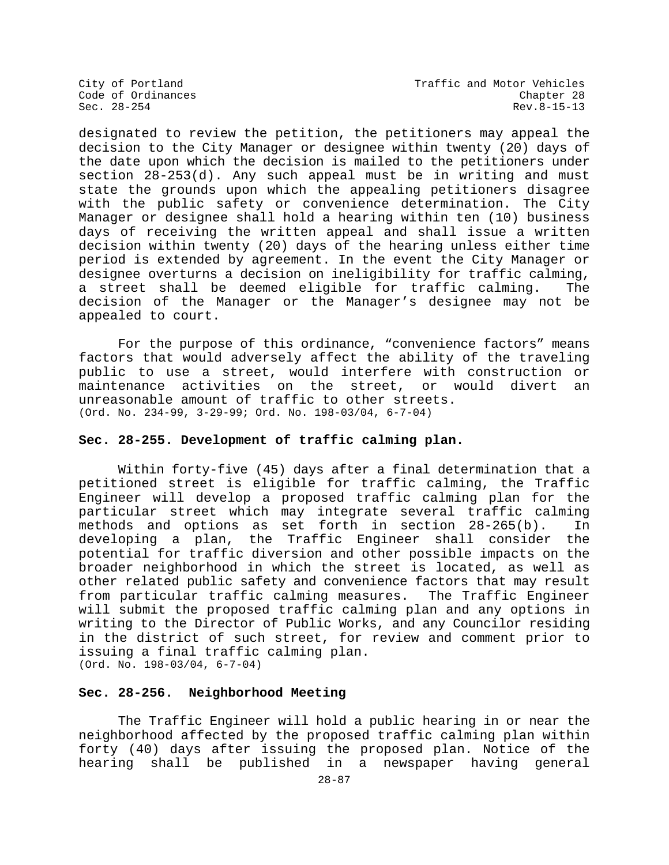designated to review the petition, the petitioners may appeal the decision to the City Manager or designee within twenty (20) days of the date upon which the decision is mailed to the petitioners under section 28-253(d). Any such appeal must be in writing and must state the grounds upon which the appealing petitioners disagree with the public safety or convenience determination. The City Manager or designee shall hold a hearing within ten (10) business days of receiving the written appeal and shall issue a written decision within twenty (20) days of the hearing unless either time period is extended by agreement. In the event the City Manager or designee overturns a decision on ineligibility for traffic calming,<br>a street shall be deemed eligible for traffic calming. The a street shall be deemed eligible for traffic calming. decision of the Manager or the Manager's designee may not be appealed to court.

For the purpose of this ordinance, "convenience factors" means factors that would adversely affect the ability of the traveling public to use a street, would interfere with construction or<br>maintenance activities on the street, or would divert an maintenance activities on the street, or would divert unreasonable amount of traffic to other streets. (Ord. No. 234-99, 3-29-99; Ord. No. 198-03/04, 6-7-04)

## **Sec. 28-255. Development of traffic calming plan.**

Within forty-five (45) days after a final determination that a petitioned street is eligible for traffic calming, the Traffic Engineer will develop a proposed traffic calming plan for the particular street which may integrate several traffic calming methods and options as set forth in section 28-265(b). In developing a plan, the Traffic Engineer shall consider potential for traffic diversion and other possible impacts on the broader neighborhood in which the street is located, as well as other related public safety and convenience factors that may result from particular traffic calming measures. The Traffic Engineer will submit the proposed traffic calming plan and any options in writing to the Director of Public Works, and any Councilor residing in the district of such street, for review and comment prior to issuing a final traffic calming plan. (Ord. No. 198-03/04, 6-7-04)

## **Sec. 28-256. Neighborhood Meeting**

The Traffic Engineer will hold a public hearing in or near the neighborhood affected by the proposed traffic calming plan within forty (40) days after issuing the proposed plan. Notice of the hearing shall be published in a newspaper having general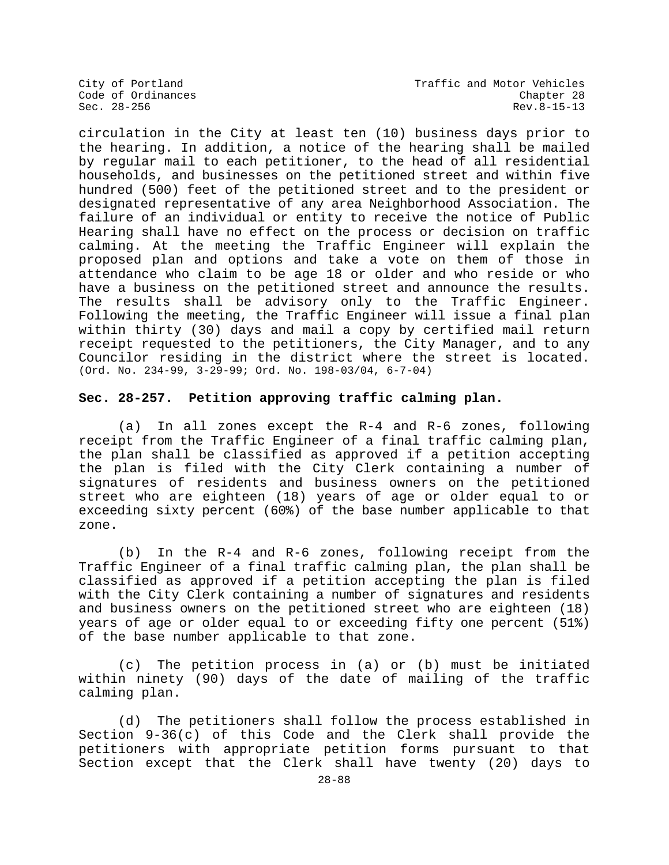City of Portland City of Portland Code of Ordinances<br>Code of Ordinances Code of Ordinances Code of Ordinances Chapter 28  $\texttt{Sec. 28-256}$  Rev.8-15-13

circulation in the City at least ten (10) business days prior to the hearing. In addition, a notice of the hearing shall be mailed by regular mail to each petitioner, to the head of all residential households, and businesses on the petitioned street and within five hundred (500) feet of the petitioned street and to the president or designated representative of any area Neighborhood Association. The failure of an individual or entity to receive the notice of Public Hearing shall have no effect on the process or decision on traffic calming. At the meeting the Traffic Engineer will explain the proposed plan and options and take a vote on them of those in attendance who claim to be age 18 or older and who reside or who have a business on the petitioned street and announce the results. The results shall be advisory only to the Traffic Engineer. Following the meeting, the Traffic Engineer will issue a final plan within thirty (30) days and mail a copy by certified mail return receipt requested to the petitioners, the City Manager, and to any Councilor residing in the district where the street is located. (Ord. No. 234-99, 3-29-99; Ord. No. 198-03/04, 6-7-04)

#### **Sec. 28-257. Petition approving traffic calming plan.**

(a) In all zones except the R-4 and R-6 zones, following receipt from the Traffic Engineer of a final traffic calming plan, the plan shall be classified as approved if a petition accepting the plan is filed with the City Clerk containing a number of signatures of residents and business owners on the petitioned street who are eighteen (18) years of age or older equal to or exceeding sixty percent (60%) of the base number applicable to that zone.

(b) In the R-4 and R-6 zones, following receipt from the Traffic Engineer of a final traffic calming plan, the plan shall be classified as approved if a petition accepting the plan is filed with the City Clerk containing a number of signatures and residents and business owners on the petitioned street who are eighteen (18) years of age or older equal to or exceeding fifty one percent (51%) of the base number applicable to that zone.

(c) The petition process in (a) or (b) must be initiated within ninety (90) days of the date of mailing of the traffic calming plan.

(d) The petitioners shall follow the process established in Section 9-36(c) of this Code and the Clerk shall provide the petitioners with appropriate petition forms pursuant to that Section except that the Clerk shall have twenty (20) days to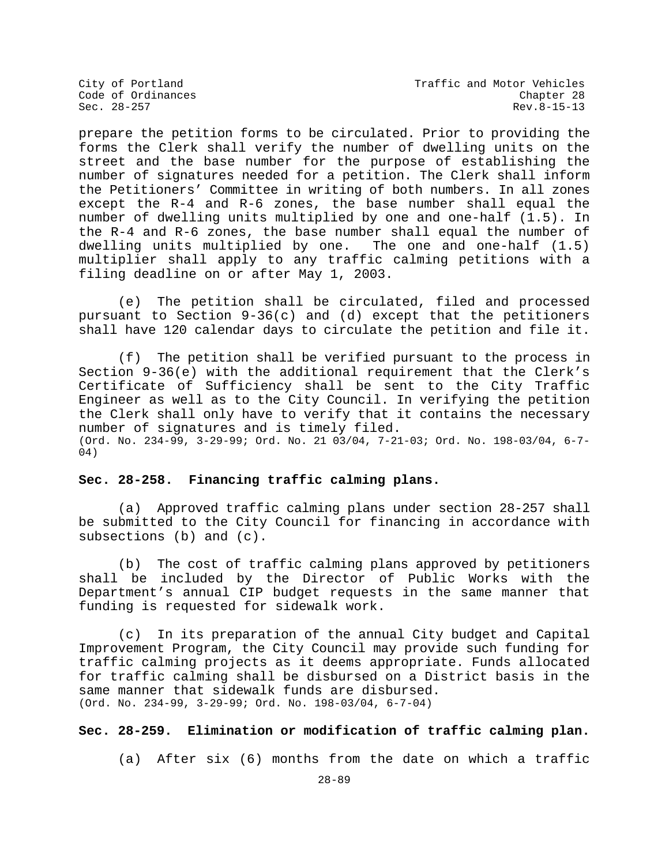prepare the petition forms to be circulated. Prior to providing the forms the Clerk shall verify the number of dwelling units on the street and the base number for the purpose of establishing the number of signatures needed for a petition. The Clerk shall inform the Petitioners' Committee in writing of both numbers. In all zones except the R-4 and R-6 zones, the base number shall equal the number of dwelling units multiplied by one and one-half (1.5). In the R-4 and R-6 zones, the base number shall equal the number of dwelling units multiplied by one. The one and one-half (1.5) multiplier shall apply to any traffic calming petitions with a filing deadline on or after May 1, 2003.

(e) The petition shall be circulated, filed and processed pursuant to Section 9-36(c) and (d) except that the petitioners shall have 120 calendar days to circulate the petition and file it.

(f) The petition shall be verified pursuant to the process in Section 9-36(e) with the additional requirement that the Clerk's Certificate of Sufficiency shall be sent to the City Traffic Engineer as well as to the City Council. In verifying the petition the Clerk shall only have to verify that it contains the necessary number of signatures and is timely filed. (Ord. No. 234-99, 3-29-99; Ord. No. 21 03/04, 7-21-03; Ord. No. 198-03/04, 6-7- 04)

# **Sec. 28-258. Financing traffic calming plans.**

(a) Approved traffic calming plans under section 28-257 shall be submitted to the City Council for financing in accordance with subsections (b) and (c).

(b) The cost of traffic calming plans approved by petitioners shall be included by the Director of Public Works with the Department's annual CIP budget requests in the same manner that funding is requested for sidewalk work.

(c) In its preparation of the annual City budget and Capital Improvement Program, the City Council may provide such funding for traffic calming projects as it deems appropriate. Funds allocated for traffic calming shall be disbursed on a District basis in the same manner that sidewalk funds are disbursed. (Ord. No. 234-99, 3-29-99; Ord. No. 198-03/04, 6-7-04)

# **Sec. 28-259. Elimination or modification of traffic calming plan.**

(a) After six (6) months from the date on which a traffic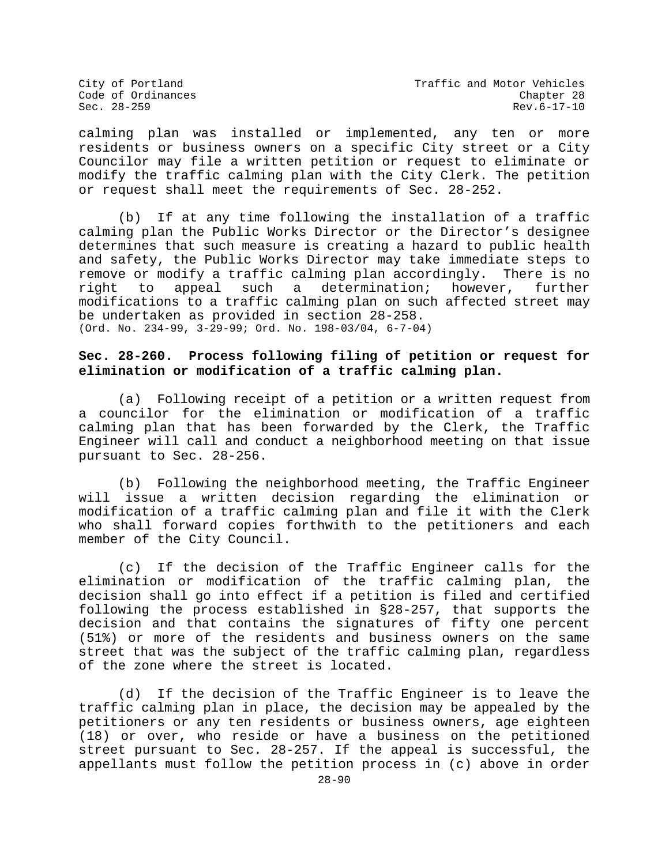calming plan was installed or implemented, any ten or more residents or business owners on a specific City street or a City Councilor may file a written petition or request to eliminate or modify the traffic calming plan with the City Clerk. The petition or request shall meet the requirements of Sec. 28-252.

(b) If at any time following the installation of a traffic calming plan the Public Works Director or the Director's designee determines that such measure is creating a hazard to public health and safety, the Public Works Director may take immediate steps to remove or modify a traffic calming plan accordingly. There is no<br>right to appeal such a determination; however, further determination; modifications to a traffic calming plan on such affected street may be undertaken as provided in section 28-258. (Ord. No. 234-99, 3-29-99; Ord. No. 198-03/04, 6-7-04)

# **Sec. 28-260. Process following filing of petition or request for elimination or modification of a traffic calming plan.**

(a) Following receipt of a petition or a written request from a councilor for the elimination or modification of a traffic calming plan that has been forwarded by the Clerk, the Traffic Engineer will call and conduct a neighborhood meeting on that issue pursuant to Sec. 28-256.

(b) Following the neighborhood meeting, the Traffic Engineer will issue a written decision regarding the elimination or modification of a traffic calming plan and file it with the Clerk who shall forward copies forthwith to the petitioners and each member of the City Council.

(c) If the decision of the Traffic Engineer calls for the elimination or modification of the traffic calming plan, the decision shall go into effect if a petition is filed and certified following the process established in §28-257, that supports the decision and that contains the signatures of fifty one percent (51%) or more of the residents and business owners on the same street that was the subject of the traffic calming plan, regardless of the zone where the street is located.

(d) If the decision of the Traffic Engineer is to leave the traffic calming plan in place, the decision may be appealed by the petitioners or any ten residents or business owners, age eighteen (18) or over, who reside or have a business on the petitioned street pursuant to Sec. 28-257. If the appeal is successful, the appellants must follow the petition process in (c) above in order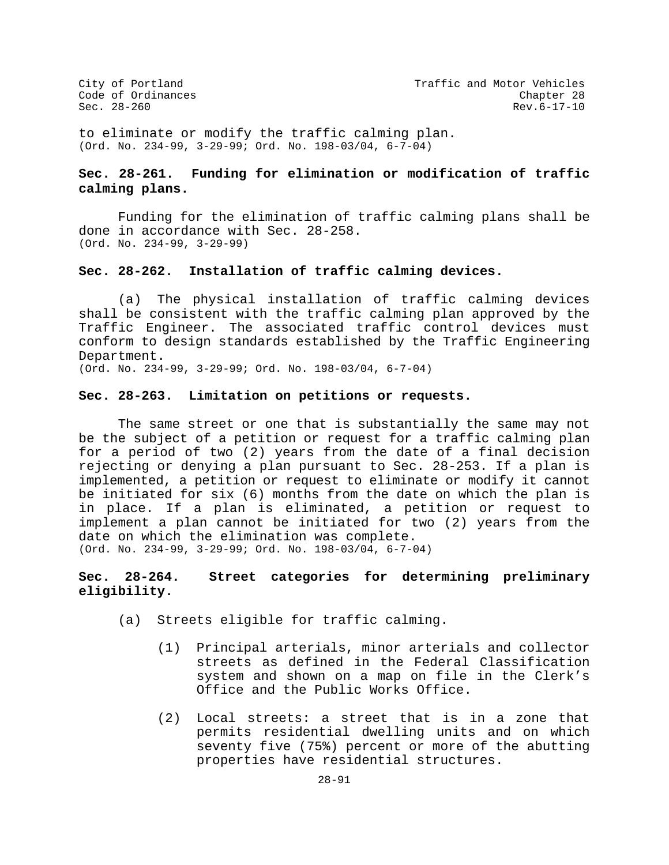to eliminate or modify the traffic calming plan. (Ord. No. 234-99, 3-29-99; Ord. No. 198-03/04, 6-7-04)

# **Sec. 28-261. Funding for elimination or modification of traffic calming plans.**

Funding for the elimination of traffic calming plans shall be done in accordance with Sec. 28-258. (Ord. No. 234-99, 3-29-99)

## **Sec. 28-262. Installation of traffic calming devices.**

(a) The physical installation of traffic calming devices shall be consistent with the traffic calming plan approved by the Traffic Engineer. The associated traffic control devices must conform to design standards established by the Traffic Engineering Department.

(Ord. No. 234-99, 3-29-99; Ord. No. 198-03/04, 6-7-04)

# **Sec. 28-263. Limitation on petitions or requests.**

The same street or one that is substantially the same may not be the subject of a petition or request for a traffic calming plan for a period of two (2) years from the date of a final decision rejecting or denying a plan pursuant to Sec. 28-253. If a plan is implemented, a petition or request to eliminate or modify it cannot be initiated for six (6) months from the date on which the plan is in place. If a plan is eliminated, a petition or request to implement a plan cannot be initiated for two (2) years from the date on which the elimination was complete. (Ord. No. 234-99, 3-29-99; Ord. No. 198-03/04, 6-7-04)

# **Sec. 28-264. Street categories for determining preliminary eligibility.**

(a) Streets eligible for traffic calming.

- (1) Principal arterials, minor arterials and collector streets as defined in the Federal Classification system and shown on a map on file in the Clerk's Office and the Public Works Office.
- (2) Local streets: a street that is in a zone that permits residential dwelling units and on which seventy five (75%) percent or more of the abutting properties have residential structures.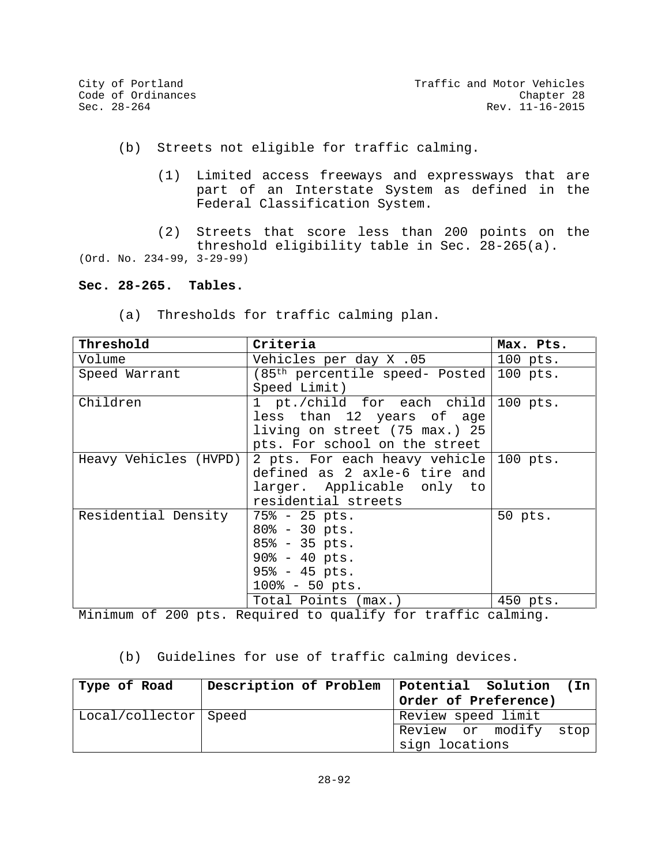(b) Streets not eligible for traffic calming.

- (1) Limited access freeways and expressways that are part of an Interstate System as defined in the Federal Classification System.
- (2) Streets that score less than 200 points on the

threshold eligibility table in Sec. 28-265(a).

(Ord. No. 234-99, 3-29-99)

## **Sec. 28-265. Tables.**

(a) Thresholds for traffic calming plan.

| Threshold             | Criteria                                  | Max. Pts. |
|-----------------------|-------------------------------------------|-----------|
| Volume                | Vehicles per day X .05                    | 100 pts.  |
| Speed Warrant         | $(85th$ percentile speed- Posted 100 pts. |           |
|                       | Speed Limit)                              |           |
| Children              | 1 pt./child for each child 100 pts.       |           |
|                       | less than 12 years of age                 |           |
|                       | living on street (75 max.) 25             |           |
|                       | pts. For school on the street             |           |
| Heavy Vehicles (HVPD) | 2 pts. For each heavy vehicle 100 pts.    |           |
|                       | defined as 2 axle-6 tire and              |           |
|                       | larger. Applicable only to                |           |
|                       | residential streets                       |           |
| Residential Density   | $75\frac{1}{6}$ - 25 pts.                 | 50 pts.   |
|                       | $80\% - 30$ pts.                          |           |
|                       | $85\frac{3}{5}$ - 35 pts.                 |           |
|                       | $90\% - 40$ pts.                          |           |
|                       | $95\frac{3}{5}$ - 45 pts.                 |           |
|                       | $100\% - 50$ pts.                         |           |
|                       | Total Points (max.)                       | 450 pts.  |

Minimum of 200 pts. Required to qualify for traffic calming.

(b) Guidelines for use of traffic calming devices.

| Type of Road          | Description of Problem | Potential Solution (In |
|-----------------------|------------------------|------------------------|
|                       |                        | Order of Preference)   |
| Local/collector Speed |                        | Review speed limit     |
|                       |                        | Review or modify stop  |
|                       |                        | sign locations         |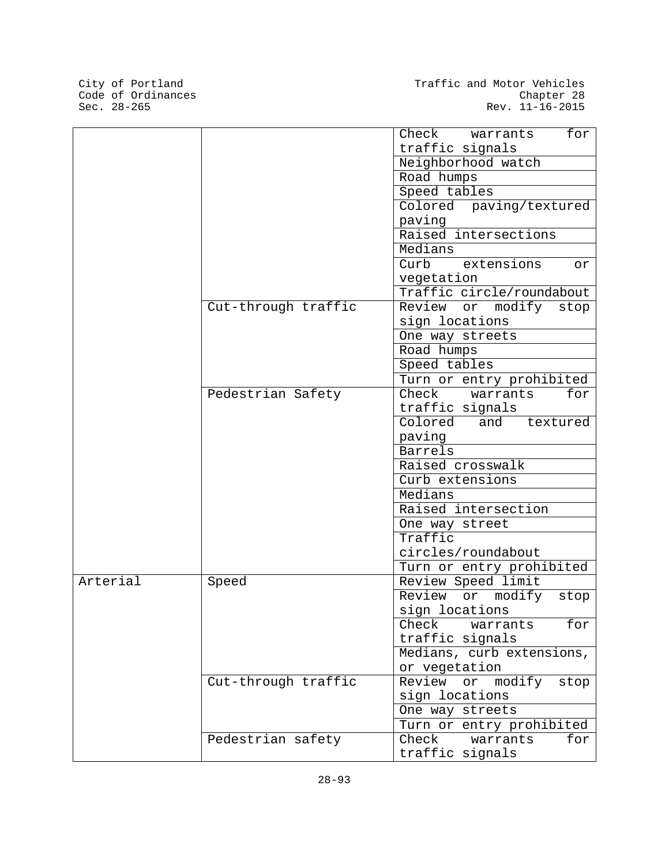City of Portland<br>Code of Ordinances<br>Sec. 28-265

|          |                     | Check<br>for<br>warrants       |
|----------|---------------------|--------------------------------|
|          |                     | traffic signals                |
|          |                     | Neighborhood watch             |
|          |                     | Road humps                     |
|          |                     | Speed tables                   |
|          |                     | Colored paving/textured        |
|          |                     | paving                         |
|          |                     | Raised intersections           |
|          |                     | Medians                        |
|          |                     | Curb extensions<br>or          |
|          |                     | vegetation                     |
|          |                     | Traffic circle/roundabout      |
|          | Cut-through traffic | Review<br>modify<br>or<br>stop |
|          |                     | sign locations                 |
|          |                     | One way streets                |
|          |                     | Road humps                     |
|          |                     | Speed tables                   |
|          |                     | Turn or entry prohibited       |
|          | Pedestrian Safety   | Check<br>for<br>warrants       |
|          |                     | traffic signals                |
|          |                     | Colored<br>and<br>textured     |
|          |                     | paving                         |
|          |                     | Barrels                        |
|          |                     | Raised crosswalk               |
|          |                     | Curb extensions                |
|          |                     | Medians                        |
|          |                     | Raised intersection            |
|          |                     | One way street                 |
|          |                     | Traffic                        |
|          |                     | circles/roundabout             |
|          |                     | Turn or entry prohibited       |
| Arterial | Speed               | Review Speed limit             |
|          |                     | or modify<br>Review<br>stop    |
|          |                     | sign locations                 |
|          |                     | Check<br>for<br>warrants       |
|          |                     | traffic signals                |
|          |                     | Medians, curb extensions,      |
|          |                     | or vegetation                  |
|          | Cut-through traffic | Review<br>modify<br>or<br>stop |
|          |                     | sign locations                 |
|          |                     | One way streets                |
|          |                     | Turn or entry prohibited       |
|          | Pedestrian safety   | Check<br>warrants<br>for       |
|          |                     | traffic signals                |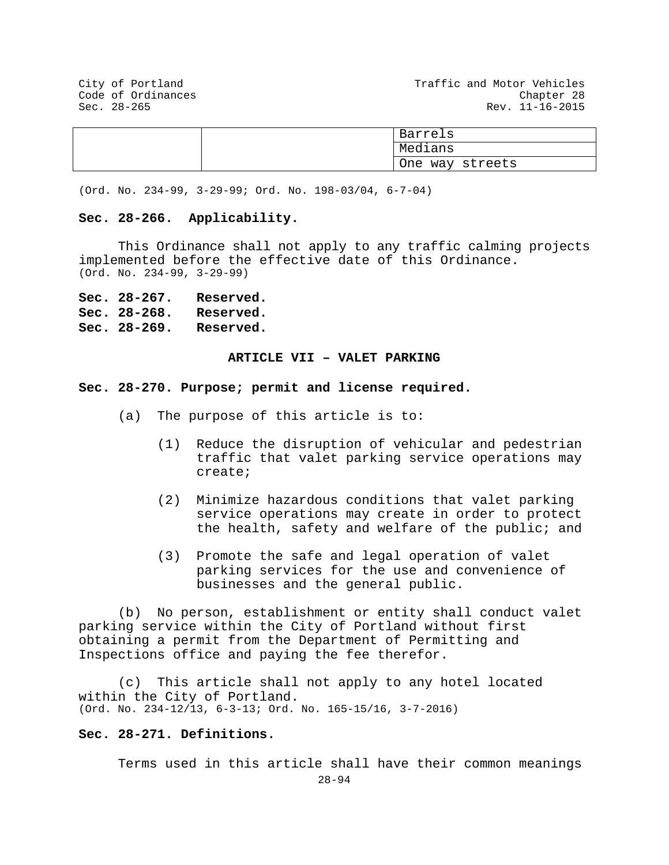City of Portland City of Portland Code of Ordinances<br>Code of Ordinances Code of Ordinances Sec. 28-265 Rev. 11-16-2015

|  |         | Barrels         |
|--|---------|-----------------|
|  | Medians |                 |
|  |         | One way streets |

(Ord. No. 234-99, 3-29-99; Ord. No. 198-03/04, 6-7-04)

#### **Sec. 28-266. Applicability.**

This Ordinance shall not apply to any traffic calming projects implemented before the effective date of this Ordinance. (Ord. No. 234-99, 3-29-99)

**Sec. 28-267. Reserved. Sec. 28-268. Reserved. Sec. 28-269. Reserved.**

## **ARTICLE VII – VALET PARKING**

#### **Sec. 28-270. Purpose; permit and license required.**

- (a) The purpose of this article is to:
	- (1) Reduce the disruption of vehicular and pedestrian traffic that valet parking service operations may create;
	- (2) Minimize hazardous conditions that valet parking service operations may create in order to protect the health, safety and welfare of the public; and
	- (3) Promote the safe and legal operation of valet parking services for the use and convenience of businesses and the general public.

(b) No person, establishment or entity shall conduct valet parking service within the City of Portland without first obtaining a permit from the Department of Permitting and Inspections office and paying the fee therefor.

(c) This article shall not apply to any hotel located within the City of Portland. (Ord. No. 234-12/13, 6-3-13; Ord. No. 165-15/16, 3-7-2016)

# **Sec. 28-271. Definitions.**

Terms used in this article shall have their common meanings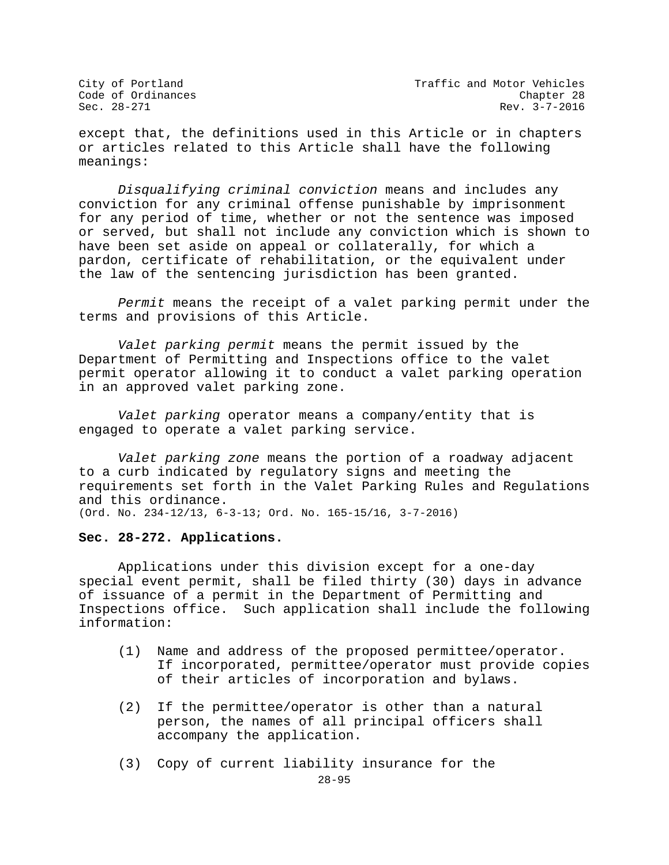City of Portland City of Portland Code of Ordinances<br>Code of Ordinances Code of Ordinances  $Rev. 3-7-2016$ 

except that, the definitions used in this Article or in chapters or articles related to this Article shall have the following meanings:

*Disqualifying criminal conviction* means and includes any conviction for any criminal offense punishable by imprisonment for any period of time, whether or not the sentence was imposed or served, but shall not include any conviction which is shown to have been set aside on appeal or collaterally, for which a pardon, certificate of rehabilitation, or the equivalent under the law of the sentencing jurisdiction has been granted.

*Permit* means the receipt of a valet parking permit under the terms and provisions of this Article.

*Valet parking permit* means the permit issued by the Department of Permitting and Inspections office to the valet permit operator allowing it to conduct a valet parking operation in an approved valet parking zone.

*Valet parking* operator means a company/entity that is engaged to operate a valet parking service.

*Valet parking zone* means the portion of a roadway adjacent to a curb indicated by regulatory signs and meeting the requirements set forth in the Valet Parking Rules and Regulations and this ordinance. (Ord. No. 234-12/13, 6-3-13; Ord. No. 165-15/16, 3-7-2016)

### **Sec. 28-272. Applications.**

Applications under this division except for a one-day special event permit, shall be filed thirty (30) days in advance of issuance of a permit in the Department of Permitting and Inspections office. Such application shall include the following information:

- (1) Name and address of the proposed permittee/operator. If incorporated, permittee/operator must provide copies of their articles of incorporation and bylaws.
- (2) If the permittee/operator is other than a natural person, the names of all principal officers shall accompany the application.
- (3) Copy of current liability insurance for the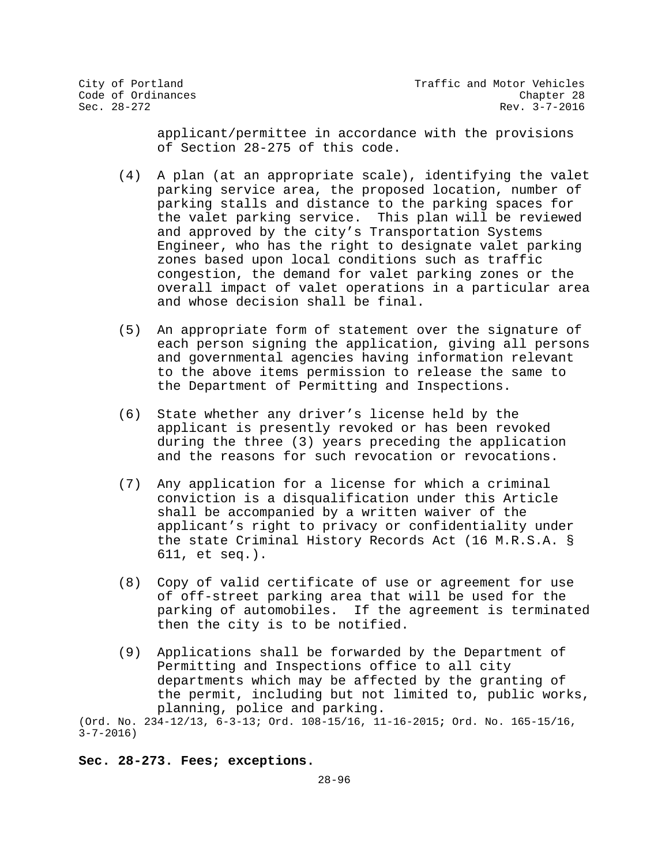applicant/permittee in accordance with the provisions of Section 28-275 of this code.

- (4) A plan (at an appropriate scale), identifying the valet parking service area, the proposed location, number of parking stalls and distance to the parking spaces for the valet parking service. This plan will be reviewed and approved by the city's Transportation Systems Engineer, who has the right to designate valet parking zones based upon local conditions such as traffic congestion, the demand for valet parking zones or the overall impact of valet operations in a particular area and whose decision shall be final.
- (5) An appropriate form of statement over the signature of each person signing the application, giving all persons and governmental agencies having information relevant to the above items permission to release the same to the Department of Permitting and Inspections.
- (6) State whether any driver's license held by the applicant is presently revoked or has been revoked during the three (3) years preceding the application and the reasons for such revocation or revocations.
- (7) Any application for a license for which a criminal conviction is a disqualification under this Article shall be accompanied by a written waiver of the applicant's right to privacy or confidentiality under the state Criminal History Records Act (16 M.R.S.A. § 611, et seq.).
- (8) Copy of valid certificate of use or agreement for use of off-street parking area that will be used for the parking of automobiles. If the agreement is terminated then the city is to be notified.
- (9) Applications shall be forwarded by the Department of Permitting and Inspections office to all city departments which may be affected by the granting of the permit, including but not limited to, public works, planning, police and parking.

(Ord. No. 234-12/13, 6-3-13; Ord. 108-15/16, 11-16-2015**;** Ord. No. 165-15/16, 3-7-2016)

#### **Sec. 28-273. Fees; exceptions.**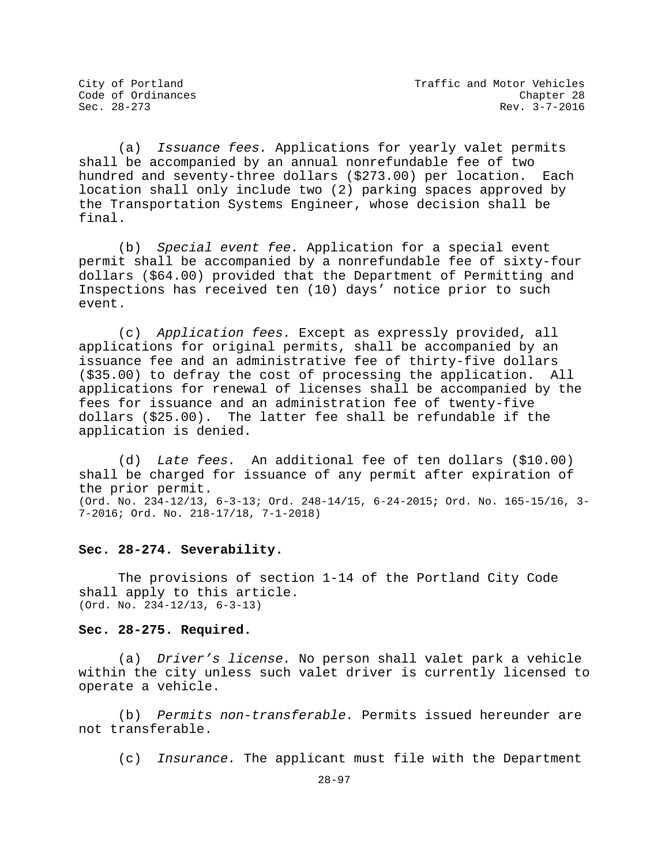(a) *Issuance fees.* Applications for yearly valet permits shall be accompanied by an annual nonrefundable fee of two hundred and seventy-three dollars (\$273.00) per location. Each location shall only include two (2) parking spaces approved by the Transportation Systems Engineer, whose decision shall be final.

(b) *Special event fee.* Application for a special event permit shall be accompanied by a nonrefundable fee of sixty-four dollars (\$64.00) provided that the Department of Permitting and Inspections has received ten (10) days' notice prior to such event.

(c) *Application fees.* Except as expressly provided, all applications for original permits, shall be accompanied by an issuance fee and an administrative fee of thirty-five dollars (\$35.00) to defray the cost of processing the application. All applications for renewal of licenses shall be accompanied by the fees for issuance and an administration fee of twenty-five dollars (\$25.00). The latter fee shall be refundable if the application is denied.

(d) *Late fees.* An additional fee of ten dollars (\$10.00) shall be charged for issuance of any permit after expiration of the prior permit. (Ord. No. 234-12/13, 6-3-13; Ord. 248-14/15, 6-24-2015**;** Ord. No. 165-15/16, 3- 7-2016; Ord. No. 218-17/18, 7-1-2018)

### **Sec. 28-274. Severability.**

The provisions of section 1-14 of the Portland City Code shall apply to this article. (Ord. No. 234-12/13, 6-3-13)

**Sec. 28-275. Required.**

(a) *Driver's license.* No person shall valet park a vehicle within the city unless such valet driver is currently licensed to operate a vehicle.

(b) *Permits non-transferable.* Permits issued hereunder are not transferable.

(c) *Insurance.* The applicant must file with the Department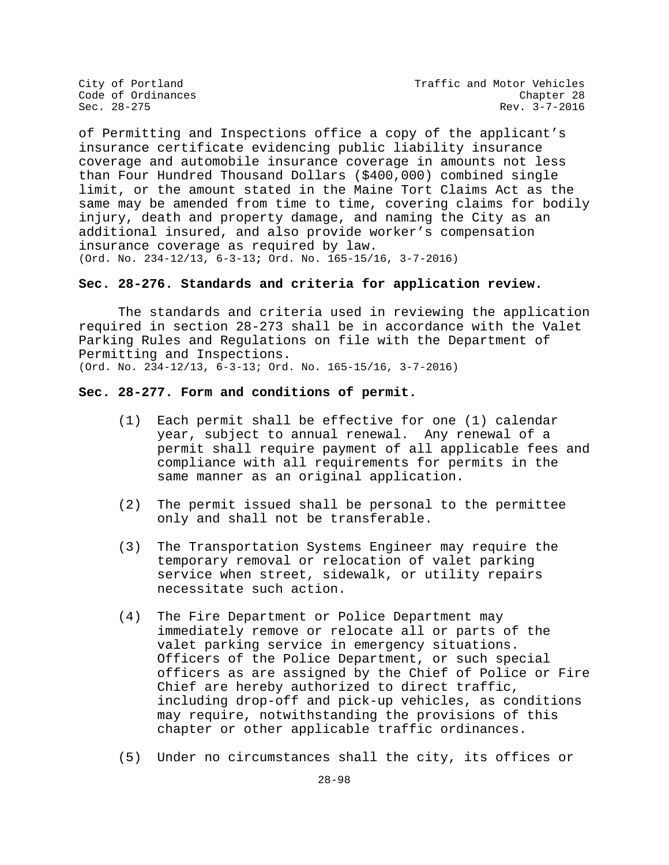City of Portland City of Portland Code of Ordinances<br>
Code of Ordinances Code Chapter 28 Rev. 3-7-2016

of Permitting and Inspections office a copy of the applicant's insurance certificate evidencing public liability insurance coverage and automobile insurance coverage in amounts not less than Four Hundred Thousand Dollars (\$400,000) combined single limit, or the amount stated in the Maine Tort Claims Act as the same may be amended from time to time, covering claims for bodily injury, death and property damage, and naming the City as an additional insured, and also provide worker's compensation insurance coverage as required by law. (Ord. No. 234-12/13, 6-3-13**;** Ord. No. 165-15/16, 3-7-2016)

## **Sec. 28-276. Standards and criteria for application review.**

The standards and criteria used in reviewing the application required in section 28-273 shall be in accordance with the Valet Parking Rules and Regulations on file with the Department of Permitting and Inspections. (Ord. No. 234-12/13, 6-3-13; Ord. No. 165-15/16, 3-7-2016)

#### **Sec. 28-277. Form and conditions of permit.**

- (1) Each permit shall be effective for one (1) calendar year, subject to annual renewal. Any renewal of a permit shall require payment of all applicable fees and compliance with all requirements for permits in the same manner as an original application.
- (2) The permit issued shall be personal to the permittee only and shall not be transferable.
- (3) The Transportation Systems Engineer may require the temporary removal or relocation of valet parking service when street, sidewalk, or utility repairs necessitate such action.
- (4) The Fire Department or Police Department may immediately remove or relocate all or parts of the valet parking service in emergency situations. Officers of the Police Department, or such special officers as are assigned by the Chief of Police or Fire Chief are hereby authorized to direct traffic, including drop-off and pick-up vehicles, as conditions may require, notwithstanding the provisions of this chapter or other applicable traffic ordinances.
- (5) Under no circumstances shall the city, its offices or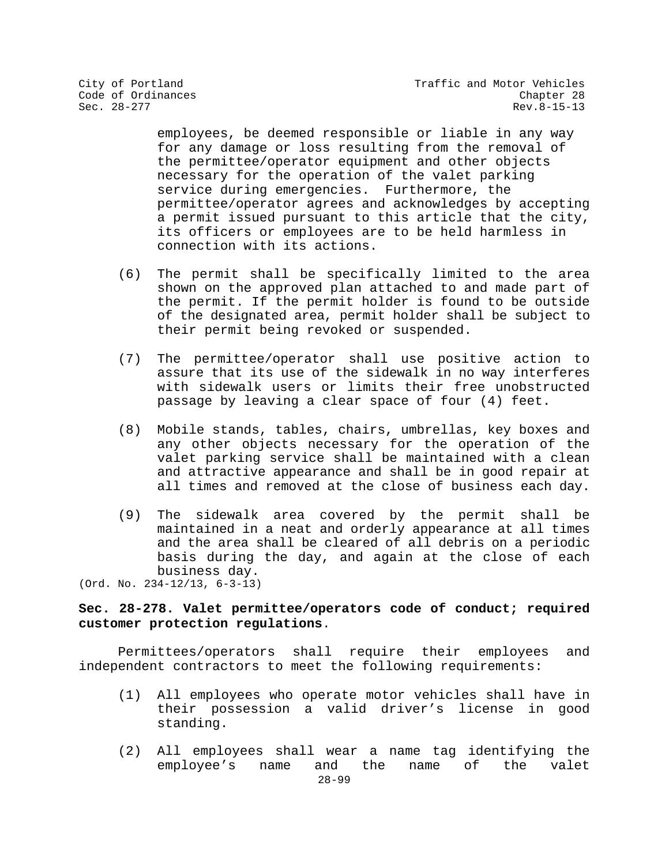employees, be deemed responsible or liable in any way for any damage or loss resulting from the removal of the permittee/operator equipment and other objects necessary for the operation of the valet parking service during emergencies. Furthermore, the permittee/operator agrees and acknowledges by accepting a permit issued pursuant to this article that the city, its officers or employees are to be held harmless in connection with its actions.

- (6) The permit shall be specifically limited to the area shown on the approved plan attached to and made part of the permit. If the permit holder is found to be outside of the designated area, permit holder shall be subject to their permit being revoked or suspended.
- (7) The permittee/operator shall use positive action to assure that its use of the sidewalk in no way interferes with sidewalk users or limits their free unobstructed passage by leaving a clear space of four (4) feet.
- (8) Mobile stands, tables, chairs, umbrellas, key boxes and any other objects necessary for the operation of the valet parking service shall be maintained with a clean and attractive appearance and shall be in good repair at all times and removed at the close of business each day.
- (9) The sidewalk area covered by the permit shall be maintained in a neat and orderly appearance at all times and the area shall be cleared of all debris on a periodic basis during the day, and again at the close of each business day.

(Ord. No. 234-12/13, 6-3-13)

# **Sec. 28-278. Valet permittee/operators code of conduct; required customer protection regulations**.

Permittees/operators shall require their employees and independent contractors to meet the following requirements:

- (1) All employees who operate motor vehicles shall have in their possession a valid driver's license in good standing.
- 28-99 (2) All employees shall wear a name tag identifying the<br>employee's name and the name of the valet and the name of the valet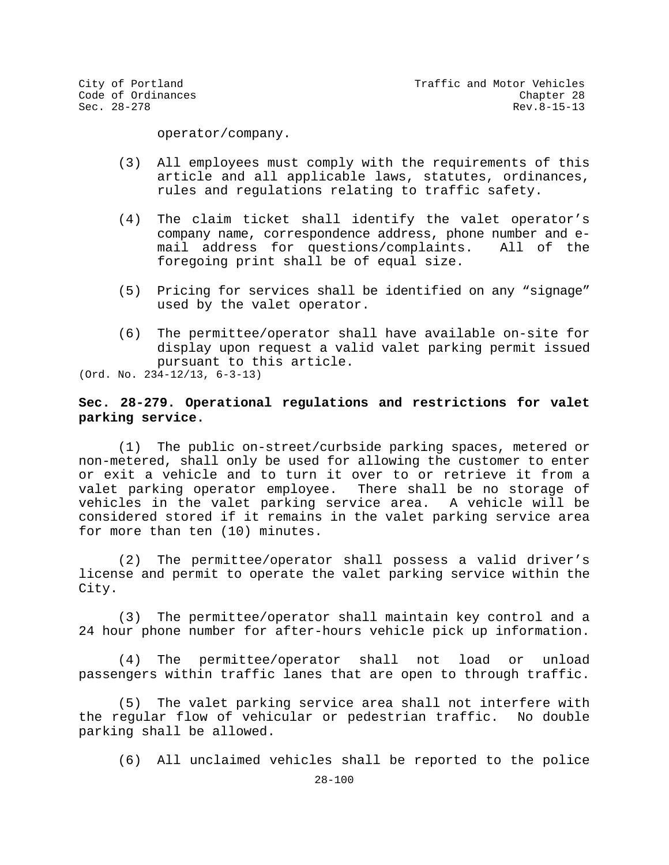operator/company.

- (3) All employees must comply with the requirements of this article and all applicable laws, statutes, ordinances, rules and regulations relating to traffic safety.
- (4) The claim ticket shall identify the valet operator's company name, correspondence address, phone number and e-<br>mail address for questions/complaints. All of the mail address for questions/complaints. foregoing print shall be of equal size.
- (5) Pricing for services shall be identified on any "signage" used by the valet operator.
- (6) The permittee/operator shall have available on-site for display upon request a valid valet parking permit issued pursuant to this article.

(Ord. No. 234-12/13, 6-3-13)

# **Sec. 28-279. Operational regulations and restrictions for valet parking service.**

(1) The public on-street/curbside parking spaces, metered or non-metered, shall only be used for allowing the customer to enter or exit a vehicle and to turn it over to or retrieve it from a<br>valet parking operator employee. There shall be no storage of valet parking operator employee. vehicles in the valet parking service area. A vehicle will be considered stored if it remains in the valet parking service area for more than ten (10) minutes.

(2) The permittee/operator shall possess a valid driver's license and permit to operate the valet parking service within the City.

(3) The permittee/operator shall maintain key control and a 24 hour phone number for after-hours vehicle pick up information.

(4) The permittee/operator shall not load or unload passengers within traffic lanes that are open to through traffic.

(5) The valet parking service area shall not interfere with the regular flow of vehicular or pedestrian traffic. No double parking shall be allowed.

(6) All unclaimed vehicles shall be reported to the police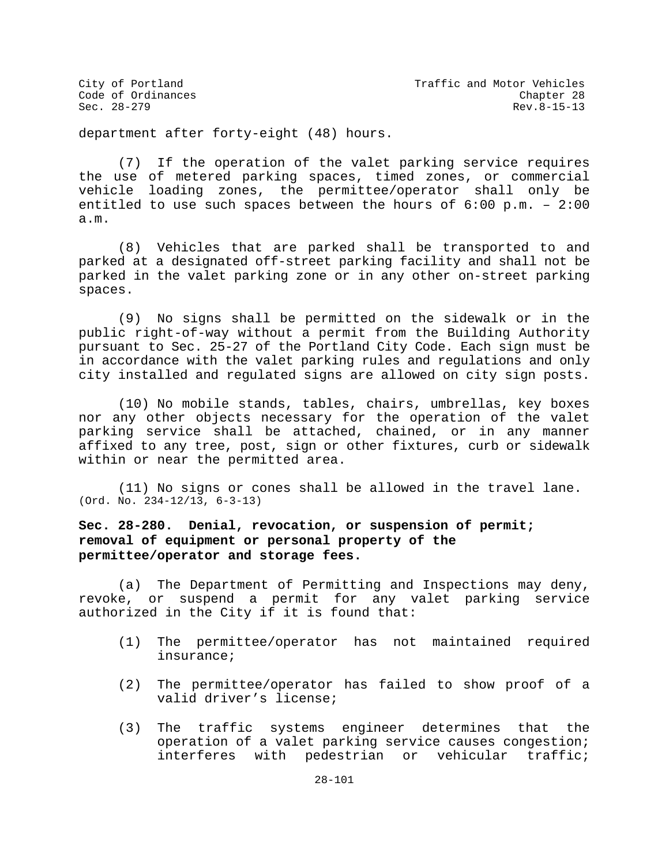department after forty-eight (48) hours.

(7) If the operation of the valet parking service requires the use of metered parking spaces, timed zones, or commercial vehicle loading zones, the permittee/operator shall only be entitled to use such spaces between the hours of 6:00 p.m. – 2:00 a.m.

(8) Vehicles that are parked shall be transported to and parked at a designated off-street parking facility and shall not be parked in the valet parking zone or in any other on-street parking spaces.

(9) No signs shall be permitted on the sidewalk or in the public right-of-way without a permit from the Building Authority pursuant to Sec. 25-27 of the Portland City Code. Each sign must be in accordance with the valet parking rules and regulations and only city installed and regulated signs are allowed on city sign posts.

(10) No mobile stands, tables, chairs, umbrellas, key boxes nor any other objects necessary for the operation of the valet parking service shall be attached, chained, or in any manner affixed to any tree, post, sign or other fixtures, curb or sidewalk within or near the permitted area.

(11) No signs or cones shall be allowed in the travel lane. (Ord. No. 234-12/13, 6-3-13)

# **Sec. 28-280. Denial, revocation, or suspension of permit; removal of equipment or personal property of the permittee/operator and storage fees.**

(a) The Department of Permitting and Inspections may deny, revoke, or suspend a permit for any valet parking service authorized in the City if it is found that:

- (1) The permittee/operator has not maintained required insurance;
- (2) The permittee/operator has failed to show proof of a valid driver's license;
- (3) The traffic systems engineer determines that the operation of a valet parking service causes congestion; interferes with pedestrian or vehicular traffic;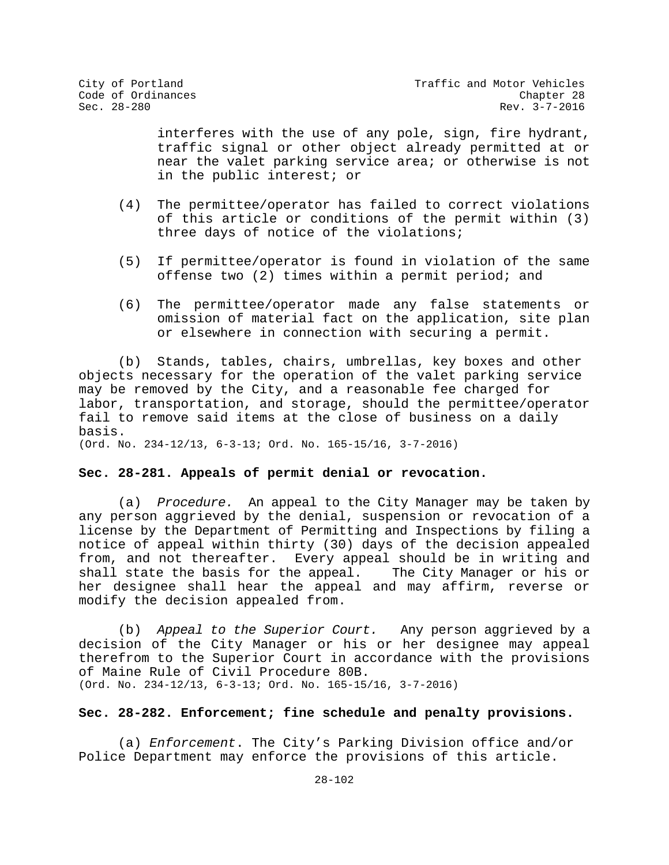interferes with the use of any pole, sign, fire hydrant, traffic signal or other object already permitted at or near the valet parking service area; or otherwise is not in the public interest; or

- (4) The permittee/operator has failed to correct violations of this article or conditions of the permit within (3) three days of notice of the violations;
- (5) If permittee/operator is found in violation of the same offense two (2) times within a permit period; and
- (6) The permittee/operator made any false statements or omission of material fact on the application, site plan or elsewhere in connection with securing a permit.

(b) Stands, tables, chairs, umbrellas, key boxes and other objects necessary for the operation of the valet parking service may be removed by the City, and a reasonable fee charged for labor, transportation, and storage, should the permittee/operator fail to remove said items at the close of business on a daily basis.

(Ord. No. 234-12/13, 6-3-13; Ord. No. 165-15/16, 3-7-2016)

### **Sec. 28-281. Appeals of permit denial or revocation.**

(a) *Procedure.* An appeal to the City Manager may be taken by any person aggrieved by the denial, suspension or revocation of a license by the Department of Permitting and Inspections by filing a notice of appeal within thirty (30) days of the decision appealed from, and not thereafter. Every appeal should be in writing and shall state the basis for the appeal. The City Manager or his or her designee shall hear the appeal and may affirm, reverse or modify the decision appealed from.

(b) *Appeal to the Superior Court.* Any person aggrieved by a decision of the City Manager or his or her designee may appeal therefrom to the Superior Court in accordance with the provisions of Maine Rule of Civil Procedure 80B. (Ord. No. 234-12/13, 6-3-13; Ord. No. 165-15/16, 3-7-2016)

#### **Sec. 28-282. Enforcement; fine schedule and penalty provisions.**

(a) *Enforcement*. The City's Parking Division office and/or Police Department may enforce the provisions of this article.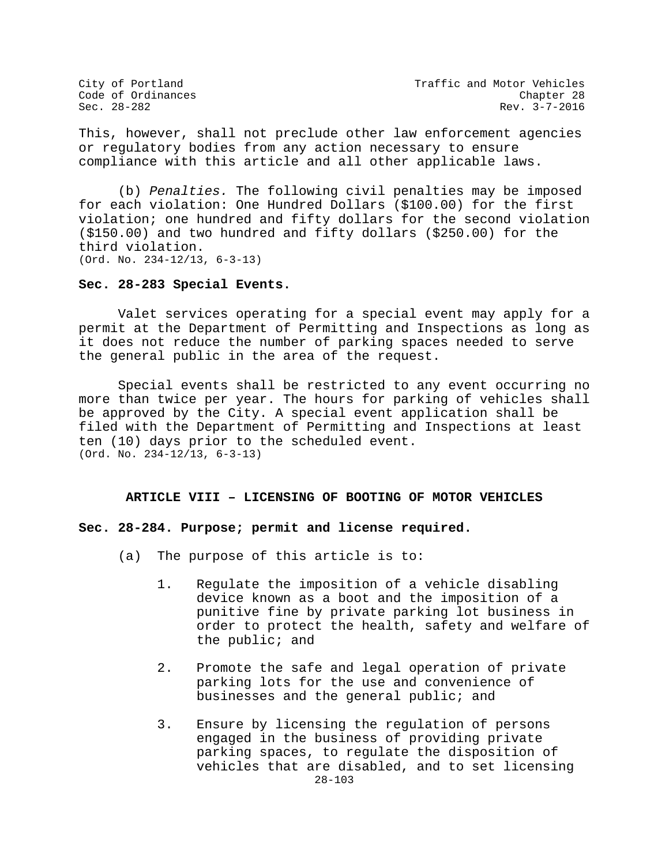City of Portland City of Portland Code of Ordinances<br>
Code of Ordinances Code Chapter 28  $Rev. 3-7-2016$ 

This, however, shall not preclude other law enforcement agencies or regulatory bodies from any action necessary to ensure compliance with this article and all other applicable laws.

(b) *Penalties.* The following civil penalties may be imposed for each violation: One Hundred Dollars (\$100.00) for the first violation; one hundred and fifty dollars for the second violation (\$150.00) and two hundred and fifty dollars (\$250.00) for the third violation. (Ord. No. 234-12/13, 6-3-13)

## **Sec. 28-283 Special Events.**

Valet services operating for a special event may apply for a permit at the Department of Permitting and Inspections as long as it does not reduce the number of parking spaces needed to serve the general public in the area of the request.

Special events shall be restricted to any event occurring no more than twice per year. The hours for parking of vehicles shall be approved by the City. A special event application shall be filed with the Department of Permitting and Inspections at least ten (10) days prior to the scheduled event. (Ord. No. 234-12/13, 6-3-13)

#### **ARTICLE VIII – LICENSING OF BOOTING OF MOTOR VEHICLES**

#### **Sec. 28-284. Purpose; permit and license required.**

- (a) The purpose of this article is to:
	- 1. Regulate the imposition of a vehicle disabling device known as a boot and the imposition of a punitive fine by private parking lot business in order to protect the health, safety and welfare of the public; and
	- 2. Promote the safe and legal operation of private parking lots for the use and convenience of businesses and the general public; and
	- 28-103 3. Ensure by licensing the regulation of persons engaged in the business of providing private parking spaces, to regulate the disposition of vehicles that are disabled, and to set licensing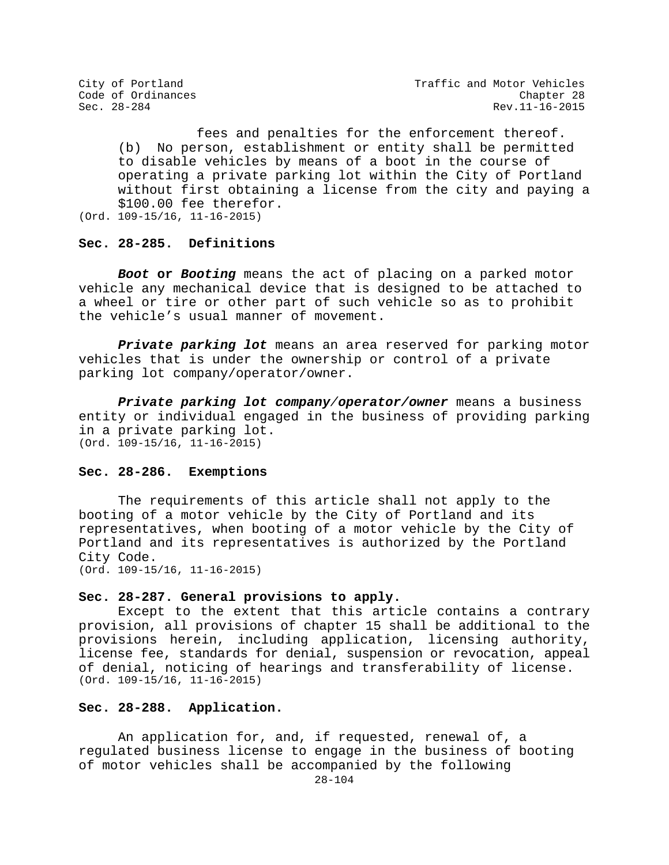fees and penalties for the enforcement thereof. (b) No person, establishment or entity shall be permitted to disable vehicles by means of a boot in the course of operating a private parking lot within the City of Portland without first obtaining a license from the city and paying a \$100.00 fee therefor. (Ord. 109-15/16, 11-16-2015)

# **Sec. 28-285. Definitions**

*Boot* **or** *Booting* means the act of placing on a parked motor vehicle any mechanical device that is designed to be attached to a wheel or tire or other part of such vehicle so as to prohibit the vehicle's usual manner of movement.

*Private parking lot* means an area reserved for parking motor vehicles that is under the ownership or control of a private parking lot company/operator/owner.

*Private parking lot company/operator/owner* means a business entity or individual engaged in the business of providing parking in a private parking lot. (Ord. 109-15/16, 11-16-2015)

#### **Sec. 28-286. Exemptions**

The requirements of this article shall not apply to the booting of a motor vehicle by the City of Portland and its representatives, when booting of a motor vehicle by the City of Portland and its representatives is authorized by the Portland City Code. (Ord. 109-15/16, 11-16-2015)

## **Sec. 28-287. General provisions to apply.**

Except to the extent that this article contains a contrary provision, all provisions of chapter 15 shall be additional to the provisions herein, including application, licensing authority, license fee, standards for denial, suspension or revocation, appeal of denial, noticing of hearings and transferability of license. (Ord. 109-15/16, 11-16-2015)

# **Sec. 28-288. Application.**

An application for, and, if requested, renewal of, a regulated business license to engage in the business of booting of motor vehicles shall be accompanied by the following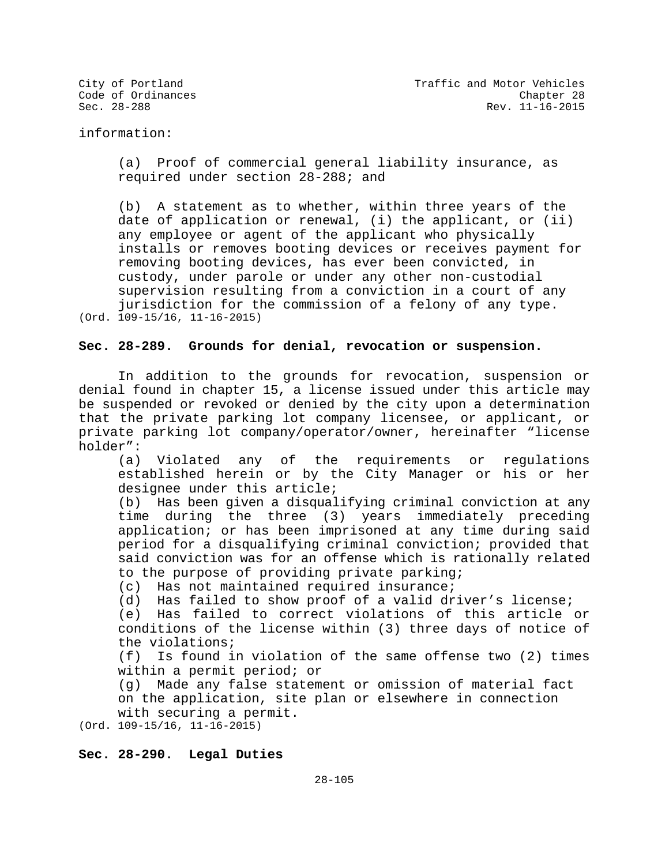information:

(a) Proof of commercial general liability insurance, as required under section 28-288; and

(b) A statement as to whether, within three years of the date of application or renewal, (i) the applicant, or (ii) any employee or agent of the applicant who physically installs or removes booting devices or receives payment for removing booting devices, has ever been convicted, in custody, under parole or under any other non-custodial supervision resulting from a conviction in a court of any jurisdiction for the commission of a felony of any type. (Ord. 109-15/16, 11-16-2015)

**Sec. 28-289. Grounds for denial, revocation or suspension.**

In addition to the grounds for revocation, suspension or denial found in chapter 15, a license issued under this article may be suspended or revoked or denied by the city upon a determination that the private parking lot company licensee, or applicant, or private parking lot company/operator/owner, hereinafter "license holder":<br>(a) Violated

any of the requirements or regulations established herein or by the City Manager or his or her designee under this article;

(b) Has been given a disqualifying criminal conviction at any time during the three (3) years immediately preceding application; or has been imprisoned at any time during said period for a disqualifying criminal conviction; provided that said conviction was for an offense which is rationally related to the purpose of providing private parking;

(c) Has not maintained required insurance;

(d) Has failed to show proof of a valid driver's license;

(e) Has failed to correct violations of this article or conditions of the license within (3) three days of notice of the violations;<br>(f) Is found i

Is found in violation of the same offense two (2) times within a permit period; or

(g) Made any false statement or omission of material fact on the application, site plan or elsewhere in connection with securing a permit.

(Ord. 109-15/16, 11-16-2015)

### **Sec. 28-290. Legal Duties**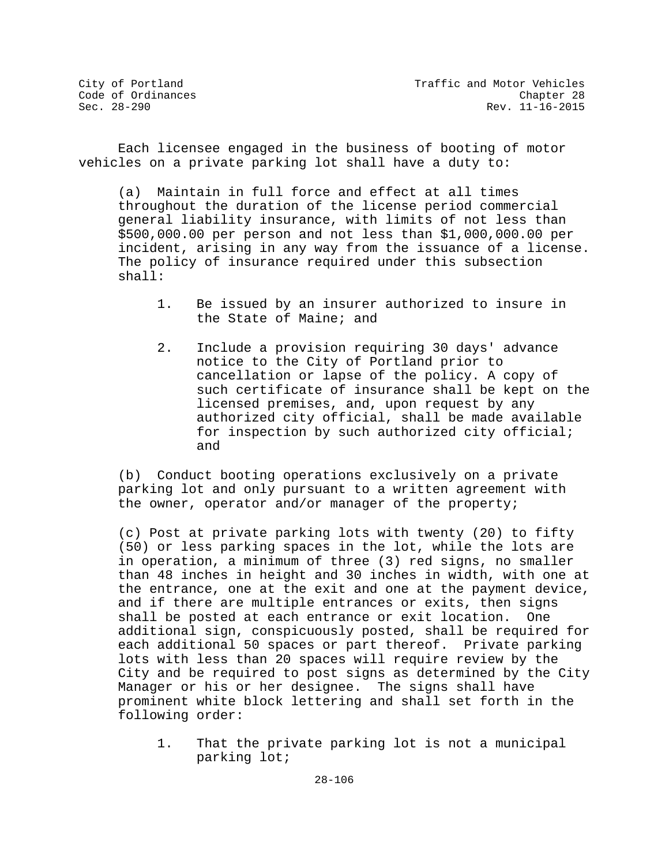Each licensee engaged in the business of booting of motor vehicles on a private parking lot shall have a duty to:

(a) Maintain in full force and effect at all times throughout the duration of the license period commercial general liability insurance, with limits of not less than \$500,000.00 per person and not less than \$1,000,000.00 per incident, arising in any way from the issuance of a license. The policy of insurance required under this subsection shall:

- 1. Be issued by an insurer authorized to insure in the State of Maine; and
- 2. Include a provision requiring 30 days' advance notice to the City of Portland prior to cancellation or lapse of the policy. A copy of such certificate of insurance shall be kept on the licensed premises, and, upon request by any authorized city official, shall be made available for inspection by such authorized city official; and

(b) Conduct booting operations exclusively on a private parking lot and only pursuant to a written agreement with the owner, operator and/or manager of the property;

(c) Post at private parking lots with twenty (20) to fifty (50) or less parking spaces in the lot, while the lots are in operation, a minimum of three (3) red signs, no smaller than 48 inches in height and 30 inches in width, with one at the entrance, one at the exit and one at the payment device, and if there are multiple entrances or exits, then signs shall be posted at each entrance or exit location. One additional sign, conspicuously posted, shall be required for each additional 50 spaces or part thereof. Private parking lots with less than 20 spaces will require review by the City and be required to post signs as determined by the City Manager or his or her designee. The signs shall have prominent white block lettering and shall set forth in the following order:

1. That the private parking lot is not a municipal parking lot;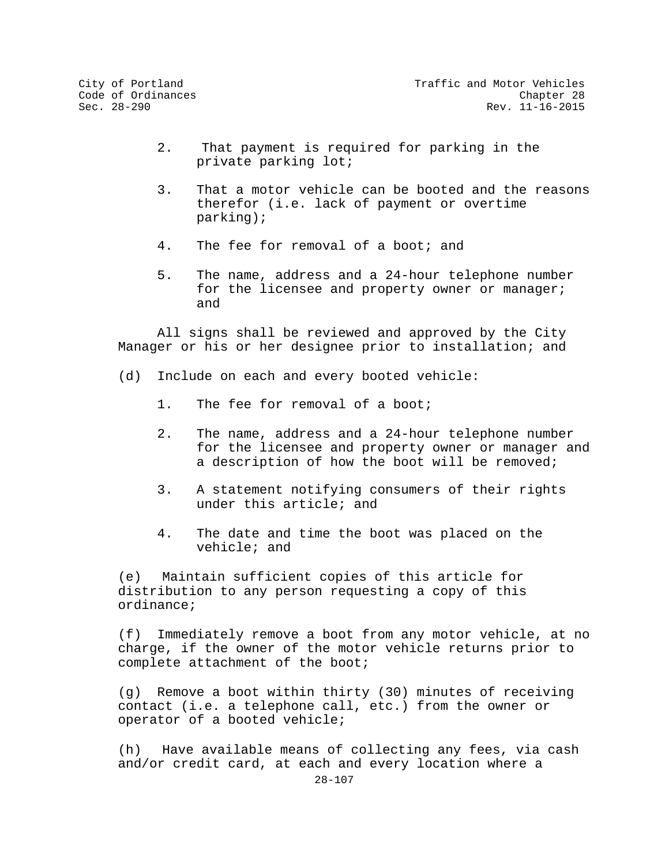- 2. That payment is required for parking in the private parking lot;
- 3. That a motor vehicle can be booted and the reasons therefor (i.e. lack of payment or overtime parking);
- 4. The fee for removal of a boot; and
- 5. The name, address and a 24-hour telephone number for the licensee and property owner or manager; and

 All signs shall be reviewed and approved by the City Manager or his or her designee prior to installation; and

- (d) Include on each and every booted vehicle:
	- 1. The fee for removal of a boot;
	- 2. The name, address and a 24-hour telephone number for the licensee and property owner or manager and a description of how the boot will be removed;
	- 3. A statement notifying consumers of their rights under this article; and
	- 4. The date and time the boot was placed on the vehicle; and

(e) Maintain sufficient copies of this article for distribution to any person requesting a copy of this ordinance;

(f) Immediately remove a boot from any motor vehicle, at no charge, if the owner of the motor vehicle returns prior to complete attachment of the boot;

(g) Remove a boot within thirty (30) minutes of receiving contact (i.e. a telephone call, etc.) from the owner or operator of a booted vehicle;

(h) Have available means of collecting any fees, via cash and/or credit card, at each and every location where a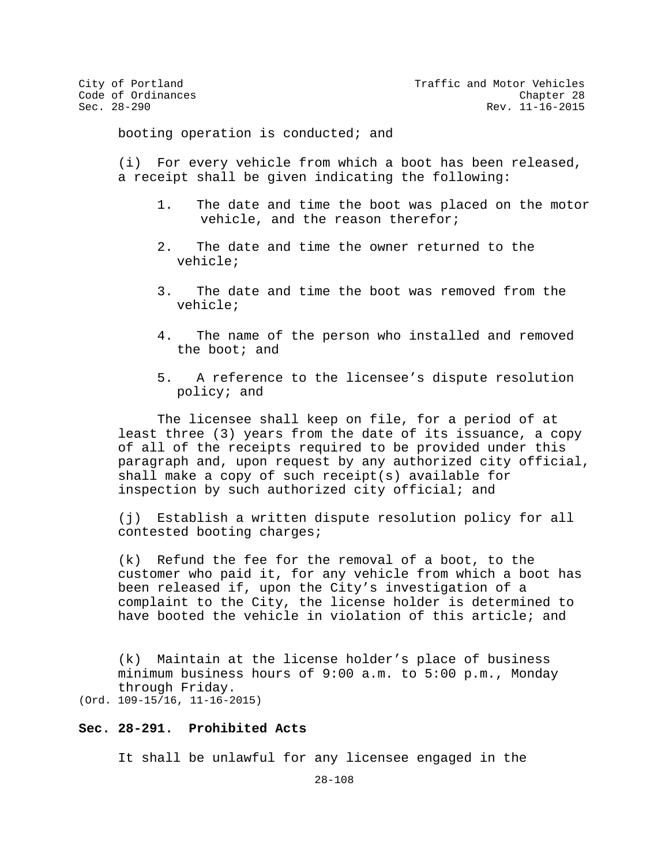City of Portland City of Portland Code of Ordinances<br>
Code of Ordinances Code Chapter 28 Rev. 11-16-2015

booting operation is conducted; and

(i) For every vehicle from which a boot has been released, a receipt shall be given indicating the following:

- 1. The date and time the boot was placed on the motor vehicle, and the reason therefor;
- 2. The date and time the owner returned to the vehicle;
- 3. The date and time the boot was removed from the vehicle;
- 4. The name of the person who installed and removed the boot; and
- 5. A reference to the licensee's dispute resolution policy; and

The licensee shall keep on file, for a period of at least three (3) years from the date of its issuance, a copy of all of the receipts required to be provided under this paragraph and, upon request by any authorized city official, shall make a copy of such receipt(s) available for inspection by such authorized city official; and

(j) Establish a written dispute resolution policy for all contested booting charges;

(k) Refund the fee for the removal of a boot, to the customer who paid it, for any vehicle from which a boot has been released if, upon the City's investigation of a complaint to the City, the license holder is determined to have booted the vehicle in violation of this article; and

(k) Maintain at the license holder's place of business minimum business hours of 9:00 a.m. to 5:00 p.m., Monday through Friday.

(Ord. 109-15/16, 11-16-2015)

# **Sec. 28-291. Prohibited Acts**

It shall be unlawful for any licensee engaged in the